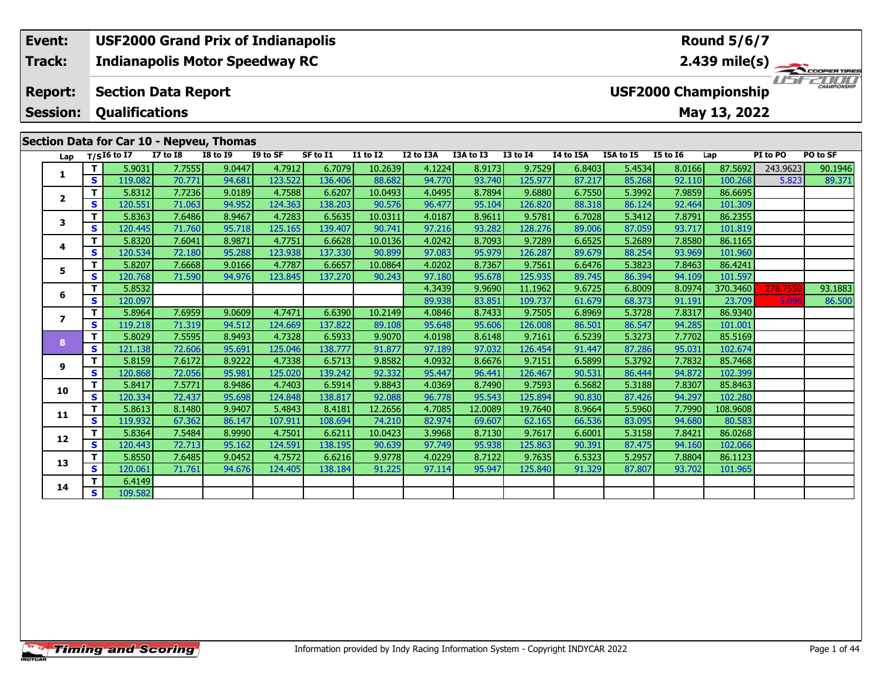#### **Event: USF2000 Grand Prix of Indianapolis Round 5/6/7Indianapolis Motor Speedway RC 2.439 mile(s) Track:** ER TIRES  $T = -T$ **Report: Section Data Report USF2000 Championship Qualifications Session:May 13, 2022 Section Data for Car 10 - Nepveu, Thomas**

| Lap                     |              | $T/SI6$ to I7 | <b>I7 to I8</b> | <b>I8 to I9</b> | I9 to SF | SF to I1 | <b>I1 to I2</b> | I2 to I3A | I3A to I3 | <b>I3 to I4</b> | I4 to I5A | I5A to I5 | <b>I5 to 16</b> | Lap      | PI to PO | PO to SF |
|-------------------------|--------------|---------------|-----------------|-----------------|----------|----------|-----------------|-----------|-----------|-----------------|-----------|-----------|-----------------|----------|----------|----------|
| 1                       | т            | 5.9031        | 7.7555          | 9.0447          | 4.7912   | 6.7079   | 10.2639         | 4.1224    | 8.9173    | 9.7529          | 6.8403    | 5.4534    | 8.0166          | 87.5692  | 243.9623 | 90.1946  |
|                         | S            | 119.082       | 70.771          | 94.681          | 123.522  | 136.406  | 88.682          | 94.770    | 93.740    | 125.977         | 87.217    | 85.268    | 92.110          | 100.268  | 5.823    | 89.371   |
| $\overline{\mathbf{2}}$ | $\mathbf T$  | 5.8312        | 7.7236          | 9.0189          | 4.7588   | 6.6207   | 10.0493         | 4.0495    | 8.7894    | 9.6880          | 6.7550    | 5.3992    | 7.9859          | 86.6695  |          |          |
|                         | S            | 120.551       | 71.063          | 94.952          | 124.363  | 138.203  | 90.576          | 96.477    | 95.104    | 126.820         | 88.318    | 86.124    | 92.464          | 101.309  |          |          |
| 3                       | Т            | 5.8363        | 7.6486          | 8.9467          | 4.7283   | 6.5635   | 10.0311         | 4.0187    | 8.9611    | 9.5781          | 6.7028    | 5.3412    | 7.8791          | 86.2355  |          |          |
|                         | S            | 120.445       | 71.760          | 95.718          | 125.165  | 139.407  | 90.741          | 97.216    | 93.282    | 128.276         | 89.006    | 87.059    | 93.717          | 101.819  |          |          |
| 4                       | т            | 5.8320        | 7.6041          | 8.9871          | 4.7751   | 6.6628   | 10.0136         | 4.0242    | 8.7093    | 9.7289          | 6.6525    | 5.2689    | 7.8580          | 86.1165  |          |          |
|                         | S            | 120.534       | 72.180          | 95.288          | 123.938  | 137.330  | 90.899          | 97.083    | 95.979    | 126.287         | 89.679    | 88.254    | 93.969          | 101.960  |          |          |
| 5                       | $\mathbf T$  | 5.8207        | 7.6668          | 9.0166          | 4.7787   | 6.6657   | 10.0864         | 4.0202    | 8.7367    | 9.7561          | 6.6476    | 5.3823    | 7.8463          | 86.4241  |          |          |
|                         | S            | 120.768       | 71.590          | 94.976          | 123.845  | 137.270  | 90.243          | 97.180    | 95.678    | 125.935         | 89.745    | 86.394    | 94.109          | 101.597  |          |          |
| 6                       | Т            | 5.8532        |                 |                 |          |          |                 | 4.3439    | 9.9690    | 11.1962         | 9.6725    | 6.8009    | 8.0974          | 370.3460 | 278.7550 | 93.1883  |
|                         | $\mathbf{s}$ | 120.097       |                 |                 |          |          |                 | 89.938    | 83.851    | 109.737         | 61.679    | 68.373    | 91.191          | 23.709   | 5.096    | 86.500   |
| 7                       | $\mathbf T$  | 5.8964        | 7.6959          | 9.0609          | 4.7471   | 6.6390   | 10.2149         | 4.0846    | 8.7433    | 9.7505          | 6.8969    | 5.3728    | 7.8317          | 86.9340  |          |          |
|                         | S            | 119.218       | 71.319          | 94.512          | 124.669  | 137.822  | 89.108          | 95.648    | 95.606    | 126.008         | 86.501    | 86.547    | 94.285          | 101.001  |          |          |
| 8                       | $\mathbf T$  | 5.8029        | 7.5595          | 8.9493          | 4.7328   | 6.5933   | 9.9070          | 4.0198    | 8.6148    | 9.7161          | 6.5239    | 5.3273    | 7.7702          | 85.5169  |          |          |
|                         | S            | 121.138       | 72.606          | 95.691          | 125.046  | 138.777  | 91.877          | 97.189    | 97.032    | 126.454         | 91.447    | 87.286    | 95.031          | 102.674  |          |          |
| 9                       | Т            | 5.8159        | 7.6172          | 8.9222          | 4.7338   | 6.5713   | 9.8582          | 4.0932    | 8.6676    | 9.7151          | 6.5899    | 5.3792    | 7.7832          | 85.7468  |          |          |
|                         | <b>S</b>     | 120.868       | 72.056          | 95.981          | 125.020  | 139.242  | 92.332          | 95.447    | 96.441    | 126.467         | 90.531    | 86.444    | 94.872          | 102.399  |          |          |
| 10                      | $\mathbf T$  | 5.8417        | 7.5771          | 8.9486          | 4.7403   | 6.5914   | 9.8843          | 4.0369    | 8.7490    | 9.7593          | 6.5682    | 5.3188    | 7.8307          | 85.8463  |          |          |
|                         | S            | 120.334       | 72.437          | 95.698          | 124.848  | 138.817  | 92.088          | 96.778    | 95.543    | 125.894         | 90.830    | 87.426    | 94.297          | 102.280  |          |          |
| 11                      | Т            | 5.8613        | 8.1480          | 9.9407          | 5.4843   | 8.4181   | 12.2656         | 4.7085    | 12.0089   | 19.7640         | 8.9664    | 5.5960    | 7.7990          | 108.9608 |          |          |
|                         | S            | 119.932       | 67.362          | 86.147          | 107.911  | 108.694  | 74.210          | 82.974    | 69.607    | 62.165          | 66.536    | 83.095    | 94.680          | 80.583   |          |          |
| 12                      | т            | 5.8364        | 7.5484          | 8.9990          | 4.7501   | 6.6211   | 10.0423         | 3.9968    | 8.7130    | 9.7617          | 6.6001    | 5.3158    | 7.8421          | 86.0268  |          |          |
|                         | S            | 120.443       | 72.713          | 95.162          | 124.591  | 138.195  | 90.639          | 97.749    | 95.938    | 125.863         | 90.391    | 87.475    | 94.160          | 102.066  |          |          |
| 13                      | Т            | 5.8550        | 7.6485          | 9.0452          | 4.7572   | 6.6216   | 9.9778          | 4.0229    | 8.7122    | 9.7635          | 6.5323    | 5.2957    | 7.8804          | 86.1123  |          |          |
|                         | S            | 120.061       | 71.761          | 94.676          | 124.405  | 138.184  | 91.225          | 97.114    | 95.947    | 125.840         | 91.329    | 87.807    | 93.702          | 101.965  |          |          |
| 14                      | т            | 6.4149        |                 |                 |          |          |                 |           |           |                 |           |           |                 |          |          |          |
|                         | S            | 109.582       |                 |                 |          |          |                 |           |           |                 |           |           |                 |          |          |          |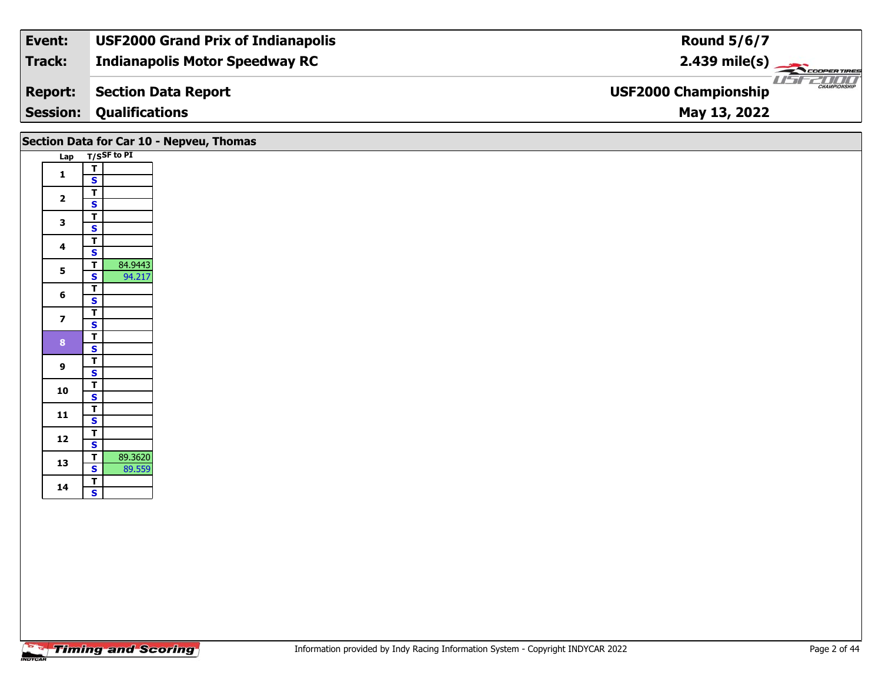| Track:<br><b>Indianapolis Motor Speedway RC</b><br>$2.439 \text{ mile(s)}$ |                     |
|----------------------------------------------------------------------------|---------------------|
|                                                                            |                     |
| <b>USF2000 Championship</b><br>Section Data Report<br><b>Report:</b>       | <b>CHAMPIONSHIP</b> |
| <b>Session:</b><br><b>Qualifications</b><br>May 13, 2022                   |                     |

|                         |                                                                         | Section Data for Car 10 - Nepveu, Thomas |
|-------------------------|-------------------------------------------------------------------------|------------------------------------------|
|                         | Lap T/SSF to PI                                                         |                                          |
| $\mathbf{1}$            | $\overline{\mathsf{r}}$<br>$\mathbf{s}$                                 |                                          |
| $\overline{\mathbf{2}}$ | $\overline{\mathsf{r}}$<br>$\mathbf{s}$                                 |                                          |
| $\mathbf{3}$            | $\overline{\mathsf{T}}$<br>$\overline{\mathbf{s}}$                      |                                          |
| $\overline{\mathbf{4}}$ | $\overline{\mathsf{T}}$<br>$\mathsf{s}$                                 |                                          |
| $5\phantom{a}$          | $\overline{\mathsf{T}}$<br>84.9443<br>94.217<br>$\overline{\mathbf{s}}$ |                                          |
| 6                       | $\overline{\mathbf{r}}$<br>$\mathsf{s}$                                 |                                          |
| $\overline{\mathbf{z}}$ | $\overline{\mathsf{r}}$<br>$\mathbf{s}$                                 |                                          |
| 8 <sub>o</sub>          | $\overline{\mathsf{T}}$<br>$\mathbf{s}$                                 |                                          |
| $\overline{9}$          | $\overline{\mathsf{T}}$                                                 |                                          |
| 10                      | $\mathbf{s}$<br>$\frac{1}{s}$                                           |                                          |
| 11                      | $\overline{\mathbf{r}}$                                                 |                                          |
| 12                      | $\mathbf{s}$<br>$\overline{\mathsf{r}}$                                 |                                          |
| 13                      | $\overline{\mathbf{s}}$<br>89.3620<br>$\overline{\mathbf{T}}$           |                                          |
| 14                      | 89.559<br>$\overline{\mathbf{s}}$<br>$\overline{\mathsf{T}}$            |                                          |
|                         | $\overline{\mathbf{s}}$                                                 |                                          |
|                         |                                                                         |                                          |
|                         |                                                                         |                                          |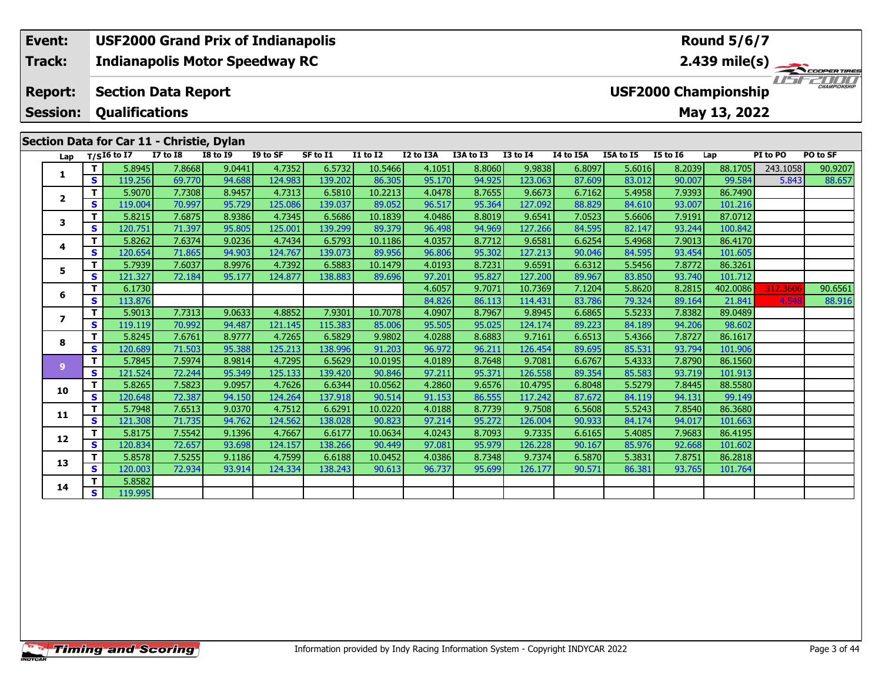#### **Event: USF2000 Grand Prix of Indianapolis Round 5/6/7Indianapolis Motor Speedway RC 2.439 mile(s) Track:** ER TIRES USFZUUD **Section Data Report Report: USF2000 Championship Qualifications Session:May 13, 2022 Section Data for Car 11 - Christie, Dylan**

| Lap                     |                         | $T/SI6$ to I7     | 38.3<br><b>I7 to I8</b> | <b>I8 to I9</b>  | I9 to SF          | SF to I1          | <b>I1 to I2</b>   | I2 to I3A        | I3A to I3        | <b>I3 to I4</b>   | I4 to I5A        | I5A to I5        | <b>I5 to 16</b>  | Lap                | PI to PO | PO to SF |
|-------------------------|-------------------------|-------------------|-------------------------|------------------|-------------------|-------------------|-------------------|------------------|------------------|-------------------|------------------|------------------|------------------|--------------------|----------|----------|
|                         | T.                      | 5.8945            | 7.8668                  | 9.0441           | 4.7352            | 6.5732            | 10.5466           | 4.1051           | 8.8060           | 9.9838            | 6.8097           | 5.6016           | 8.2039           | 88.1705            | 243.1058 | 90.9207  |
| 1                       | S                       | 119.256           | 69.770                  | 94.688           | 124.983           | 139.202           | 86.305            | 95.170           | 94.925           | 123.063           | 87.609           | 83.012           | 90.007           | 99.584             | 5.843    | 88.657   |
|                         | T.                      | 5.9070            | 7.7308                  | 8.9457           | 4.7313            | 6.5810            | 10.2213           | 4.0478           | 8.7655           | 9.6673            | 6.7162           | 5.4958           | 7.9393           | 86.7490            |          |          |
| 2                       | S                       | 119.004           | 70.997                  | 95.729           | 125.086           | 139.037           | 89.052            | 96.517           | 95.364           | 127.092           | 88.829           | 84.610           | 93.007           | 101.216            |          |          |
| 3                       | T.                      | 5.8215            | 7.6875                  | 8.9386           | 4.7345            | 6.5686            | 10.1839           | 4.0486           | 8.8019           | 9.6541            | 7.0523           | 5.6606           | 7.9191           | 87.0712            |          |          |
|                         | S                       | 120.751           | 71.397                  | 95.805           | 125.001           | 139.299           | 89.379            | 96.498           | 94.969           | 127.266           | 84.595           | 82.147           | 93.244           | 100.842            |          |          |
| 4                       | Τ.                      | 5.8262            | 7.6374                  | 9.0236           | 4.7434            | 6.5793            | 10.1186           | 4.0357           | 8.7712           | 9.6581            | 6.6254           | 5.4968           | 7.9013           | 86.4170            |          |          |
|                         | S                       | 120.654           | 71.865                  | 94.903           | 124.767           | 139.073           | 89.956            | 96.806           | 95.302           | 127.213           | 90.046           | 84.595           | 93.454           | 101.605            |          |          |
| 5                       | Τ.                      | 5.7939            | 7.6037                  | 8.9976           | 4.7392            | 6.5883            | 10.1479           | 4.0193           | 8.7231           | 9.6591            | 6.6312           | 5.5456           | 7.8772           | 86.3261            |          |          |
|                         | S                       | 121.327           | 72.184                  | 95.177           | 124.877           | 138.883           | 89.696            | 97.201           | 95.827           | 127.200           | 89.967           | 83.850           | 93.740           | 101.712            |          |          |
| 6                       | Τ.                      | 6.1730            |                         |                  |                   |                   |                   | 4.6057           | 9.7071           | 10.7369           | 7.1204           | 5.8620           | 8.2815           | 402.0086           | 312.3606 | 90.6561  |
|                         | S                       | 113.876           |                         |                  |                   |                   |                   | 84.826           | 86.113           | 114.431           | 83.786           | 79.324           | 89.164           | 21.841             | 4.548    | 88.916   |
| $\overline{\mathbf{z}}$ | Τ.                      | 5.9013            | 7.7313                  | 9.0633           | 4.8852            | 7.9301            | 10.7078           | 4.0907           | 8.7967           | 9.8945            | 6.6865           | 5.5233           | 7.8382           | 89.0489            |          |          |
|                         | S                       | 119.119           | 70.992                  | 94.487           | 121.145           | 115.383           | 85.006            | 95.505           | 95.025           | 124.174           | 89.223           | 84.189           | 94.206           | 98.602             |          |          |
| 8                       | Τ.<br>S                 | 5.8245            | 7.6761                  | 8.9777           | 4.7265            | 6.5829            | 9.9802            | 4.0288           | 8.6883           | 9.7161            | 6.6513           | 5.4366           | 7.8727           | 86.1617            |          |          |
|                         | T.                      | 120.689<br>5.7845 | 71.503<br>7.5974        | 95.388<br>8.9814 | 125.213<br>4.7295 | 138.996<br>6.5629 | 91.203<br>10.0195 | 96.972<br>4.0189 | 96.211<br>8.7648 | 126.454<br>9.7081 | 89.695<br>6.6767 | 85.531<br>5.4333 | 93.794<br>7.8790 | 101.906<br>86.1560 |          |          |
| 9                       | S.                      | 121.524           | 72.244                  | 95.349           | 125.133           | 139.420           | 90.846            | 97.211           | 95.371           | 126.558           | 89.354           | 85.583           | 93.719           | 101.913            |          |          |
|                         | Τ.                      | 5.8265            | 7.5823                  | 9.0957           | 4.7626            | 6.6344            | 10.0562           | 4.2860           | 9.6576           | 10.4795           | 6.8048           | 5.5279           | 7.8445           | 88.5580            |          |          |
| 10                      | S.                      | 120.648           | 72.387                  | 94.150           | 124.264           | 137.918           | 90.514            | 91.153           | 86.555           | 117.242           | 87.672           | 84.119           | 94.131           | 99.149             |          |          |
|                         | Τ.                      | 5.7948            | 7.6513                  | 9.0370           | 4.7512            | 6.6291            | 10.0220           | 4.0188           | 8.7739           | 9.7508            | 6.5608           | 5.5243           | 7.8540           | 86.3680            |          |          |
| 11                      | S.                      | 121.308           | 71.735                  | 94.762           | 124.562           | 138.028           | 90.823            | 97.214           | 95.272           | 126.004           | 90.933           | 84.174           | 94.017           | 101.663            |          |          |
|                         | T                       | 5.8175            | 7.5542                  | 9.1396           | 4.7667            | 6.6177            | 10.0634           | 4.0243           | 8.7093           | 9.7335            | 6.6165           | 5.4085           | 7.9683           | 86.4195            |          |          |
| 12                      | S.                      | 120.834           | 72.657                  | 93.698           | 124.157           | 138.266           | 90.449            | 97.081           | 95.979           | 126.228           | 90.167           | 85.976           | 92.668           | 101.602            |          |          |
| 13                      | Τ.                      | 5.8578            | 7.5255                  | 9.1186           | 4.7599            | 6.6188            | 10.0452           | 4.0386           | 8.7348           | 9.7374            | 6.5870           | 5.3831           | 7.8751           | 86.2818            |          |          |
|                         | S.                      | 120.003           | 72.934                  | 93.914           | 124.334           | 138.243           | 90.613            | 96.737           | 95.699           | 126.177           | 90.571           | 86.381           | 93.765           | 101.764            |          |          |
| 14                      | Τ.                      | 5.8582            |                         |                  |                   |                   |                   |                  |                  |                   |                  |                  |                  |                    |          |          |
|                         | $\overline{\mathbf{s}}$ | 119.995           |                         |                  |                   |                   |                   |                  |                  |                   |                  |                  |                  |                    |          |          |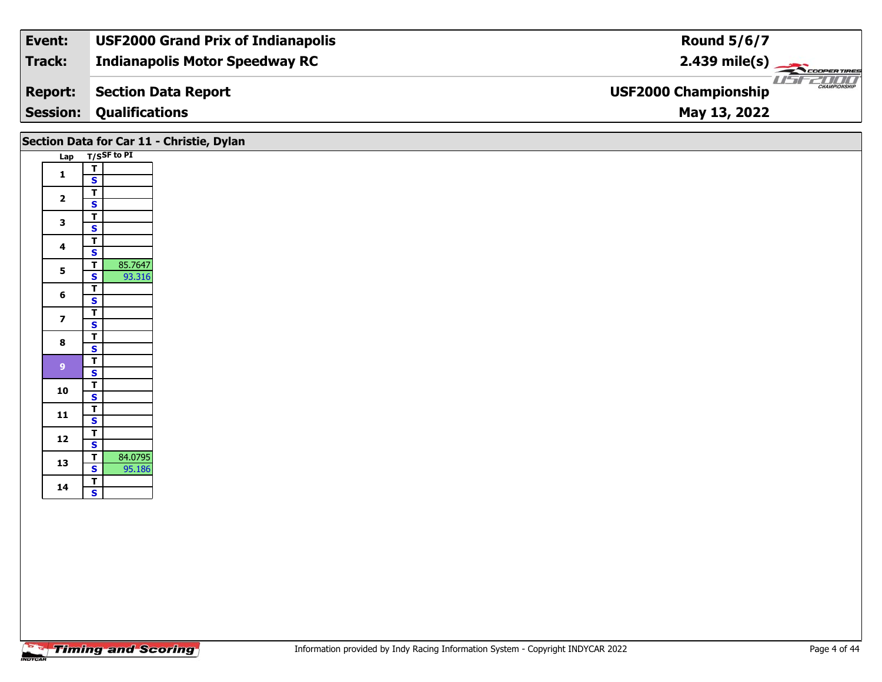| Event:          | <b>USF2000 Grand Prix of Indianapolis</b> | <b>Round 5/6/7</b>                                 |
|-----------------|-------------------------------------------|----------------------------------------------------|
| Track:          | <b>Indianapolis Motor Speedway RC</b>     | $2.439$ mile(s)                                    |
| <b>Report:</b>  | Section Data Report                       | <b>CHAMPIONSHIP</b><br><b>USF2000 Championship</b> |
| <b>Session:</b> | <b>Qualifications</b>                     | May 13, 2022                                       |

# **Lap T/SSF to PI Section Data for Car 11 - Christie, Dylan**

| 1<br>2                                                                      |         |
|-----------------------------------------------------------------------------|---------|
|                                                                             |         |
|                                                                             |         |
|                                                                             |         |
|                                                                             |         |
| 3                                                                           |         |
|                                                                             |         |
| 4                                                                           |         |
|                                                                             |         |
| 5                                                                           | 85.7647 |
|                                                                             | 93.316  |
| 6                                                                           |         |
|                                                                             |         |
| 7                                                                           |         |
|                                                                             |         |
| 8                                                                           |         |
|                                                                             |         |
| 9                                                                           |         |
|                                                                             |         |
| 10                                                                          |         |
|                                                                             |         |
| 11                                                                          |         |
|                                                                             |         |
| 12                                                                          |         |
|                                                                             |         |
| $\frac{1}{T}$ $\frac{1}{T}$ $\frac{1}{S}$ $\frac{1}{T}$ $\frac{1}{S}$<br>13 | 84.0795 |
|                                                                             | 95.186  |
| 14                                                                          |         |
|                                                                             |         |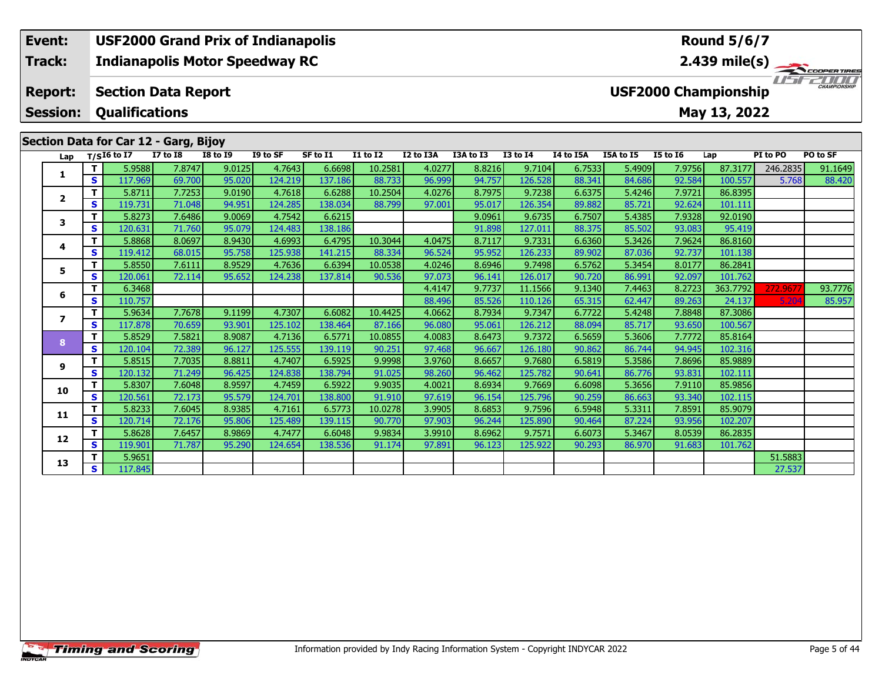# **Event: USF2000 Grand Prix of Indianapolis Round 5/6/7Indianapolis Motor Speedway RC 2.439 mile(s) Track:**I FEZICIO **Report: Section Data Report USF2000 Championship Session: Qualifications May 13, 2022 Section Data for Car 12 - Garg, Bijoy Lap T/SI6 to I7 I7 to I8 I8 to I9 I9 to SF SF to I1 I1 to I2 I2 to I3A I3A to I3 I3 to I4 I4 to I5A I5A to I5 I5 to I6 Lap PI to PO PO to SF**  1 | T | 5.9588| 7.8747| 9.0125| 4.7643| 6.6698| 10.2581| 4.0277| 8.8216| 9.7104| 6.7533| 5.4909| 7.9756| 87.3177| 246.2835| 91.1649<br>1 | S | 117.969| 69.700| 95.020| 124.219| 137.186| 88.733| 96.999| 94.757| 126.528| 88.341 **1**

**<sup>T</sup>** 5.8711 7.7253 9.0190 4.7618 6.6288 10.2504 4.0276 8.7975 9.7238 6.6375 5.4246 7.9721 86.8395 **<sup>S</sup>** 119.731 71.048 94.951 124.285 138.034 88.799 97.001 95.017 126.354 89.882 85.721 92.624 101.111

**<sup>T</sup>** 5.8273 7.6486 9.0069 4.7542 6.6215 9.0961 9.6735 6.7507 5.4385 7.9328 92.0190 **<sup>S</sup>** 120.631 71.760 95.079 124.483 138.186 91.898 127.011 88.375 85.502 93.083 95.419

**<sup>T</sup>** 5.8868 8.0697 8.9430 4.6993 6.4795 10.3044 4.0475 8.7117 9.7331 6.6360 5.3426 7.9624 86.8160 **<sup>S</sup>** 119.412 68.015 95.758 125.938 141.215 88.334 96.524 95.952 126.233 89.902 87.036 92.737 101.138

**<sup>T</sup>** 5.8550 7.6111 8.9529 4.7636 6.6394 10.0538 4.0246 8.6946 9.7498 6.5762 5.3454 8.0177 86.2841 **<sup>S</sup>** 120.061 72.114 95.652 124.238 137.814 90.536 97.073 96.141 126.017 90.720 86.991 92.097 101.762

**<sup>T</sup>** 5.9634 7.7678 9.1199 4.7307 6.6082 10.4425 4.0662 8.7934 9.7347 6.7722 5.4248 7.8848 87.3086 **<sup>S</sup>** 117.878 70.659 93.901 125.102 138.464 87.166 96.080 95.061 126.212 88.094 85.717 93.650 100.567

**<sup>T</sup>** 5.8529 7.5821 8.9087 4.7136 6.5771 10.0855 4.0083 8.6473 9.7372 6.5659 5.3606 7.7772 85.8164 **<sup>S</sup>** 120.104 72.389 96.127 125.555 139.119 90.251 97.468 96.667 126.180 90.862 86.744 94.945 102.316

**<sup>T</sup>** 5.8515 7.7035 8.8811 4.7407 6.5925 9.9998 3.9760 8.6657 9.7680 6.5819 5.3586 7.8696 85.9889 **<sup>S</sup>** 120.132 71.249 96.425 124.838 138.794 91.025 98.260 96.462 125.782 90.641 86.776 93.831 102.111

**<sup>T</sup>** 5.8307 7.6048 8.9597 4.7459 6.5922 9.9035 4.0021 8.6934 9.7669 6.6098 5.3656 7.9110 85.9856 **<sup>S</sup>** 120.561 72.173 95.579 124.701 138.800 91.910 97.619 96.154 125.796 90.259 86.663 93.340 102.115

**<sup>T</sup>** 5.8233 7.6045 8.9385 4.7161 6.5773 10.0278 3.9905 8.6853 9.7596 6.5948 5.3311 7.8591 85.9079 **<sup>S</sup>** 120.714 72.176 95.806 125.489 139.115 90.770 97.903 96.244 125.890 90.464 87.224 93.956 102.207

**<sup>T</sup>** 5.8628 7.6457 8.9869 4.7477 6.6048 9.9834 3.9910 8.6962 9.7571 6.6073 5.3467 8.0539 86.2835 **<sup>S</sup>** 119.901 71.787 95.290 124.654 138.536 91.174 97.891 96.123 125.922 90.293 86.970 91.683 101.762

**T** 5.9651 **1** 5.1.5883<br>**S** 117.845 27.537

**<sup>T</sup>** 6.3468 4.4147 9.7737 11.1566 9.1340 7.4463 8.2723 363.7792 272.9677 93.7776 **<sup>S</sup>** 110.757 88.496 85.526 110.126 65.315 62.447 89.263 24.137 5.204 85.957

**2**

**3**

**4**

**5**

**6**

**7**

**8**

**9**

**10**

**11**

**12**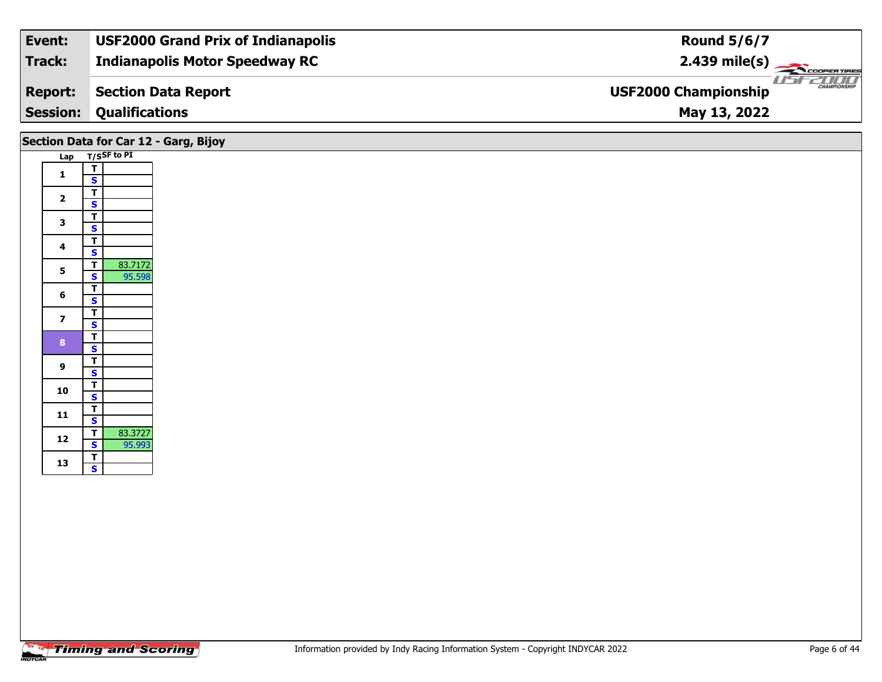| Event:          | <b>USF2000 Grand Prix of Indianapolis</b> | <b>Round 5/6/7</b>                                 |
|-----------------|-------------------------------------------|----------------------------------------------------|
| Track:          | <b>Indianapolis Motor Speedway RC</b>     | $2.439 \text{ mile(s)}$                            |
| <b>Report:</b>  | Section Data Report                       | <b>CHAMPIONSHIP</b><br><b>USF2000 Championship</b> |
| <b>Session:</b> | <b>Qualifications</b>                     | May 13, 2022                                       |
|                 |                                           |                                                    |

|                         | Section Data for Car 12 - Garg, Bijoy                          |
|-------------------------|----------------------------------------------------------------|
|                         | Lap T/SSF to PI                                                |
| $\mathbf{1}$            | T<br>$\mathbf{s}$                                              |
| $\mathbf{2}$            | $\overline{\mathbf{r}}$<br>$\overline{\mathbf{s}}$             |
| $\mathbf{3}$            | $\overline{\mathsf{r}}$<br>$\overline{\mathbf{s}}$             |
| $\overline{\mathbf{4}}$ | $\overline{\mathbf{r}}$<br>$\mathbf{s}$                        |
| 5                       | $\overline{1}$<br>83.7172<br>95.598<br>$\overline{\mathbf{s}}$ |
| 6                       | $\mathbf{T}$<br>$\mathbf{s}$                                   |
| $\overline{7}$          | $\overline{\mathsf{r}}$<br>$\mathbf{s}$                        |
| 8 <sup>°</sup>          | $\overline{\mathsf{T}}$<br>$\mathbf{s}$                        |
| 9                       | $\overline{\mathsf{r}}$<br>$\overline{\mathbf{s}}$             |
| 10                      | $\overline{\mathsf{r}}$<br>$\overline{\mathbf{s}}$             |
| 11                      | T<br>$\mathbf{s}$                                              |
| 12                      | 83.3727<br>$\overline{t}$<br>$\mathbf{s}$<br>95.993            |
| 13                      | $\overline{\mathsf{T}}$<br>$\overline{\mathbf{s}}$             |
|                         |                                                                |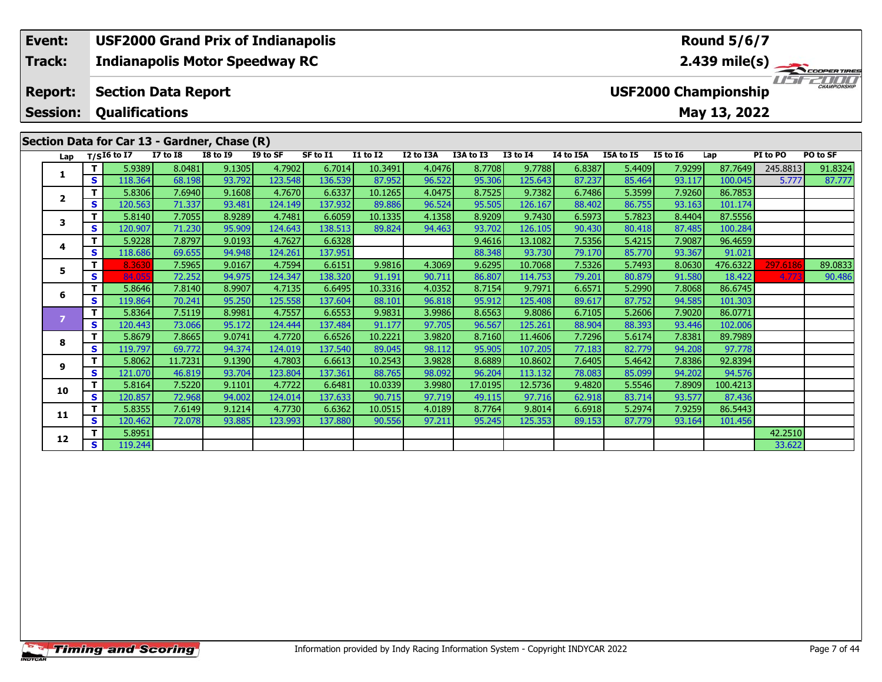# **Event: USF2000 Grand Prix of Indianapolis Round 5/6/7Indianapolis Motor Speedway RC 2.439 mile(s) Track:**I FEZICIO **Report: Section Data Report USF2000 Championship Session: Qualifications May 13, 2022 Section Data for Car 13 - Gardner, Chase (R)**<br>Lap  $\frac{T}{516}$  to 17 17 to 18 18 to 19 19 to **Lap T/SI6 to I7 I7 to I8 I8 to I9 I9 to SF SF to I1 I1 to I2 I2 to I3A I3A to I3 I3 to I4 I4 to I5A I5A to I5 I5 to I6 Lap PI to PO PO to SF**  1 | T | 5.9389 8.0481 9.1305 4.7902 6.7014 10.3491 4.0476 8.7708 9.7788 6.8387 5.4409 7.9299 87.7649 245.8813 91.8324<br>1 | S | 118.364 68.198 93.792 123.548 136.539 87.952 96.522 95.306 125.643 87.237 85.464 93.117 100.045 **1<sup>T</sup>** 5.8306 7.6940 9.1608 4.7670 6.6337 10.1265 4.0475 8.7525 9.7382 6.7486 5.3599 7.9260 86.7853 **<sup>S</sup>** 120.563 71.337 93.481 124.149 137.932 89.886 96.524 95.505 126.167 88.402 86.755 93.163 101.174

**<sup>T</sup>** 8.3630 7.5965 9.0167 4.7594 6.6151 9.9816 4.3069 9.6295 10.7068 7.5326 5.7493 8.0630 476.6322 297.6186 89.0833 **<sup>S</sup>** 84.055 72.252 94.975 124.347 138.320 91.191 90.711 86.807 114.753 79.201 80.879 91.580 18.422 4.773 90.486

**<sup>T</sup>** 5.8140 7.7055 8.9289 4.7481 6.6059 10.1335 4.1358 8.9209 9.7430 6.5973 5.7823 8.4404 87.5556 **<sup>S</sup>** 120.907 71.230 95.909 124.643 138.513 89.824 94.463 93.702 126.105 90.430 80.418 87.485 100.284

**<sup>T</sup>** 5.9228 7.8797 9.0193 4.7627 6.6328 9.4616 13.1082 7.5356 5.4215 7.9087 96.4659 **<sup>S</sup>** 118.686 69.655 94.948 124.261 137.951 88.348 93.730 79.170 85.770 93.367 91.021

**<sup>T</sup>** 5.8646 7.8140 8.9907 4.7135 6.6495 10.3316 4.0352 8.7154 9.7971 6.6571 5.2990 7.8068 86.6745 **<sup>S</sup>** 119.864 70.241 95.250 125.558 137.604 88.101 96.818 95.912 125.408 89.617 87.752 94.585 101.303

**<sup>T</sup>** 5.8364 7.5119 8.9981 4.7557 6.6553 9.9831 3.9986 8.6563 9.8086 6.7105 5.2606 7.9020 86.0771 **<sup>S</sup>** 120.443 73.066 95.172 124.444 137.484 91.177 97.705 96.567 125.261 88.904 88.393 93.446 102.006

**<sup>T</sup>** 5.8679 7.8665 9.0741 4.7720 6.6526 10.2221 3.9820 8.7160 11.4606 7.7296 5.6174 7.8381 89.7989 **<sup>S</sup>** 119.797 69.772 94.374 124.019 137.540 89.045 98.112 95.905 107.205 77.183 82.779 94.208 97.778

**<sup>T</sup>** 5.8062 11.7231 9.1390 4.7803 6.6613 10.2543 3.9828 8.6889 10.8602 7.6405 5.4642 7.8386 92.8394 **<sup>S</sup>** 121.070 46.819 93.704 123.804 137.361 88.765 98.092 96.204 113.132 78.083 85.099 94.202 94.576

**<sup>T</sup>** 5.8164 7.5220 9.1101 4.7722 6.6481 10.0339 3.9980 17.0195 12.5736 9.4820 5.5546 7.8909 100.4213 **<sup>S</sup>** 120.857 72.968 94.002 124.014 137.633 90.715 97.719 49.115 97.716 62.918 83.714 93.577 87.436

**<sup>T</sup>** 5.8355 7.6149 9.1214 4.7730 6.6362 10.0515 4.0189 8.7764 9.8014 6.6918 5.2974 7.9259 86.5443 **<sup>S</sup>** 120.462 72.078 93.885 123.993 137.880 90.556 97.211 95.245 125.353 89.153 87.779 93.164 101.456

**T** 5.8951 42.2510<br> **S** 119.244 33.622

**2**

**3**

**4**

**5**

**6**

**8**

**9**

**10**

**11**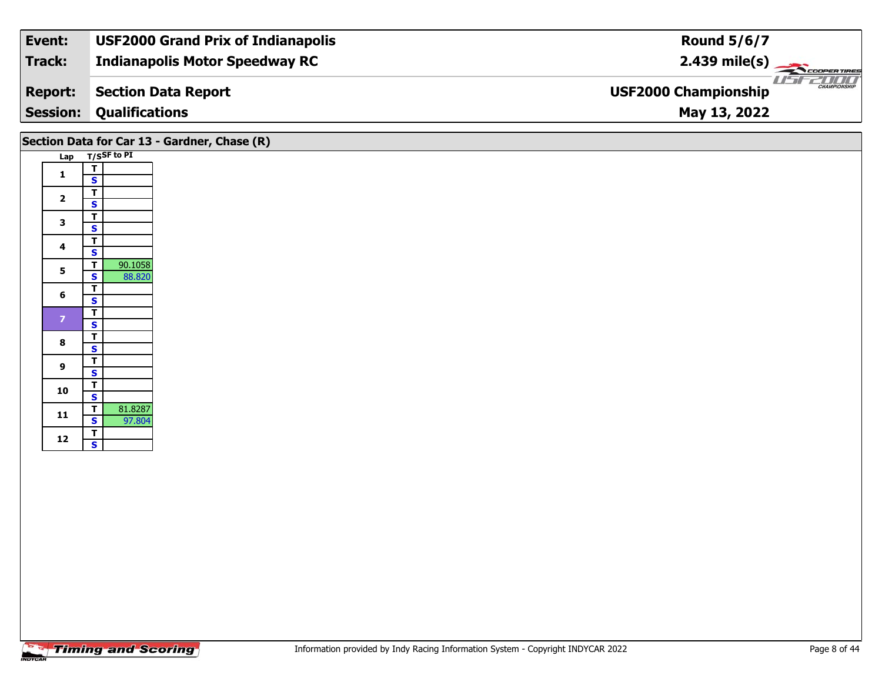| Track:<br><b>Indianapolis Motor Speedway RC</b>                             | $2.439 \text{ mile(s)}$ |
|-----------------------------------------------------------------------------|-------------------------|
| <b>USF2000 Championship</b><br><b>Section Data Report</b><br><b>Report:</b> | <b>CHAMPIONSHIP</b>     |
| <b>Session:</b><br><b>Qualifications</b><br>May 13, 2022                    |                         |

|                         |                                                                | Section Data for Car 13 - Gardner, Chase (R) |
|-------------------------|----------------------------------------------------------------|----------------------------------------------|
|                         | Lap T/SSF to PI                                                |                                              |
| $\mathbf{1}$            | $\mathbf{T}$<br>$\mathbf{s}$                                   |                                              |
| $\overline{\mathbf{2}}$ | $\mathbf T$<br>$\overline{\mathbf{s}}$                         |                                              |
| $\mathbf{3}$            | $\overline{\mathsf{T}}$<br>$\overline{\mathbf{s}}$             |                                              |
| 4                       | $\mathbf T$<br>$\overline{\mathbf{s}}$                         |                                              |
| $5\phantom{a}$          | 90.1058<br>$\overline{t}$<br>$\overline{\mathbf{s}}$<br>88.820 |                                              |
| 6                       | $\mathbf T$<br>$\mathbf{s}$                                    |                                              |
| $\overline{7}$          | $\overline{t}$<br>$\mathbf{s}$                                 |                                              |
| 8                       | $\mathbf T$<br>$\mathbf{s}$                                    |                                              |
| 9                       | $\overline{\mathsf{r}}$<br>$\mathbf{s}$                        |                                              |
| 10                      | $rac{1}{s}$                                                    |                                              |
| 11                      | 81.8287<br>$rac{1}{s}$<br>97.804                               |                                              |
| 12                      | $\overline{I}$<br>$\overline{\mathbf{s}}$                      |                                              |
|                         |                                                                |                                              |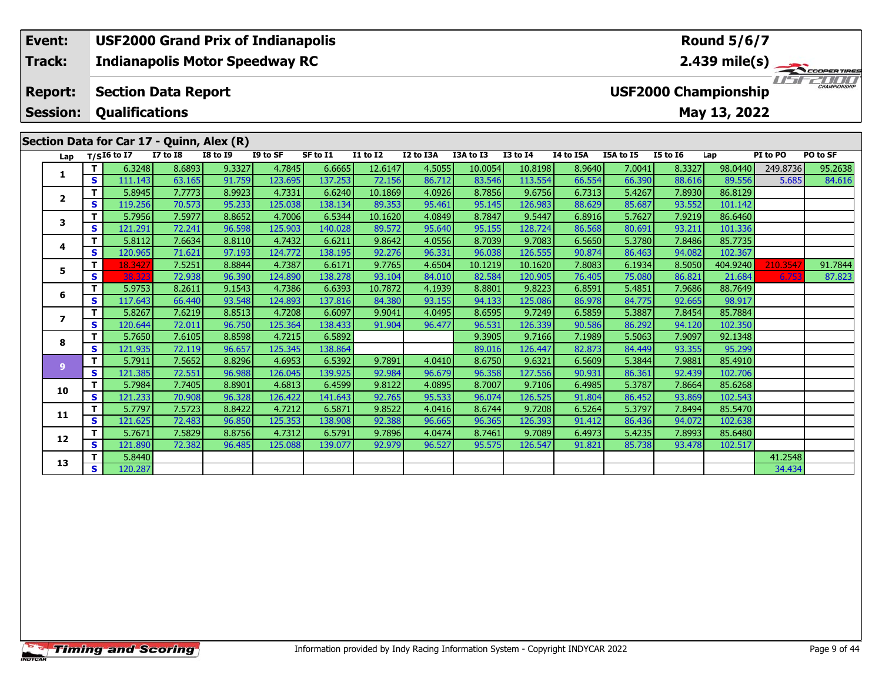### **Event: USF2000 Grand Prix of Indianapolis Round 5/6/7Track:Indianapolis Motor Speedway RC 2.439 mile(s)** 1151521111 **Report: Section Data Report USF2000 Championship Session: Qualifications May 13, 2022 Section Data for Car 17 - Quinn, Alex (R) Lap T/SI6 to I7 I7 to I8 I8 to I9 I9 to SF SF to I1 I1 to I2 I2 to I3A I3A to I3 I3 to I4 I4 to I5A I5A to I5 I5 to I6 Lap PI to PO PO to SF**

**<sup>T</sup>** 5.8945 7.7773 8.9923 4.7331 6.6240 10.1869 4.0926 8.7856 9.6756 6.7313 5.4267 7.8930 86.8129 **<sup>S</sup>** 119.256 70.573 95.233 125.038 138.134 89.353 95.461 95.145 126.983 88.629 85.687 93.552 101.142

**<sup>T</sup>** 5.7956 7.5977 8.8652 4.7006 6.5344 10.1620 4.0849 8.7847 9.5447 6.8916 5.7627 7.9219 86.6460 **<sup>S</sup>** 121.291 72.241 96.598 125.903 140.028 89.572 95.640 95.155 128.724 86.568 80.691 93.211 101.336

**<sup>T</sup>** 5.8112 7.6634 8.8110 4.7432 6.6211 9.8642 4.0556 8.7039 9.7083 6.5650 5.3780 7.8486 85.7735 **<sup>S</sup>** 120.965 71.621 97.193 124.772 138.195 92.276 96.331 96.038 126.555 90.874 86.463 94.082 102.367

**<sup>T</sup>** 5.9753 8.2611 9.1543 4.7386 6.6393 10.7872 4.1939 8.8801 9.8223 6.8591 5.4851 7.9686 88.7649 **<sup>S</sup>** 117.643 66.440 93.548 124.893 137.816 84.380 93.155 94.133 125.086 86.978 84.775 92.665 98.917

**<sup>T</sup>** 5.8267 7.6219 8.8513 4.7208 6.6097 9.9041 4.0495 8.6595 9.7249 6.5859 5.3887 7.8454 85.7884 **<sup>S</sup>** 120.644 72.011 96.750 125.364 138.433 91.904 96.477 96.531 126.339 90.586 86.292 94.120 102.350

**<sup>T</sup>** 5.7650 7.6105 8.8598 4.7215 6.5892 9.3905 9.7166 7.1989 5.5063 7.9097 92.1348 **<sup>S</sup>** 121.935 72.119 96.657 125.345 138.864 89.016 126.447 82.873 84.449 93.355 95.299

**<sup>T</sup>** 5.7911 7.5652 8.8296 4.6953 6.5392 9.7891 4.0410 8.6750 9.6321 6.5609 5.3844 7.9881 85.4910 **<sup>S</sup>** 121.385 72.551 96.988 126.045 139.925 92.984 96.679 96.358 127.556 90.931 86.361 92.439 102.706

**<sup>T</sup>** 5.7984 7.7405 8.8901 4.6813 6.4599 9.8122 4.0895 8.7007 9.7106 6.4985 5.3787 7.8664 85.6268 **<sup>S</sup>** 121.233 70.908 96.328 126.422 141.643 92.765 95.533 96.074 126.525 91.804 86.452 93.869 102.543

**<sup>T</sup>** 5.7797 7.5723 8.8422 4.7212 6.5871 9.8522 4.0416 8.6744 9.7208 6.5264 5.3797 7.8494 85.5470 **<sup>S</sup>** 121.625 72.483 96.850 125.353 138.908 92.388 96.665 96.365 126.393 91.412 86.436 94.072 102.638

**<sup>T</sup>** 5.7671 7.5829 8.8756 4.7312 6.5791 9.7896 4.0474 8.7461 9.7089 6.4973 5.4235 7.8993 85.6480 **<sup>S</sup>** 121.890 72.382 96.485 125.088 139.077 92.979 96.527 95.575 126.547 91.821 85.738 93.478 102.517

**T** 5.8440 41.2548<br> **S** 120.287 34.434

1 | T | 6.3248| 8.6893| 9.3327| 4.7845| 6.6665| 12.6147| 4.5055| 10.0054| 10.8198| 8.9640| 7.0041| 8.3327| 98.0440| 249.8736| 95.2638<br>1 | S | 111.143| 63.165| 91.759| 123.695| 137.253| 72.156| 86.712| 83.546| 113.554| 66.5

5 | T 18.3427| 7.5251| 8.8844| 4.7387| 6.6171| 9.7765| 4.6504| 10.1219| 10.1620| 7.8083| 6.1934| 8.5050|404.9240| 210.3547| 91.7844<br>| S 38.323| 72.938| 96.390| 124.890| 138.278| 93.104| 84.010| 82.584| 120.905| 76.405| 75.

| <b>Timing and Scoring</b> |  |  |
|---------------------------|--|--|

**1**

**2**

**3**

**4**

**5**

**6**

**7**

**8**

**9**

**10**

**11**

**12**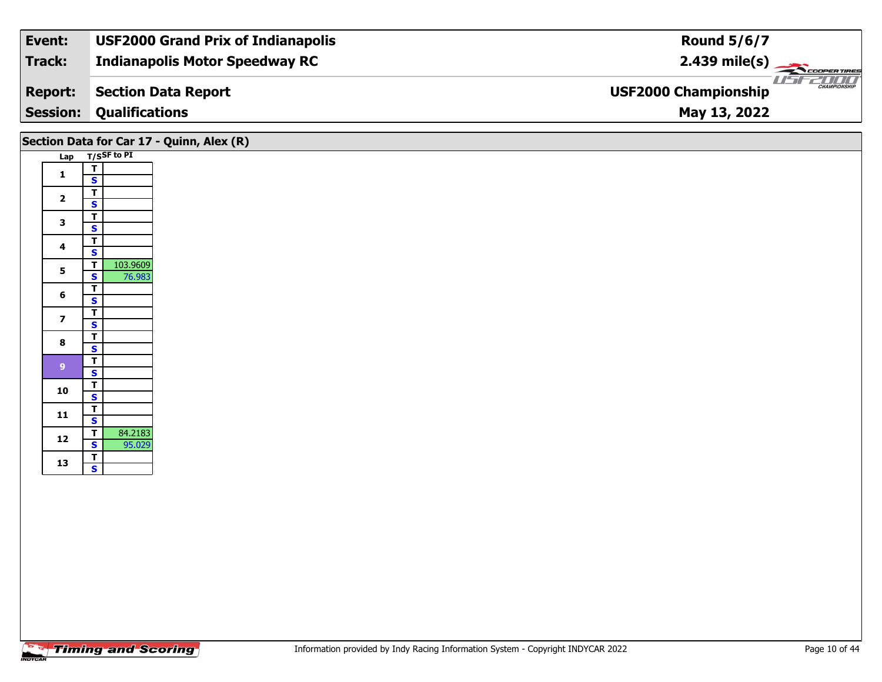| Event:          | <b>USF2000 Grand Prix of Indianapolis</b> | <b>Round 5/6/7</b>                                 |
|-----------------|-------------------------------------------|----------------------------------------------------|
| Track:          | <b>Indianapolis Motor Speedway RC</b>     | $2.439 \text{ mile(s)}$                            |
| <b>Report:</b>  | <b>Section Data Report</b>                | <b>CHAMPIONSHIP</b><br><b>USF2000 Championship</b> |
| <b>Session:</b> | <b>Qualifications</b>                     | May 13, 2022                                       |
|                 |                                           |                                                    |

|                         |                                                       | Section Data for Car 17 - Quinn, Alex (R) |
|-------------------------|-------------------------------------------------------|-------------------------------------------|
|                         | Lap T/SSF to PI                                       |                                           |
| $\mathbf{1}$            | $\mathbf T$<br>$\mathbf{s}$                           |                                           |
|                         | $\overline{\mathsf{r}}$                               |                                           |
| $\overline{\mathbf{2}}$ | $\overline{\mathbf{s}}$                               |                                           |
| $\mathbf{3}$            | $\overline{\mathsf{r}}$<br>$\overline{\mathbf{s}}$    |                                           |
| $\overline{\mathbf{4}}$ | $\overline{\mathbf{T}}$                               |                                           |
| $\overline{\mathbf{5}}$ | $\overline{\mathbf{s}}$<br>103.9609<br>$\overline{I}$ |                                           |
|                         | 76.983<br>$\overline{\mathbf{s}}$                     |                                           |
| $\bf 6$                 | $\overline{\mathsf{r}}$<br>$\mathbf{s}$               |                                           |
| $\overline{\mathbf{z}}$ | $\overline{\mathsf{r}}$                               |                                           |
| $\bf{8}$                | $\mathbf{s}$<br>$\overline{\mathsf{T}}$               |                                           |
|                         | $\overline{\mathbf{s}}$<br>$\overline{t}$             |                                           |
| 9                       | $\mathbf{s}$                                          |                                           |
| 10                      | $\overline{\mathsf{r}}$<br>$\overline{\mathbf{s}}$    |                                           |
| 11                      | $\overline{\mathbf{T}}$                               |                                           |
|                         | $\mathbf{s}$<br>84.2183<br>$\overline{t}$             |                                           |
| 12                      | 95.029<br>S                                           |                                           |
| 13                      | $\overline{\mathbf{r}}$<br>$\mathbf{s}$               |                                           |
|                         |                                                       |                                           |
|                         |                                                       |                                           |
|                         |                                                       |                                           |

┑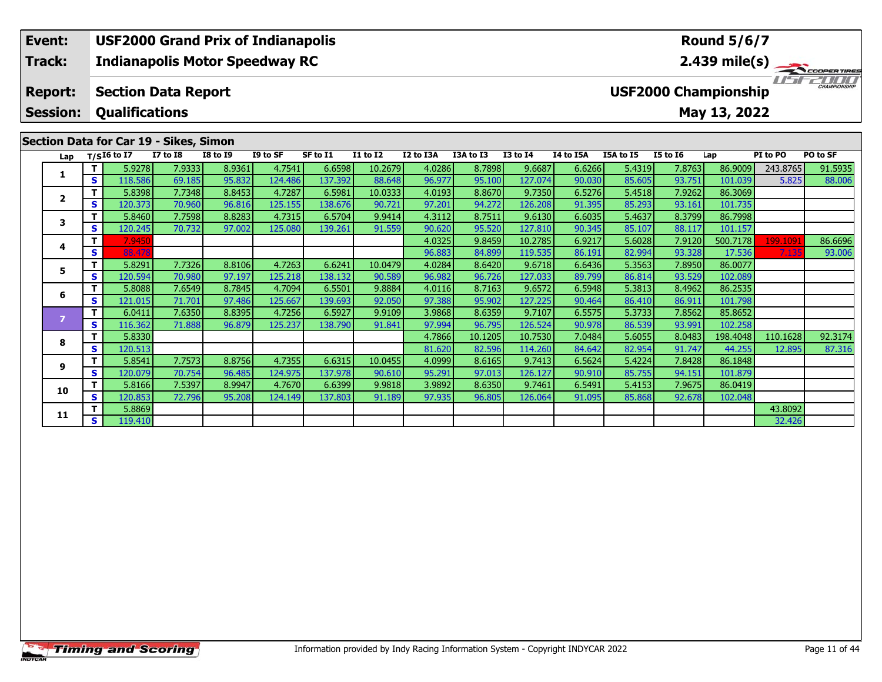### **Event: USF2000 Grand Prix of Indianapolis Round 5/6/7Track:Indianapolis Motor Speedway RC 2.439 mile(s)** 11515211111 **Report: Section Data Report USF2000 Championship Session: Qualifications May 13, 2022 Section Data for Car 19 - Sikes, Simon Lap T/SI6 to I7 I7 to I8 I8 to I9 I9 to SF SF to I1 I1 to I2 I2 to I3A I3A to I3 I3 to I4 I4 to I5A I5A to I5 I5 to I6 Lap PI to PO PO to SF**

**<sup>T</sup>** 5.8398 7.7348 8.8453 4.7287 6.5981 10.0333 4.0193 8.8670 9.7350 6.5276 5.4518 7.9262 86.3069 **<sup>S</sup>** 120.373 70.960 96.816 125.155 138.676 90.721 97.201 94.272 126.208 91.395 85.293 93.161 101.735

**<sup>T</sup>** 5.8460 7.7598 8.8283 4.7315 6.5704 9.9414 4.3112 8.7511 9.6130 6.6035 5.4637 8.3799 86.7998 **<sup>S</sup>** 120.245 70.732 97.002 125.080 139.261 91.559 90.620 95.520 127.810 90.345 85.107 88.117 101.157

**<sup>T</sup>** 5.8291 7.7326 8.8106 4.7263 6.6241 10.0479 4.0284 8.6420 9.6718 6.6436 5.3563 7.8950 86.0077 **<sup>S</sup>** 120.594 70.980 97.197 125.218 138.132 90.589 96.982 96.726 127.033 89.799 86.814 93.529 102.089

**<sup>T</sup>** 5.8088 7.6549 8.7845 4.7094 6.5501 9.8884 4.0116 8.7163 9.6572 6.5948 5.3813 8.4962 86.2535 **<sup>S</sup>** 121.015 71.701 97.486 125.667 139.693 92.050 97.388 95.902 127.225 90.464 86.410 86.911 101.798

**<sup>T</sup>** 6.0411 7.6350 8.8395 4.7256 6.5927 9.9109 3.9868 8.6359 9.7107 6.5575 5.3733 7.8562 85.8652 **<sup>S</sup>** 116.362 71.888 96.879 125.237 138.790 91.841 97.994 96.795 126.524 90.978 86.539 93.991 102.258

**<sup>T</sup>** 5.8541 7.7573 8.8756 4.7355 6.6315 10.0455 4.0999 8.6165 9.7413 6.5624 5.4224 7.8428 86.1848 **<sup>S</sup>** 120.079 70.754 96.485 124.975 137.978 90.610 95.291 97.013 126.127 90.910 85.755 94.151 101.879

**<sup>T</sup>** 5.8166 7.5397 8.9947 4.7670 6.6399 9.9818 3.9892 8.6350 9.7461 6.5491 5.4153 7.9675 86.0419 **<sup>S</sup>** 120.853 72.796 95.208 124.149 137.803 91.189 97.935 96.805 126.064 91.095 85.868 92.678 102.048

**T** 5.8869 43.8092 43.8092 43.8092<br>**S** 119.410 32.426

1 | T | 5.9278| 7.9333| 8.9361| 4.7541| 6.6598| 10.2679| 4.0286| 8.7898| 9.6687| 6.6266| 5.4319| 7.8763| 86.9009| 243.8765| 91.5935<br>1 | S | 118.586| 69.185| 95.832| 124.486| 137.392| 88.648| 96.977| 95.100| 127.074| 90.030

**<sup>T</sup>** 7.9450 4.0325 9.8459 10.2785 6.9217 5.6028 7.9120 500.7178 199.1091 86.6696 **<sup>S</sup>** 88.478 96.883 84.899 119.535 86.191 82.994 93.328 17.536 7.135 93.006

**<sup>T</sup>** 5.8330 4.7866 10.1205 10.7530 7.0484 5.6055 8.0483 198.4048 110.1628 92.3174 **<sup>S</sup>** 120.513 81.620 82.596 114.260 84.642 82.954 91.747 44.255 12.895 87.316

**1**

**2**

**3**

**4**

**5**

**6**

**8**

**9**

**10**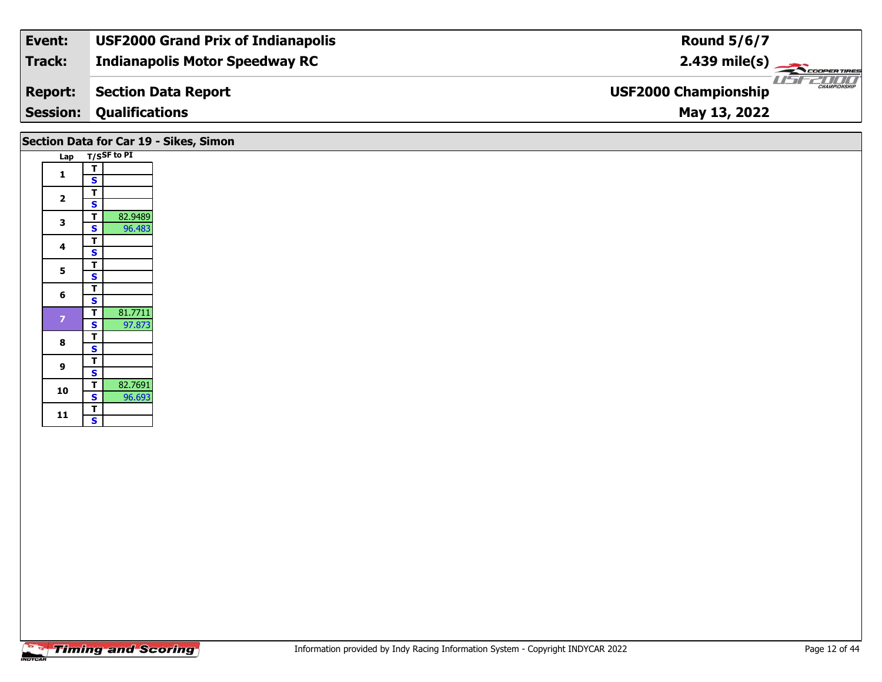| Event:          | <b>USF2000 Grand Prix of Indianapolis</b> | <b>Round 5/6/7</b>                                 |  |
|-----------------|-------------------------------------------|----------------------------------------------------|--|
| Track:          | <b>Indianapolis Motor Speedway RC</b>     | $2.439 \text{ mile(s)}$                            |  |
| <b>Report:</b>  | Section Data Report                       | <b>CHAMPIONSHIP</b><br><b>USF2000 Championship</b> |  |
| <b>Session:</b> | <b>Qualifications</b>                     | May 13, 2022                                       |  |
|                 |                                           |                                                    |  |

|                |                                             | Section Data for Car 19 - Sikes, Simon |
|----------------|---------------------------------------------|----------------------------------------|
|                | Lap T/SSF to PI                             |                                        |
| 1              | T.<br>S                                     |                                        |
| $\mathbf{2}$   | T.<br>$\mathbf{s}$                          |                                        |
| 3              | T<br>82.9489<br>96.483<br>s l               |                                        |
| 4              | T.<br>S                                     |                                        |
| 5              | $\overline{T}$<br>$\overline{\mathbf{s}}$   |                                        |
| 6              | T.<br>$\overline{\mathbf{s}}$               |                                        |
| $\overline{7}$ | 81.7711<br>$\mathbf{T}$<br>97.873<br>s l    |                                        |
| 8              | T.<br><b>S</b>                              |                                        |
| $\mathbf{9}$   | T.<br>$\mathbf{s}$                          |                                        |
| 10             | 82.7691<br>T<br>$\vert$ s $\vert$<br>96.693 |                                        |
| 11             | T.<br>$\mathbf{s}$                          |                                        |
|                |                                             |                                        |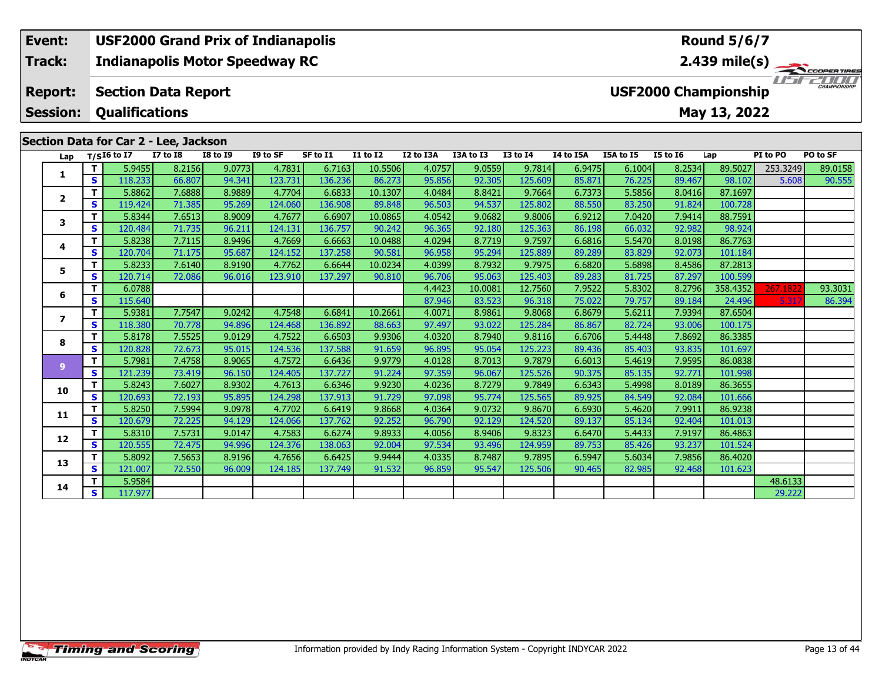#### **Event: USF2000 Grand Prix of Indianapolis Round 5/6/7Indianapolis Motor Speedway RC 2.439 mile(s) Track:** COOPERTIRES USFZUUD **Report: Section Data Report USF2000 Championship Qualifications Session:May 13, 2022 Section Data for Car 2 - Lee, Jackson**

|                         | Lap                           | $T/SI6$ to I7     | <b>I7 to I8</b>  | <b>I8 to I9</b>  | I9 to SF          | SF to I1          | <b>I1 to I2</b>  | I2 to I3A        | I3A to I3        | <b>I3 to I4</b>   | I4 to I5A        | I5A to I5        | <b>I5 to 16</b>  | Lap                | PI to PO | PO to SF |
|-------------------------|-------------------------------|-------------------|------------------|------------------|-------------------|-------------------|------------------|------------------|------------------|-------------------|------------------|------------------|------------------|--------------------|----------|----------|
|                         | T.                            | 5.9455            | 8.2156           | 9.0773           | 4.7831            | 6.7163            | 10.5506          | 4.0757           | 9.0559           | 9.7814            | 6.9475           | 6.1004           | 8.2534           | 89.5027            | 253.3249 | 89.0158  |
| 1                       | $\mathbf{s}$                  | 118.233           | 66.807           | 94.341           | 123.731           | 136.236           | 86.273           | 95.856           | 92.305           | 125.609           | 85.871           | 76.225           | 89.467           | 98.102             | 5.608    | 90.555   |
| $\overline{\mathbf{2}}$ | Т                             | 5.8862            | 7.6888           | 8.9889           | 4.7704            | 6.6833            | 10.1307          | 4.0484           | 8.8421           | 9.7664            | 6.7373           | 5.5856           | 8.0416           | 87.1697            |          |          |
|                         | S                             | 119.424           | 71.385           | 95.269           | 124.060           | 136.908           | 89.848           | 96.503           | 94.537           | 125.802           | 88.550           | 83.250           | 91.824           | 100.728            |          |          |
| 3                       | T.                            | 5.8344            | 7.6513           | 8.9009           | 4.7677            | 6.6907            | 10.0865          | 4.0542           | 9.0682           | 9.8006            | 6.9212           | 7.0420           | 7.9414           | 88.7591            |          |          |
|                         | S                             | 120.484           | 71.735           | 96.211           | 124.131           | 136.757           | 90.242           | 96.365           | 92.180           | 125.363           | 86.198           | 66.032           | 92.982           | 98.924             |          |          |
| 4                       | T                             | 5.8238            | 7.7115           | 8.9496           | 4.7669            | 6.6663            | 10.0488          | 4.0294           | 8.7719           | 9.7597            | 6.6816           | 5.5470           | 8.0198           | 86.7763            |          |          |
|                         | S                             | 120.704           | 71.175           | 95.687           | 124.152           | 137.258           | 90.581           | 96.958           | 95.294           | 125.889           | 89.289           | 83.829           | 92.073           | 101.184            |          |          |
| 5                       | T.                            | 5.8233            | 7.6140           | 8.9190           | 4.7762            | 6.6644            | 10.0234          | 4.0399           | 8.7932           | 9.7975            | 6.6820           | 5.6898           | 8.4586           | 87.2813            |          |          |
|                         | S                             | 120.714           | 72.086           | 96.016           | 123.910           | 137.297           | 90.810           | 96.706           | 95.063           | 125.403           | 89.283           | 81.725           | 87.297           | 100.599            |          |          |
| 6                       | T.                            | 6.0788            |                  |                  |                   |                   |                  | 4.4423           | 10.0081          | 12.7560           | 7.9522           | 5.8302           | 8.2796           | 358.4352           | 267.1822 | 93.3031  |
|                         | S                             | 115.640           |                  |                  |                   |                   |                  | 87.946           | 83.523           | 96.318            | 75.022           | 79.757           | 89.184           | 24.496             | 5.31     | 86.394   |
| $\overline{\mathbf{z}}$ | T.                            | 5.9381            | 7.7547           | 9.0242           | 4.7548            | 6.6841            | 10.2661          | 4.0071           | 8.9861           | 9.8068            | 6.8679           | 5.6211           | 7.9394           | 87.6504            |          |          |
|                         | S                             | 118.380           | 70.778           | 94.896           | 124.468           | 136.892           | 88.663           | 97.497           | 93.022           | 125.284           | 86.867           | 82.724           | 93.006           | 100.175            |          |          |
| 8                       | T.                            | 5.8178            | 7.5525           | 9.0129           | 4.7522            | 6.6503            | 9.9306           | 4.0320           | 8.7940           | 9.8116            | 6.6706           | 5.4448           | 7.8692           | 86.3385            |          |          |
|                         | S                             | 120.828           | 72.673           | 95.015           | 124.536           | 137.588           | 91.659           | 96.895           | 95.054           | 125.223           | 89.436           | 85.403           | 93.835           | 101.697            |          |          |
| $\overline{9}$          | $\mathbf{T}$                  | 5.7981            | 7.4758           | 8.9065           | 4.7572            | 6.6436            | 9.9779           | 4.0128           | 8.7013           | 9.7879            | 6.6013           | 5.4619           | 7.9595           | 86.0838            |          |          |
|                         | S                             | 121.239           | 73.419           | 96.150           | 124.405           | 137.727           | 91.224           | 97.359           | 96.067           | 125.526           | 90.375           | 85.135           | 92.771           | 101.998            |          |          |
| 10                      | $\mathbf{T}$                  | 5.8243            | 7.6027           | 8.9302           | 4.7613            | 6.6346            | 9.9230           | 4.0236           | 8.7279           | 9.7849            | 6.6343           | 5.4998           | 8.0189           | 86.3655            |          |          |
|                         | S                             | 120.693           | 72.193           | 95.895           | 124.298           | 137.913           | 91.729           | 97.098           | 95.774           | 125.565           | 89.925           | 84.549           | 92.084           | 101.666            |          |          |
| 11                      | T.<br>$\overline{\mathbf{s}}$ | 5.8250            | 7.5994           | 9.0978           | 4.7702            | 6.6419            | 9.8668           | 4.0364           | 9.0732<br>92.129 | 9.8670            | 6.6930           | 5.4620           | 7.9911           | 86.9238<br>101.013 |          |          |
|                         |                               | 120.679           | 72.225           | 94.129           | 124.066<br>4.7583 | 137.762           | 92.252           | 96.790<br>4.0056 |                  | 124.520           | 89.137           | 85.134<br>5.4433 | 92.404           |                    |          |          |
| 12                      | T.<br>$\overline{\mathbf{s}}$ | 5.8310<br>120.555 | 7.5731<br>72.475 | 9.0147<br>94.996 | 124.376           | 6.6274<br>138.063 | 9.8933<br>92.004 | 97.534           | 8.9406<br>93.496 | 9.8323<br>124.959 | 6.6470<br>89.753 | 85.426           | 7.9197<br>93.237 | 86.4863<br>101.524 |          |          |
|                         | $\mathbf{T}$                  | 5.8092            | 7.5653           | 8.9196           | 4.7656            | 6.6425            | 9.9444           | 4.0335           | 8.7487           | 9.7895            | 6.5947           | 5.6034           | 7.9856           | 86.4020            |          |          |
| 13                      | <b>S</b>                      | 121.007           | 72.550           | 96.009           | 124.185           | 137.749           | 91.532           | 96.859           | 95.547           | 125.506           | 90.465           | 82.985           | 92.468           | 101.623            |          |          |
|                         | T.                            | 5.9584            |                  |                  |                   |                   |                  |                  |                  |                   |                  |                  |                  |                    | 48.6133  |          |
| 14                      | S                             | 117.977           |                  |                  |                   |                   |                  |                  |                  |                   |                  |                  |                  |                    | 29.222   |          |
|                         |                               |                   |                  |                  |                   |                   |                  |                  |                  |                   |                  |                  |                  |                    |          |          |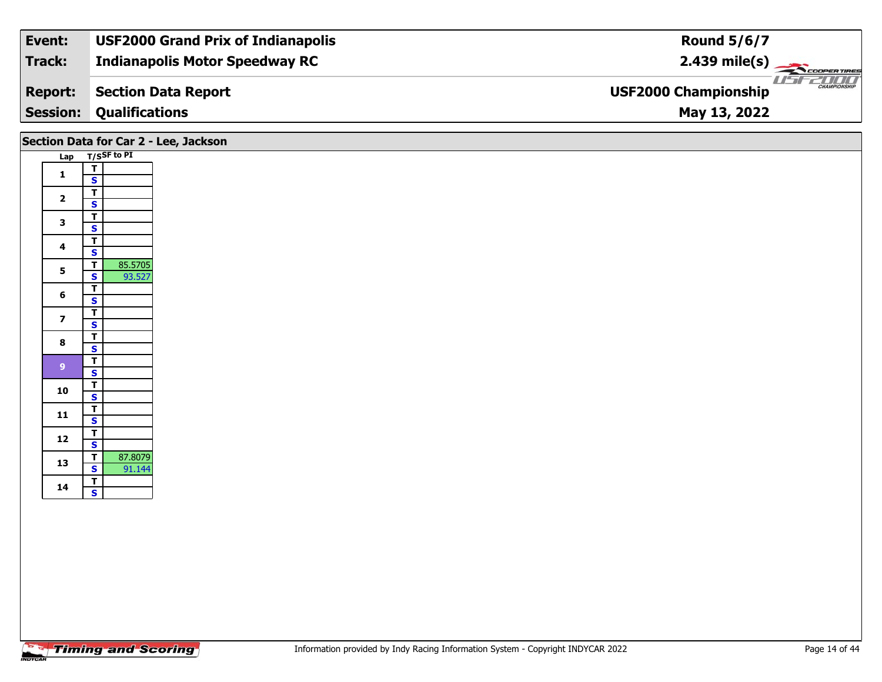| Event:          | <b>USF2000 Grand Prix of Indianapolis</b> | <b>Round 5/6/7</b>                                 |
|-----------------|-------------------------------------------|----------------------------------------------------|
| Track:          | <b>Indianapolis Motor Speedway RC</b>     | $2.439 \text{ mile(s)}$                            |
| <b>Report:</b>  | Section Data Report                       | <b>CHAMPIONSHIP</b><br><b>USF2000 Championship</b> |
| <b>Session:</b> | <b>Qualifications</b>                     | May 13, 2022                                       |

|                         |                                           | Section Data for Car 2 - Lee, Jackson |
|-------------------------|-------------------------------------------|---------------------------------------|
|                         | Lap T/SSF to PI                           |                                       |
| $\mathbf{1}$            | $\overline{\mathsf{T}}$                   |                                       |
|                         | $\mathbf{s}$                              |                                       |
| $\overline{\mathbf{2}}$ | $\overline{\mathsf{r}}$                   |                                       |
|                         | $\mathbf{s}$                              |                                       |
| $\mathbf{3}$            | $\overline{I}$<br>$\overline{\mathbf{s}}$ |                                       |
|                         | $\overline{\mathsf{T}}$                   |                                       |
| $\overline{\mathbf{4}}$ | $\overline{\mathbf{s}}$                   |                                       |
| 5 <sub>5</sub>          | 85.5705<br>$\overline{r}$                 |                                       |
|                         | 93.527<br>$\mathbf{s}$                    |                                       |
| $6\phantom{a}$          | $\overline{\mathsf{T}}$                   |                                       |
|                         | $\mathsf{s}$<br>$\overline{\mathsf{r}}$   |                                       |
| $\overline{\mathbf{z}}$ | $\overline{\mathbf{s}}$                   |                                       |
|                         | $\overline{\mathsf{r}}$                   |                                       |
| $\bf{8}$                | $\overline{\mathbf{s}}$                   |                                       |
| 9 <sup>°</sup>          | $rac{1}{s}$                               |                                       |
|                         |                                           |                                       |
| 10                      | $rac{1}{s}$                               |                                       |
|                         | $\overline{I}$                            |                                       |
| $11$                    | $\mathbf{s}$                              |                                       |
|                         |                                           |                                       |
| 12                      | $rac{1}{s}$                               |                                       |
| 13                      | 87.8079<br>$\overline{\mathbf{r}}$        |                                       |
|                         | 91.144<br>$\overline{\mathbf{s}}$         |                                       |
| 14                      | $rac{1}{s}$                               |                                       |
|                         |                                           |                                       |
|                         |                                           |                                       |
|                         |                                           |                                       |
|                         |                                           |                                       |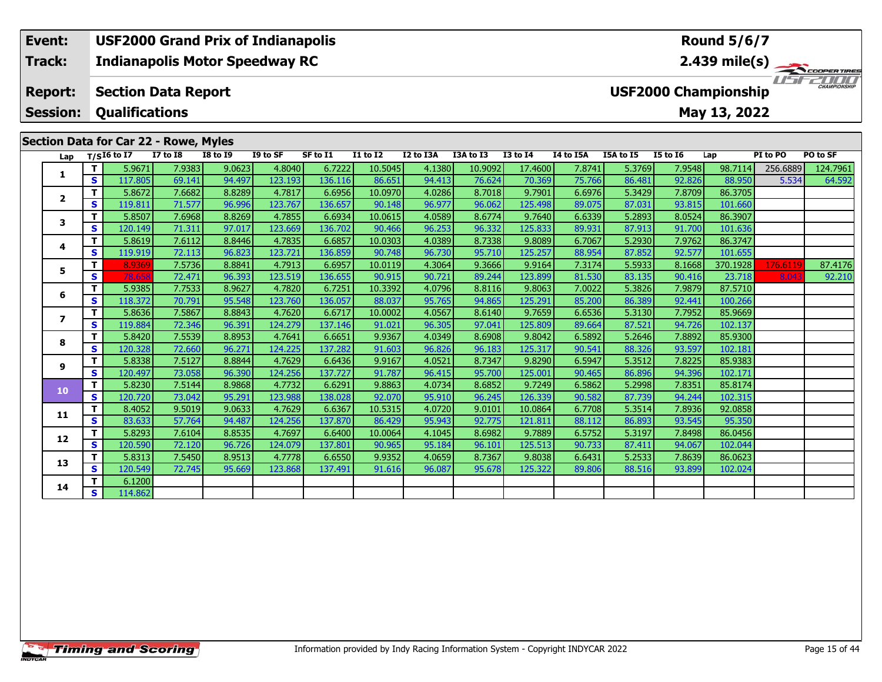# **Event: USF2000 Grand Prix of Indianapolis Round 5/6/7Track:Indianapolis Motor Speedway RC 2.439 mile(s)** WSFZOOD, **USF2000 Championship Report: Section Data Report Qualifications Session:May 13, 2022 Section Data for Car 22 - Rowe, Myles Lap T/SI6 to I7 I7 to I8 I8 to I9 I9 to SF SF to I1 I1 to I2 I2 to I3A I3A to I3 I3 to I4 I4 to I5A I5A to I5 I5 to I6 Lap PI to PO PO to SF**

| Lap                     |   | $1/510 \omega 17$ | 17010  | 10 IU 15 | 12 W JI | <b>SF LO 11</b> | 11 W 12 | 14 W 13M | <b>TAM 19</b> | 13 W 14 | 17 W 13A | <b>LJA WIJ</b> | 15 to 10 | ∟aµ      | <b>FIWFU</b> | ru war   |
|-------------------------|---|-------------------|--------|----------|---------|-----------------|---------|----------|---------------|---------|----------|----------------|----------|----------|--------------|----------|
| 1                       |   | 5.9671            | 7.9383 | 9.0623   | 4.8040  | 6.7222          | 10.5045 | 4.1380   | 10.9092       | 17.4600 | 7.8741   | 5.3769         | 7.9548   | 98.7114  | 256.6889     | 124.7961 |
|                         | S | 117.805           | 69.141 | 94.497   | 123.193 | 136.116         | 86.651  | 94.413   | 76.624        | 70.369  | 75.766   | 86.481         | 92.826   | 88.950   | 5.534        | 64.592   |
| $\overline{2}$          |   | 5.8672            | 7.6682 | 8.8289   | 4.7817  | 6.6956          | 10.0970 | 4.0286   | 8.7018        | 9.7901  | 6.6976   | 5.3429         | 7.8709   | 86.3705  |              |          |
|                         | s | 119.811           | 71.577 | 96.996   | 123.767 | 136.657         | 90.148  | 96.977   | 96.062        | 125.498 | 89.075   | 87.031         | 93.815   | 101.660  |              |          |
| 3                       |   | 5.8507            | 7.6968 | 8.8269   | 4.7855  | 6.6934          | 10.0615 | 4.0589   | 8.6774        | 9.7640  | 6.6339   | 5.2893         | 8.0524   | 86.3907  |              |          |
|                         | S | 120.149           | 71.311 | 97.017   | 123.669 | 136.702         | 90.466  | 96.253   | 96.332        | 125.833 | 89.931   | 87.913         | 91.700   | 101.636  |              |          |
| 4                       |   | 5.8619            | 7.6112 | 8.8446   | 4.7835  | 6.6857          | 10.0303 | 4.0389   | 8.7338        | 9.8089  | 6.7067   | 5.2930         | 7.9762   | 86.3747  |              |          |
|                         | S | 119.919           | 72.113 | 96.823   | 123.721 | 136.859         | 90.748  | 96.730   | 95.710        | 125.257 | 88.954   | 87.852         | 92.577   | 101.655  |              |          |
| 5                       |   | 8.9369            | 7.5736 | 8.8841   | 4.7913  | 6.6957          | 10.0119 | 4.3064   | 9.3666        | 9.9164  | 7.3174   | 5.5933         | 8.1668   | 370.1928 | 176.6119     | 87.4176  |
|                         | S | 78.658            | 72.471 | 96.393   | 123.519 | 136.655         | 90.915  | 90.721   | 89.244        | 123.899 | 81.530   | 83.135         | 90.416   | 23.718   | 8.043        | 92.210   |
| 6                       |   | 5.9385            | 7.7533 | 8.9627   | 4.7820  | 6.7251          | 10.3392 | 4.0796   | 8.8116        | 9.8063  | 7.0022   | 5.3826         | 7.9879   | 87.5710  |              |          |
|                         | S | 118.372           | 70.791 | 95.548   | 123.760 | 136.057         | 88.037  | 95.765   | 94.865        | 125.291 | 85.200   | 86.389         | 92.441   | 100.266  |              |          |
| $\overline{\mathbf{z}}$ | т | 5.8636            | 7.5867 | 8.8843   | 4.7620  | 6.6717          | 10.0002 | 4.0567   | 8.6140        | 9.7659  | 6.6536   | 5.3130         | 7.7952   | 85.9669  |              |          |
|                         | s | 119.884           | 72.346 | 96.391   | 124.279 | 137.146         | 91.021  | 96.305   | 97.041        | 125.809 | 89.664   | 87.521         | 94.726   | 102.137  |              |          |
| 8                       |   | 5.8420            | 7.5539 | 8.8953   | 4.7641  | 6.6651          | 9.9367  | 4.0349   | 8.6908        | 9.8042  | 6.5892   | 5.2646         | 7.8892   | 85.9300  |              |          |
|                         | s | 120.328           | 72.660 | 96.271   | 124.225 | 137.282         | 91.603  | 96.826   | 96.183        | 125.317 | 90.541   | 88.326         | 93.597   | 102.181  |              |          |
| 9                       |   | 5.8338            | 7.5127 | 8.8844   | 4.7629  | 6.6436          | 9.9167  | 4.0521   | 8.7347        | 9.8290  | 6.5947   | 5.3512         | 7.8225   | 85.9383  |              |          |
|                         | S | 120.497           | 73.058 | 96.390   | 124.256 | 137.727         | 91.787  | 96.415   | 95.700        | 125.001 | 90.465   | 86.896         | 94.396   | 102.171  |              |          |
| 10                      |   | 5.8230            | 7.5144 | 8.9868   | 4.7732  | 6.6291          | 9.8863  | 4.0734   | 8.6852        | 9.7249  | 6.5862   | 5.2998         | 7.8351   | 85.8174  |              |          |
|                         | S | 120.720           | 73.042 | 95.291   | 123.988 | 138.028         | 92.070  | 95.910   | 96.245        | 126.339 | 90.582   | 87.739         | 94.244   | 102.315  |              |          |
| 11                      |   | 8.4052            | 9.5019 | 9.0633   | 4.7629  | 6.6367          | 10.5315 | 4.0720   | 9.0101        | 10.0864 | 6.7708   | 5.3514         | 7.8936   | 92.0858  |              |          |
|                         | S | 83.633            | 57.764 | 94.487   | 124.256 | 137.870         | 86.429  | 95.943   | 92.775        | 121.811 | 88.112   | 86.893         | 93.545   | 95.350   |              |          |
| 12                      |   | 5.8293            | 7.6104 | 8.8535   | 4.7697  | 6.6400          | 10.0064 | 4.1045   | 8.6982        | 9.7889  | 6.5752   | 5.3197         | 7.8498   | 86.0456  |              |          |
|                         | s | 120.590           | 72.120 | 96.726   | 124.079 | 137.801         | 90.965  | 95.184   | 96.101        | 125.513 | 90.733   | 87.411         | 94.067   | 102.044  |              |          |
| 13                      |   | 5.8313            | 7.5450 | 8.9513   | 4.7778  | 6.6550          | 9.9352  | 4.0659   | 8.7367        | 9.8038  | 6.6431   | 5.2533         | 7.8639   | 86.0623  |              |          |
|                         | S | 120.549           | 72.745 | 95.669   | 123.868 | 137.491         | 91.616  | 96.087   | 95.678        | 125.322 | 89.806   | 88.516         | 93.899   | 102.024  |              |          |
| 14                      |   | 6.1200            |        |          |         |                 |         |          |               |         |          |                |          |          |              |          |
|                         | S | 114.862           |        |          |         |                 |         |          |               |         |          |                |          |          |              |          |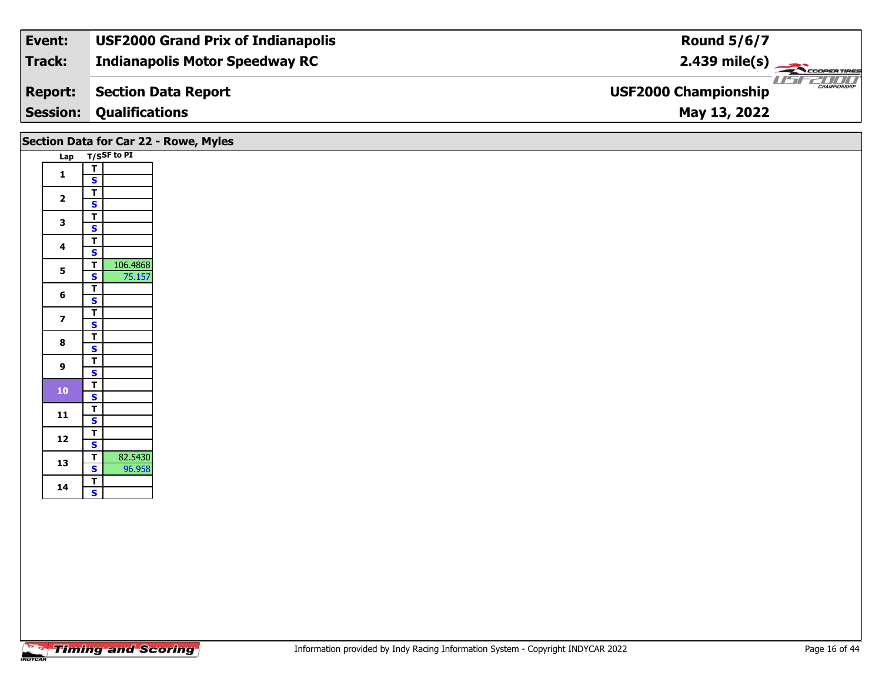| Event:          | <b>USF2000 Grand Prix of Indianapolis</b> | <b>Round 5/6/7</b>                                 |
|-----------------|-------------------------------------------|----------------------------------------------------|
| Track:          | <b>Indianapolis Motor Speedway RC</b>     | $2.439 \text{ mile(s)}$                            |
| <b>Report:</b>  | <b>Section Data Report</b>                | <b>CHAMPIONSHIP</b><br><b>USF2000 Championship</b> |
| <b>Session:</b> | <b>Qualifications</b>                     | May 13, 2022                                       |
|                 |                                           |                                                    |

|                         |                                                                | Section Data for Car 22 - Rowe, Myles |
|-------------------------|----------------------------------------------------------------|---------------------------------------|
|                         | Lap T/SSF to PI                                                |                                       |
| $\mathbf{1}$            | $\mathbf T$<br>$\mathbf{s}$                                    |                                       |
| $\overline{\mathbf{2}}$ | $\overline{\mathsf{T}}$<br>$\overline{\mathbf{s}}$             |                                       |
| $\mathbf{3}$            | $\overline{\mathsf{r}}$                                        |                                       |
|                         | $\overline{\mathbf{s}}$<br>$\overline{\mathsf{T}}$             |                                       |
| 4                       | $\mathsf{s}$<br>106.4868<br>$\overline{t}$                     |                                       |
| $5\phantom{a}$          | $\overline{\mathbf{s}}$<br>75.157                              |                                       |
| $6\phantom{1}$          | $\overline{1}$<br>$\mathbf{s}$                                 |                                       |
| $\overline{\mathbf{z}}$ | $\overline{\mathsf{T}}$<br>$\mathbf{s}$                        |                                       |
| $\bf{8}$                | $\overline{\mathbf{r}}$                                        |                                       |
|                         | $\overline{\mathbf{s}}$<br>$\overline{\mathsf{r}}$             |                                       |
| 9                       | $\mathbf{s}$                                                   |                                       |
| $\bf{10}$               | $rac{1}{s}$                                                    |                                       |
| $11$                    | $rac{1}{s}$                                                    |                                       |
| 12                      | $rac{1}{s}$                                                    |                                       |
| 13                      | 82.5430<br>$\overline{1}$<br>$\overline{\mathbf{s}}$<br>96.958 |                                       |
| 14                      | $rac{1}{s}$                                                    |                                       |
|                         |                                                                |                                       |
|                         |                                                                |                                       |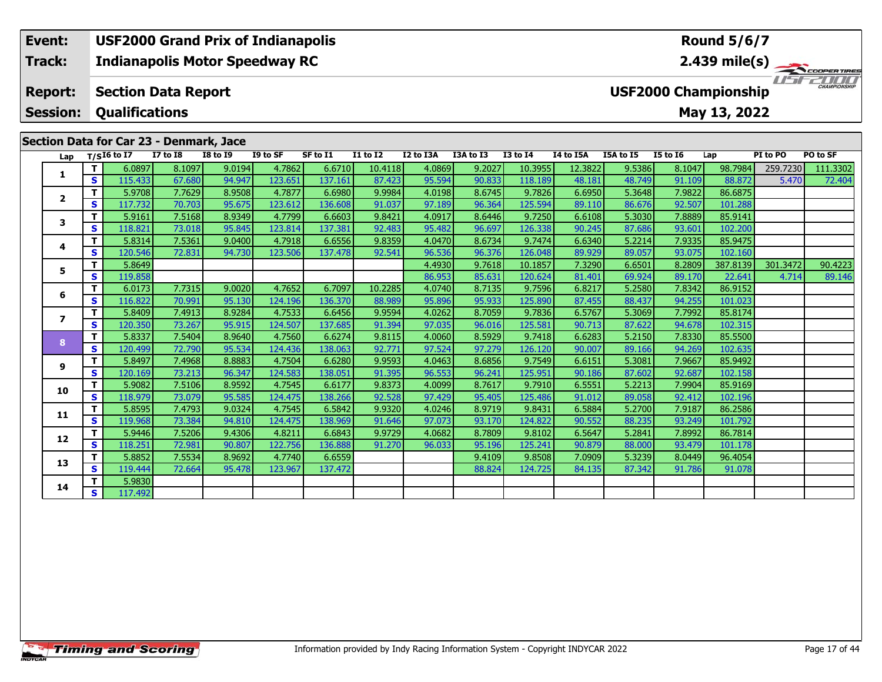#### **Event: USF2000 Grand Prix of Indianapolis Round 5/6/7Indianapolis Motor Speedway RC 2.439 mile(s) Track:** ER TIRES  $T = -T$ **Report: Section Data Report USF2000 Championship Qualifications Session:May 13, 2022 Section Data for Car 23 - Denmark, Jace**

|                         | Secuon Data for Car 25 - Denmark, Jace |                            |                 |                 |          |          |          |           |           |                 |           |           |                 |          |          |          |
|-------------------------|----------------------------------------|----------------------------|-----------------|-----------------|----------|----------|----------|-----------|-----------|-----------------|-----------|-----------|-----------------|----------|----------|----------|
| Lap                     |                                        | $T/SI6$ to $\overline{I7}$ | <b>I7 to I8</b> | <b>I8 to I9</b> | I9 to SF | SF to I1 | I1 to I2 | I2 to I3A | I3A to I3 | <b>I3 to I4</b> | I4 to I5A | I5A to I5 | <b>I5 to I6</b> | Lap      | PI to PO | PO to SF |
|                         | T.                                     | 6.0897                     | 8.1097          | 9.0194          | 4.7862   | 6.6710   | 10.4118  | 4.0869    | 9.2027    | 10.3955         | 12.3822   | 9.5386    | 8.1047          | 98.7984  | 259.7230 | 111.3302 |
| 1                       | S                                      | 115.433                    | 67.680          | 94.947          | 123.651  | 137.161  | 87.423   | 95.594    | 90.833    | 118.189         | 48.181    | 48.749    | 91.109          | 88.872   | 5.470    | 72.404   |
| $\overline{2}$          | T.                                     | 5.9708                     | 7.7629          | 8.9508          | 4.7877   | 6.6980   | 9.9984   | 4.0198    | 8.6745    | 9.7826          | 6.6950    | 5.3648    | 7.9822          | 86.6875  |          |          |
|                         | S                                      | 117.732                    | 70.703          | 95.675          | 123.612  | 136.608  | 91.037   | 97.189    | 96.364    | 125.594         | 89.110    | 86.676    | 92.507          | 101.288  |          |          |
| 3                       | T                                      | 5.9161                     | 7.5168          | 8.9349          | 4.7799   | 6.6603   | 9.8421   | 4.0917    | 8.6446    | 9.7250          | 6.6108    | 5.3030    | 7.8889          | 85.9141  |          |          |
|                         | S                                      | 118.821                    | 73.018          | 95.845          | 123.814  | 137.381  | 92.483   | 95.482    | 96.697    | 126.338         | 90.245    | 87.686    | 93.601          | 102.200  |          |          |
| 4                       | т                                      | 5.8314                     | 7.5361          | 9.0400          | 4.7918   | 6.6556   | 9.8359   | 4.0470    | 8.6734    | 9.7474          | 6.6340    | 5.2214    | 7.9335          | 85.9475  |          |          |
|                         | S                                      | 120.546                    | 72.831          | 94.730          | 123.506  | 137.478  | 92.541   | 96.536    | 96.376    | 126.048         | 89.929    | 89.057    | 93.075          | 102.160  |          |          |
| 5.                      | т                                      | 5.8649                     |                 |                 |          |          |          | 4.4930    | 9.7618    | 10.1857         | 7.3290    | 6.6501    | 8.2809          | 387.8139 | 301.3472 | 90.4223  |
|                         | S                                      | 119.858                    |                 |                 |          |          |          | 86.953    | 85.631    | 120.624         | 81.401    | 69.924    | 89.170          | 22.641   | 4.714    | 89.146   |
| 6                       | т                                      | 6.0173                     | 7.7315          | 9.0020          | 4.7652   | 6.7097   | 10.2285  | 4.0740    | 8.7135    | 9.7596          | 6.8217    | 5.2580    | 7.8342          | 86.9152  |          |          |
|                         | $\mathbf{s}$                           | 116.822                    | 70.991          | 95.130          | 124.196  | 136.370  | 88.989   | 95.896    | 95.933    | 125.890         | 87.455    | 88.437    | 94.255          | 101.023  |          |          |
| $\overline{\mathbf{z}}$ | т                                      | 5.8409                     | 7.4913          | 8.9284          | 4.7533   | 6.6456   | 9.9594   | 4.0262    | 8.7059    | 9.7836          | 6.5767    | 5.3069    | 7.7992          | 85.8174  |          |          |
|                         | $\mathbf{s}$                           | 120.350                    | 73.267          | 95.915          | 124.507  | 137.685  | 91.394   | 97.035    | 96.016    | 125.581         | 90.713    | 87.622    | 94.678          | 102.315  |          |          |
| 8                       | T.                                     | 5.8337                     | 7.5404          | 8.9640          | 4.7560   | 6.6274   | 9.8115   | 4.0060    | 8.5929    | 9.7418          | 6.6283    | 5.2150    | 7.8330          | 85.5500  |          |          |
|                         | $\mathbf{s}$                           | 120.499                    | 72.790          | 95.534          | 124.436  | 138.063  | 92.771   | 97.524    | 97.279    | 126.120         | 90.007    | 89.166    | 94.269          | 102.635  |          |          |
| 9                       | T.                                     | 5.8497                     | 7.4968          | 8.8883          | 4.7504   | 6.6280   | 9.9593   | 4.0463    | 8.6856    | 9.7549          | 6.6151    | 5.3081    | 7.9667          | 85.9492  |          |          |
|                         | $\mathbf{s}$                           | 120.169                    | 73.213          | 96.347          | 124.583  | 138.051  | 91.395   | 96.553    | 96.241    | 125.951         | 90.186    | 87.602    | 92.687          | 102.158  |          |          |
| 10                      | T.                                     | 5.9082                     | 7.5106          | 8.9592          | 4.7545   | 6.6177   | 9.8373   | 4.0099    | 8.7617    | 9.7910          | 6.5551    | 5.2213    | 7.9904          | 85.9169  |          |          |
|                         | $\overline{\mathbf{s}}$                | 118.979                    | 73.079          | 95.585          | 124.475  | 138.266  | 92.528   | 97.429    | 95.405    | 125.486         | 91.012    | 89.058    | 92.412          | 102.196  |          |          |
| 11                      | T.                                     | 5.8595                     | 7.4793          | 9.0324          | 4.7545   | 6.5842   | 9.9320   | 4.0246    | 8.9719    | 9.8431          | 6.5884    | 5.2700    | 7.9187          | 86.2586  |          |          |
|                         | S                                      | 119.968                    | 73.384          | 94.810          | 124.475  | 138.969  | 91.646   | 97.073    | 93.170    | 124.822         | 90.552    | 88.235    | 93.249          | 101.792  |          |          |
| 12                      | T.                                     | 5.9446                     | 7.5206          | 9.4306          | 4.8211   | 6.6843   | 9.9729   | 4.0682    | 8.7809    | 9.8102          | 6.5647    | 5.2841    | 7.8992          | 86.7814  |          |          |
|                         | S                                      | 118.251                    | 72.981          | 90.807          | 122.756  | 136.888  | 91.270   | 96.033    | 95.196    | 125.241         | 90.879    | 88.000    | 93.479          | 101.178  |          |          |
| 13                      | T.                                     | 5.8852                     | 7.5534          | 8.9692          | 4.7740   | 6.6559   |          |           | 9.4109    | 9.8508          | 7.0909    | 5.3239    | 8.0449          | 96.4054  |          |          |
|                         | S                                      | 119.444                    | 72.664          | 95.478          | 123.967  | 137.472  |          |           | 88.824    | 124.725         | 84.135    | 87.342    | 91.786          | 91.078   |          |          |
| 14                      | т                                      | 5.9830                     |                 |                 |          |          |          |           |           |                 |           |           |                 |          |          |          |
|                         | S                                      | 117.492                    |                 |                 |          |          |          |           |           |                 |           |           |                 |          |          |          |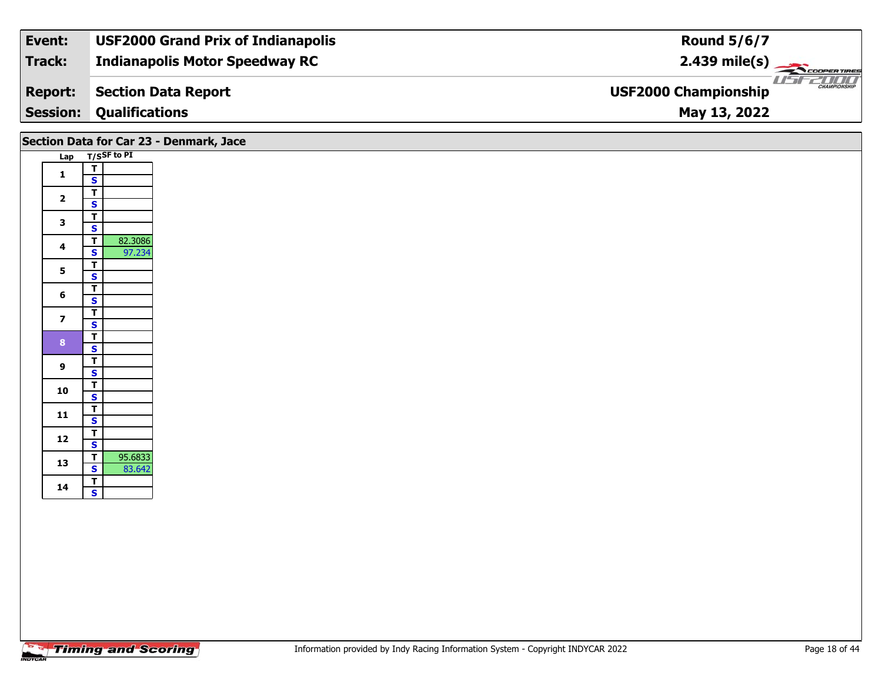| Track:<br><b>Indianapolis Motor Speedway RC</b><br>$2.439 \text{ mile(s)}$ |                     |
|----------------------------------------------------------------------------|---------------------|
|                                                                            |                     |
| <b>USF2000 Championship</b><br>Section Data Report<br><b>Report:</b>       | <b>CHAMPIONSHIP</b> |
| <b>Session:</b><br><b>Qualifications</b><br>May 13, 2022                   |                     |

|                         | Section Data for Car 23 - Denmark, Jace                                 |  |
|-------------------------|-------------------------------------------------------------------------|--|
|                         | Lap T/SSF to PI                                                         |  |
| $\mathbf{1}$            | $\frac{1}{s}$                                                           |  |
| $\overline{\mathbf{2}}$ | $\overline{\mathsf{r}}$<br>$\mathbf{s}$                                 |  |
| $\mathbf{3}$            | $\overline{\mathsf{T}}$<br>$\mathbf{s}$                                 |  |
| 4                       | $\overline{\mathsf{r}}$<br>82.3086<br>97.234<br>$\overline{\mathbf{s}}$ |  |
| $\mathbf{5}$            | $\overline{1}$<br>$\overline{\mathbf{s}}$                               |  |
| $6\phantom{1}6$         | $rac{1}{s}$                                                             |  |
| $\overline{\mathbf{z}}$ | $\overline{\mathbf{T}}$<br>$\mathbf{s}$                                 |  |
| $\bf{8}$                | $\overline{\mathbf{T}}$<br>$\overline{\mathbf{s}}$                      |  |
| $\boldsymbol{9}$        | $\overline{\mathsf{r}}$<br>$\mathbf{s}$                                 |  |
| 10                      | $rac{1}{s}$                                                             |  |
| 11                      | $\overline{\mathbf{T}}$<br>$\mathsf{s}$                                 |  |
| 12                      | $\overline{\mathsf{T}}$<br>$\overline{\mathbf{s}}$                      |  |
| 13                      | $\overline{1}$<br>95.6833<br>$\mathbf{s}$<br>83.642                     |  |
| 14                      | $rac{1}{s}$                                                             |  |
|                         |                                                                         |  |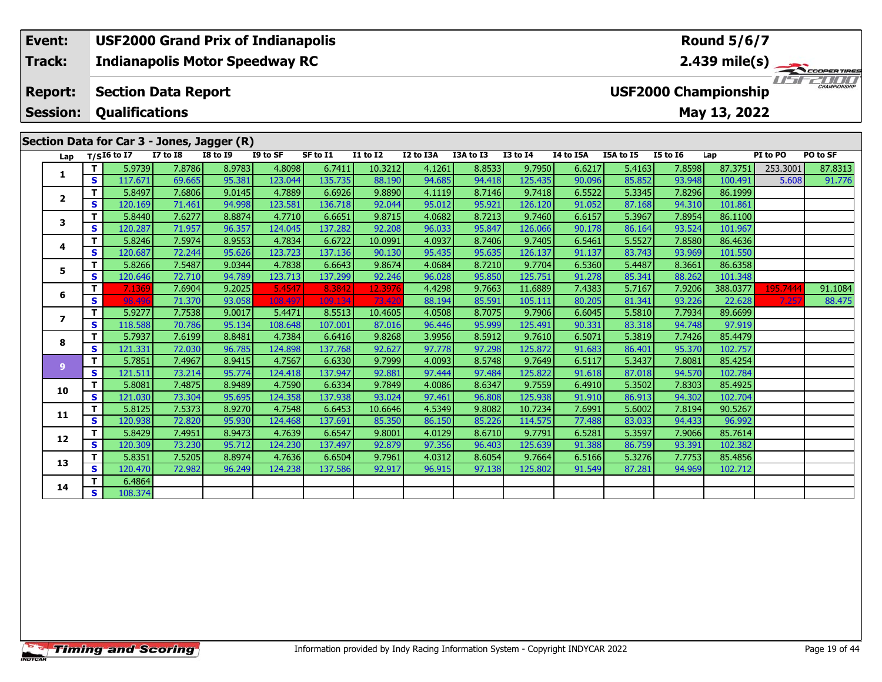#### **Event: USF2000 Grand Prix of Indianapolis Round 5/6/7Indianapolis Motor Speedway RC 2.439 mile(s) Track:** COOPERTIRES USFZUUD **Section Data Report Report: USF2000 Championship Qualifications Session:May 13, 2022 Section Data for Car 3 - Jones, Jagger (R)**

| Lap                      |    | $T/SI6$ to I7 | <b>I7 to I8</b> | --<br><b>I8 to I9</b> | I9 to SF | SF to I1 | <b>I1 to I2</b> | I2 to I3A | I3A to I3 | <b>I3 to I4</b> | I4 to I5A | I5A to I5 | <b>I5 to 16</b> | Lap      | PI to PO | PO to SF |
|--------------------------|----|---------------|-----------------|-----------------------|----------|----------|-----------------|-----------|-----------|-----------------|-----------|-----------|-----------------|----------|----------|----------|
|                          | т  | 5.9739        | 7.8786          | 8.9783                | 4.8098   | 6.7411   | 10.3212         | 4.1261    | 8.8533    | 9.7950          | 6.6217    | 5.4163    | 7.8598          | 87.3751  | 253.3001 | 87.8313  |
| 1                        | S  | 117.671       | 69.665          | 95.381                | 123.044  | 135.735  | 88.190          | 94.685    | 94.418    | 125.435         | 90.096    | 85.852    | 93.948          | 100.491  | 5.608    | 91.776   |
| $\overline{\mathbf{z}}$  | т  | 5.8497        | 7.6806          | 9.0145                | 4.7889   | 6.6926   | 9.8890          | 4.1119    | 8.7146    | 9.7418          | 6.5522    | 5.3345    | 7.8296          | 86.1999  |          |          |
|                          | S  | 120.169       | 71.461          | 94.998                | 123.581  | 136.718  | 92.044          | 95.012    | 95.921    | 126.120         | 91.052    | 87.168    | 94.310          | 101.861  |          |          |
| 3                        | T. | 5.8440        | 7.6277          | 8.8874                | 4.7710   | 6.6651   | 9.8715          | 4.0682    | 8.7213    | 9.7460          | 6.6157    | 5.3967    | 7.8954          | 86.1100  |          |          |
|                          | S  | 120.287       | 71.957          | 96.357                | 124.045  | 137.282  | 92.208          | 96.033    | 95.847    | 126.066         | 90.178    | 86.164    | 93.524          | 101.967  |          |          |
| 4                        | т  | 5.8246        | 7.5974          | 8.9553                | 4.7834   | 6.6722   | 10.0991         | 4.0937    | 8.7406    | 9.7405          | 6.5461    | 5.5527    | 7.8580          | 86.4636  |          |          |
|                          | S  | 120.687       | 72.244          | 95.626                | 123.723  | 137.136  | 90.130          | 95.435    | 95.635    | 126.137         | 91.137    | 83.743    | 93.969          | 101.550  |          |          |
| 5                        | T. | 5.8266        | 7.5487          | 9.0344                | 4.7838   | 6.6643   | 9.8674          | 4.0684    | 8.7210    | 9.7704          | 6.5360    | 5.4487    | 8.3661          | 86.6358  |          |          |
|                          | S  | 120.646       | 72.710          | 94.789                | 123.713  | 137.299  | 92.246          | 96.028    | 95.850    | 125.751         | 91.278    | 85.341    | 88.262          | 101.348  |          |          |
| 6                        | T. | 7.1369        | 7.6904          | 9.2025                | 5.4547   | 8.3842   | 12.3976         | 4.4298    | 9.7663    | 11.6889         | 7.4383    | 5.7167    | 7.9206          | 388.0377 | 195.7444 | 91.1084  |
|                          | S. | 98.49         | 71.370          | 93.058                | 108.49   | 109.134  | 73.420          | 88.194    | 85.591    | 105.111         | 80.205    | 81.341    | 93.226          | 22.628   | 7.25     | 88.475   |
| $\overline{\phantom{a}}$ | T. | 5.9277        | 7.7538          | 9.0017                | 5.4471   | 8.5513   | 10.4605         | 4.0508    | 8.7075    | 9.7906          | 6.6045    | 5.5810    | 7.7934          | 89.6699  |          |          |
|                          | S  | 118.588       | 70.786          | 95.134                | 108.648  | 107.001  | 87.016          | 96.446    | 95.999    | 125.491         | 90.331    | 83.318    | 94.748          | 97.919   |          |          |
| 8                        | T. | 5.7937        | 7.6199          | 8.8481                | 4.7384   | 6.6416   | 9.8268          | 3.9956    | 8.5912    | 9.7610          | 6.5071    | 5.3819    | 7.7426          | 85.4479  |          |          |
|                          | S  | 121.331       | 72.030          | 96.785                | 124.898  | 137.768  | 92.627          | 97.778    | 97.298    | 125.872         | 91.683    | 86.401    | 95.370          | 102.757  |          |          |
| $\overline{9}$           | T. | 5.7851        | 7.4967          | 8.9415                | 4.7567   | 6.6330   | 9.7999          | 4.0093    | 8.5748    | 9.7649          | 6.5117    | 5.3437    | 7.8081          | 85.4254  |          |          |
|                          | S  | 121.511       | 73.214          | 95.774                | 124.418  | 137.947  | 92.881          | 97.444    | 97.484    | 125.822         | 91.618    | 87.018    | 94.570          | 102.784  |          |          |
| 10                       | T. | 5.8081        | 7.4875          | 8.9489                | 4.7590   | 6.6334   | 9.7849          | 4.0086    | 8.6347    | 9.7559          | 6.4910    | 5.3502    | 7.8303          | 85.4925  |          |          |
|                          | S. | 121.030       | 73.304          | 95.695                | 124.358  | 137.938  | 93.024          | 97.461    | 96.808    | 125.938         | 91.910    | 86.913    | 94.302          | 102.704  |          |          |
| 11                       | T. | 5.8125        | 7.5373          | 8.9270                | 4.7548   | 6.6453   | 10.6646         | 4.5349    | 9.8082    | 10.7234         | 7.6991    | 5.6002    | 7.8194          | 90.5267  |          |          |
|                          | S  | 120.938       | 72.820          | 95.930                | 124.468  | 137.691  | 85.350          | 86.150    | 85.226    | 114.575         | 77.488    | 83.033    | 94.433          | 96.992   |          |          |
| 12                       | T. | 5.8429        | 7.4951          | 8.9473                | 4.7639   | 6.6547   | 9.8001          | 4.0129    | 8.6710    | 9.7791          | 6.5281    | 5.3597    | 7.9066          | 85.7614  |          |          |
|                          | S. | 120.309       | 73.230          | 95.712                | 124.230  | 137.497  | 92.879          | 97.356    | 96.403    | 125.639         | 91.388    | 86.759    | 93.391          | 102.382  |          |          |
| 13                       | T. | 5.8351        | 7.5205          | 8.8974                | 4.7636   | 6.6504   | 9.7961          | 4.0312    | 8.6054    | 9.7664          | 6.5166    | 5.3276    | 7.7753          | 85.4856  |          |          |
|                          | S  | 120.470       | 72.982          | 96.249                | 124.238  | 137.586  | 92.917          | 96.915    | 97.138    | 125.802         | 91.549    | 87.281    | 94.969          | 102.712  |          |          |
| 14                       | T. | 6.4864        |                 |                       |          |          |                 |           |           |                 |           |           |                 |          |          |          |
|                          | S  | 108.374       |                 |                       |          |          |                 |           |           |                 |           |           |                 |          |          |          |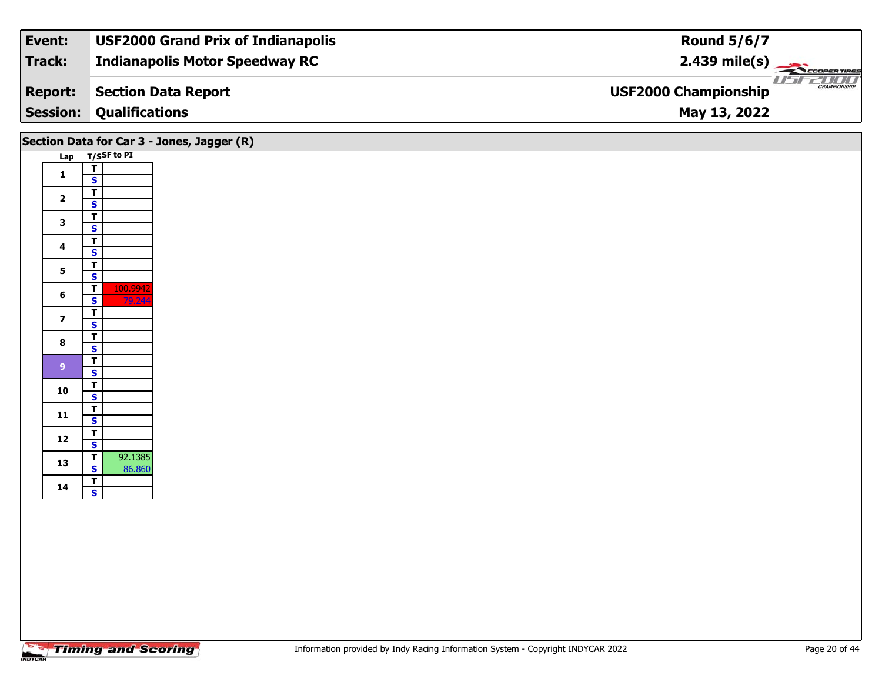| Track:<br><b>Indianapolis Motor Speedway RC</b>                      |                         |
|----------------------------------------------------------------------|-------------------------|
|                                                                      | $2.439 \text{ mile(s)}$ |
| <b>USF2000 Championship</b><br>Section Data Report<br><b>Report:</b> | <b>CHAMPIONSHIP</b>     |
| <b>Session:</b><br><b>Qualifications</b><br>May 13, 2022             |                         |

|                         |                                                                         | Section Data for Car 3 - Jones, Jagger (R) |
|-------------------------|-------------------------------------------------------------------------|--------------------------------------------|
|                         | Lap T/SSF to PI                                                         |                                            |
| $\mathbf{1}$            | $\overline{\mathbf{r}}$                                                 |                                            |
|                         | $\mathsf{s}$<br>$\overline{\mathsf{r}}$                                 |                                            |
| $\overline{\mathbf{2}}$ | $\overline{\mathbf{s}}$                                                 |                                            |
| $\mathbf{3}$            | $rac{1}{s}$                                                             |                                            |
|                         |                                                                         |                                            |
| $\overline{\mathbf{4}}$ | $\overline{\mathsf{r}}$<br>$\mathbf{s}$                                 |                                            |
|                         | $\overline{t}$                                                          |                                            |
| 5                       | $\overline{\mathbf{s}}$                                                 |                                            |
| 6                       | $\overline{\mathsf{T}}$<br>100.9942<br>79.244<br>$\mathbf{s}$           |                                            |
|                         | $\overline{\mathsf{T}}$                                                 |                                            |
| $\overline{\mathbf{z}}$ | $\mathbf{s}$                                                            |                                            |
| $\bf{8}$                | $\overline{\mathbf{r}}$                                                 |                                            |
|                         | $\overline{\mathbf{s}}$<br>$\overline{\mathsf{r}}$                      |                                            |
| 9 <sup>°</sup>          | $\mathsf{s}$                                                            |                                            |
| 10                      | $\frac{1}{s}$                                                           |                                            |
|                         |                                                                         |                                            |
| 11                      | $\frac{1}{s}$                                                           |                                            |
| $12$                    | $\mathbf{T}$                                                            |                                            |
|                         | $\overline{\mathbf{s}}$                                                 |                                            |
| 13                      | 92.1385<br>$\overline{\mathsf{T}}$<br>$\overline{\mathbf{s}}$<br>86.860 |                                            |
|                         | $rac{1}{s}$                                                             |                                            |
| 14                      |                                                                         |                                            |
|                         |                                                                         |                                            |
|                         |                                                                         |                                            |
|                         |                                                                         |                                            |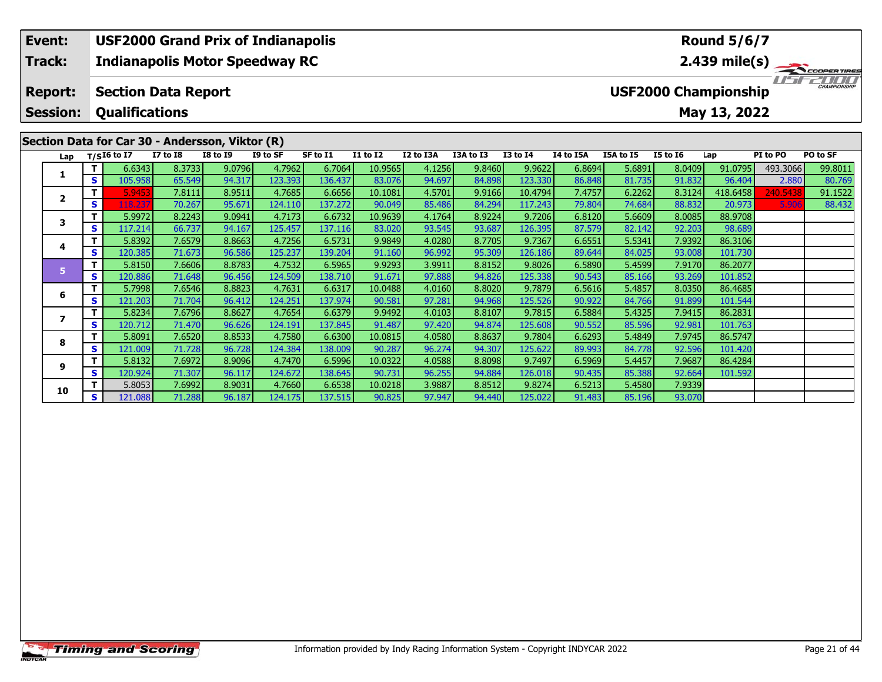# **Event: USF2000 Grand Prix of Indianapolis Round 5/6/7Track:Indianapolis Motor Speedway RC 2.439 mile(s)** I FEZICIO **Report: Section Data Report USF2000 Championship Session: Qualifications May 13, 2022 Section Data for Car 30 - Andersson, Viktor (R) Lap T/SI6 to I7 I7 to I8 I8 to I9 I9 to SF SF to I1 I1 to I2 I2 to I3A I3A to I3 I3 to I4 I4 to I5A I5A to I5 I5 to I6 Lap PI to PO PO to SF**  1 | T | 6.6343 | 8.3733 | 9.0796 | 4.7962 | 6.7064 | 10.9565 | 4.1256 | 9.8460 | 9.9622 | 6.8694 | 5.6891 | 8.0409 | 91.0795 |493.3066 | 99.8011<br>1 | S | 105.958 | 65.549 | 94.317 | 123.393 | 136.437 | 83.076 | 94.697 | 84. **1**2 | T 15.9453| 7.8111| 8.9511| 4.7685| 6.6656| 10.1081| 4.5701| 9.9166| 10.4794| 7.4757| 6.2262| 8.3124|418.6458| 240.5438| 91.1522<br>- S 118.237| 70.267| 95.671| 124.110| 137.272| 90.049| 85.486| 84.294| 117.243| 79.804| 74

**<sup>T</sup>** 5.9972 8.2243 9.0941 4.7173 6.6732 10.9639 4.1764 8.9224 9.7206 6.8120 5.6609 8.0085 88.9708 **<sup>S</sup>** 117.214 66.737 94.167 125.457 137.116 83.020 93.545 93.687 126.395 87.579 82.142 92.203 98.689

**<sup>T</sup>** 5.8392 7.6579 8.8663 4.7256 6.5731 9.9849 4.0280 8.7705 9.7367 6.6551 5.5341 7.9392 86.3106 **<sup>S</sup>** 120.385 71.673 96.586 125.237 139.204 91.160 96.992 95.309 126.186 89.644 84.025 93.008 101.730

**<sup>T</sup>** 5.8150 7.6606 8.8783 4.7532 6.5965 9.9293 3.9911 8.8152 9.8026 6.5890 5.4599 7.9170 86.2077 **<sup>S</sup>** 120.886 71.648 96.456 124.509 138.710 91.671 97.888 94.826 125.338 90.543 85.166 93.269 101.852

**<sup>T</sup>** 5.7998 7.6546 8.8823 4.7631 6.6317 10.0488 4.0160 8.8020 9.7879 6.5616 5.4857 8.0350 86.4685 **<sup>S</sup>** 121.203 71.704 96.412 124.251 137.974 90.581 97.281 94.968 125.526 90.922 84.766 91.899 101.544

**<sup>T</sup>** 5.8234 7.6796 8.8627 4.7654 6.6379 9.9492 4.0103 8.8107 9.7815 6.5884 5.4325 7.9415 86.2831 **<sup>S</sup>** 120.712 71.470 96.626 124.191 137.845 91.487 97.420 94.874 125.608 90.552 85.596 92.981 101.763

**<sup>T</sup>** 5.8091 7.6520 8.8533 4.7580 6.6300 10.0815 4.0580 8.8637 9.7804 6.6293 5.4849 7.9745 86.5747 **<sup>S</sup>** 121.009 71.728 96.728 124.384 138.009 90.287 96.274 94.307 125.622 89.993 84.778 92.596 101.420

**<sup>T</sup>** 5.8132 7.6972 8.9096 4.7470 6.5996 10.0322 4.0588 8.8098 9.7497 6.5969 5.4457 7.9687 86.4284 **<sup>S</sup>** 120.924 71.307 96.117 124.672 138.645 90.731 96.255 94.884 126.018 90.435 85.388 92.664 101.592

**<sup>T</sup>** 5.8053 7.6992 8.9031 4.7660 6.6538 10.0218 3.9887 8.8512 9.8274 6.5213 5.4580 7.9339 **<sup>S</sup>** 121.088 71.288 96.187 124.175 137.515 90.825 97.947 94.440 125.022 91.483 85.196 93.070

**2**

**3**

**4**

**5**

**6**

**7**

**8**

**9**

**10**

88.432

101.730

101.592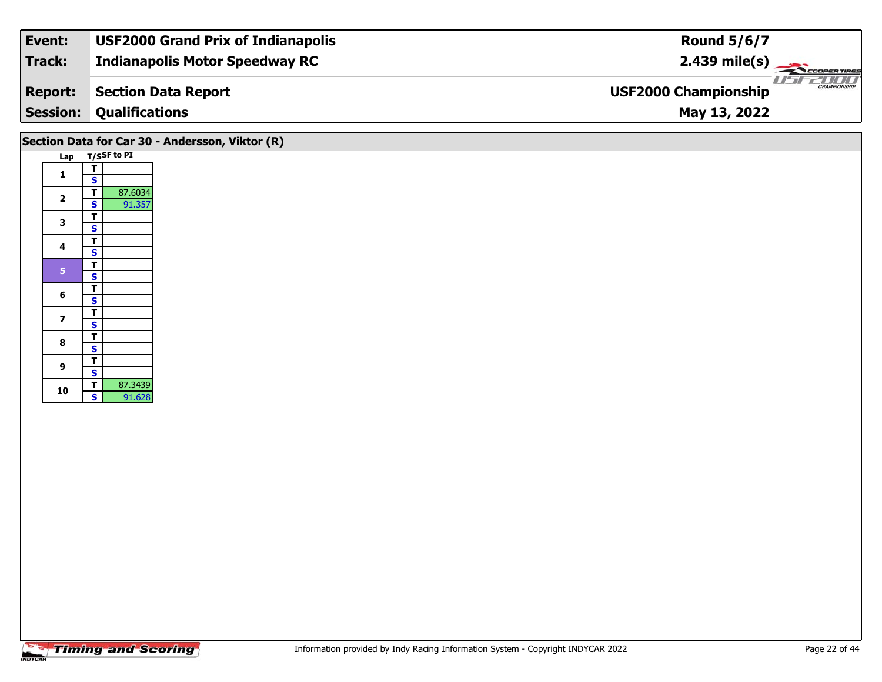| Track:<br><b>Indianapolis Motor Speedway RC</b>                             | $2.439 \text{ mile(s)}$ |
|-----------------------------------------------------------------------------|-------------------------|
| <b>USF2000 Championship</b><br><b>Section Data Report</b><br><b>Report:</b> | <b>CHAMPIONSHIP</b>     |
| <b>Session:</b><br><b>Qualifications</b><br>May 13, 2022                    |                         |

|                         | Section Data for Car 30 - Andersson, Viktor (R)<br>Lap T/SSF to PI |
|-------------------------|--------------------------------------------------------------------|
|                         | T                                                                  |
| $\mathbf{1}$            | $\mathbf{s}$                                                       |
| $\mathbf{2}$            | 87.6034<br>T                                                       |
|                         | 91.357<br>$\mathbf{s}$                                             |
| $\mathbf{3}$            | T                                                                  |
|                         | $\mathbf{s}$<br>$\overline{\mathsf{r}}$                            |
| $\overline{\mathbf{4}}$ | $\mathbf{s}$                                                       |
|                         | $\overline{r}$                                                     |
| $\overline{\mathbf{5}}$ | $\overline{\mathbf{s}}$                                            |
|                         | $\overline{\mathbf{r}}$                                            |
| 6                       | $\mathbf{s}$                                                       |
| $\overline{\mathbf{z}}$ | $\overline{\mathsf{T}}$                                            |
|                         | $\mathbf{s}$                                                       |
| 8                       | $\overline{\mathsf{r}}$                                            |
|                         | $\mathbf{s}$                                                       |
| $\mathbf{9}$            | $\overline{\mathsf{T}}$<br>$\mathbf{s}$                            |
|                         | $\overline{I}$<br>87.3439                                          |
| 10                      | $\overline{\mathbf{s}}$<br>91.628                                  |
|                         |                                                                    |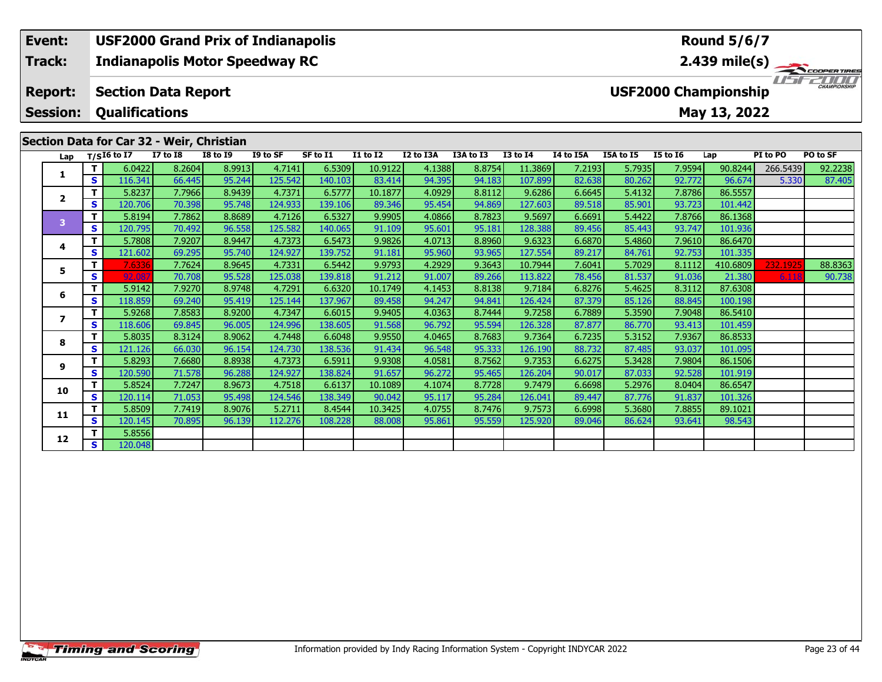#### **Event: USF2000 Grand Prix of Indianapolis Round 5/6/7Indianapolis Motor Speedway RC 2.439 mile(s) Track:** COOPERTIRES USFZUUD **Section Data Report Report: USF2000 Championship Qualifications Session:May 13, 2022 Section Data for Car 32 - Weir, Christian**

| Lap            |    | $T/SI6$ to I7 | <b>I7 to I8</b> | <b>I8 to I9</b> | I9 to SF | SF to I1 | <b>I1 to I2</b> | I2 to I3A | I3A to I3 | <b>I3 to I4</b> | I4 to I5A | I5A to I5 | <b>I5 to 16</b> | Lap      | PI to PO | PO to SF |
|----------------|----|---------------|-----------------|-----------------|----------|----------|-----------------|-----------|-----------|-----------------|-----------|-----------|-----------------|----------|----------|----------|
| 1              |    | 6.0422        | 8.2604          | 8.9913          | 4.7141   | 6.5309   | 10.9122         | 4.1388    | 8.8754    | 11.3869         | 7.2193    | 5.7935    | 7.9594          | 90.8244  | 266.5439 | 92.2238  |
|                | S  | 116.341       | 66.445          | 95.244          | 125.542  | 140.103  | 83.414          | 94.395    | 94.183    | 107.899         | 82.638    | 80.262    | 92.772          | 96.674   | 5.330    | 87.405   |
| $\overline{2}$ |    | 5.8237        | 7.7966          | 8.9439          | 4.7371   | 6.5777   | 10.1877         | 4.0929    | 8.8112    | 9.6286          | 6.6645    | 5.4132    | 7.8786          | 86.5557  |          |          |
|                | S. | 120.706       | 70.398          | 95.748          | 124.933  | 139.106  | 89.346          | 95.454    | 94.869    | 127.603         | 89.518    | 85.901    | 93.723          | 101.442  |          |          |
| 3              |    | 5.8194        | 7.7862          | 8.8689          | 4.7126   | 6.5327   | 9.9905          | 4.0866    | 8.7823    | 9.5697          | 6.6691    | 5.4422    | 7.8766          | 86.1368  |          |          |
|                | S. | 120.795       | 70.492          | 96.558          | 125.582  | 140.065  | 91.109          | 95.601    | 95.181    | 128.388         | 89.456    | 85.443    | 93.747          | 101.936  |          |          |
| 4              |    | 5.7808        | 7.9207          | 8.9447          | 4.7373   | 6.5473   | 9.9826          | 4.0713    | 8.8960    | 9.6323          | 6.6870    | 5.4860    | 7.9610          | 86.6470  |          |          |
|                | S  | 121.602       | 69.295          | 95.740          | 124.927  | 139.752  | 91.181          | 95.960    | 93.965    | 127.554         | 89.217    | 84.761    | 92.753          | 101.335  |          |          |
| 5              | т  | 7.6336        | 7.7624          | 8.9645          | 4.7331   | 6.5442   | 9.9793          | 4.2929    | 9.3643    | 10.7944         | 7.6041    | 5.7029    | 8.1112          | 410.6809 | 232.1925 | 88.8363  |
|                | S  | 92.087        | 70.708          | 95.528          | 125.038  | 139.818  | 91.212          | 91.007    | 89.266    | 113.822         | 78.456    | 81.537    | 91.036          | 21.380   | 6.118    | 90.738   |
| 6              |    | 5.9142        | 7.9270          | 8.9748          | 4.7291   | 6.6320   | 10.1749         | 4.1453    | 8.8138    | 9.7184          | 6.8276    | 5.4625    | 8.3112          | 87.6308  |          |          |
|                | S  | 118.859       | 69.240          | 95.419          | 125.144  | 137.967  | 89.458          | 94.247    | 94.841    | 126.424         | 87.379    | 85.126    | 88.845          | 100.198  |          |          |
|                |    | 5.9268        | 7.8583          | 8.9200          | 4.7347   | 6.6015   | 9.9405          | 4.0363    | 8.7444    | 9.7258          | 6.7889    | 5.3590    | 7.9048          | 86.5410  |          |          |
|                | s  | 118.606       | 69.845          | 96.005          | 124.996  | 138.605  | 91.568          | 96.792    | 95.594    | 126.328         | 87.877    | 86.770    | 93.413          | 101.459  |          |          |
| 8              |    | 5.8035        | 8.3124          | 8.9062          | 4.7448   | 6.6048   | 9.9550          | 4.0465    | 8.7683    | 9.7364          | 6.7235    | 5.3152    | 7.9367          | 86.8533  |          |          |
|                | s  | 121.126       | 66.030          | 96.154          | 124.730  | 138.536  | 91.434          | 96.548    | 95.333    | 126.190         | 88.732    | 87.485    | 93.037          | 101.095  |          |          |
| 9              |    | 5.8293        | 7.6680          | 8.8938          | 4.7373   | 6.5911   | 9.9308          | 4.0581    | 8.7562    | 9.7353          | 6.6275    | 5.3428    | 7.9804          | 86.1506  |          |          |
|                | S. | 120.590       | 71.578          | 96.288          | 124.927  | 138.824  | 91.657          | 96.272    | 95.465    | 126.204         | 90.017    | 87.033    | 92.528          | 101.919  |          |          |
| 10             | т  | 5.8524        | 7.7247          | 8.9673          | 4.7518   | 6.6137   | 10.1089         | 4.1074    | 8.7728    | 9.7479          | 6.6698    | 5.2976    | 8.0404          | 86.6547  |          |          |
|                | S. | 120.114       | 71.053          | 95.498          | 124.546  | 138.349  | 90.042          | 95.117    | 95.284    | 126.041         | 89.447    | 87.776    | 91.837          | 101.326  |          |          |
| 11             |    | 5.8509        | 7.7419          | 8.9076          | 5.2711   | 8.4544   | 10.3425         | 4.0755    | 8.7476    | 9.7573          | 6.6998    | 5.3680    | 7.8855          | 89.1021  |          |          |
|                | S. | 120.145       | 70.895          | 96.139          | 112.276  | 108.228  | 88.008          | 95.861    | 95.559    | 125.920         | 89.046    | 86.624    | 93.641          | 98.543   |          |          |
| 12             |    | 5.8556        |                 |                 |          |          |                 |           |           |                 |           |           |                 |          |          |          |
|                | S. | 120.048       |                 |                 |          |          |                 |           |           |                 |           |           |                 |          |          |          |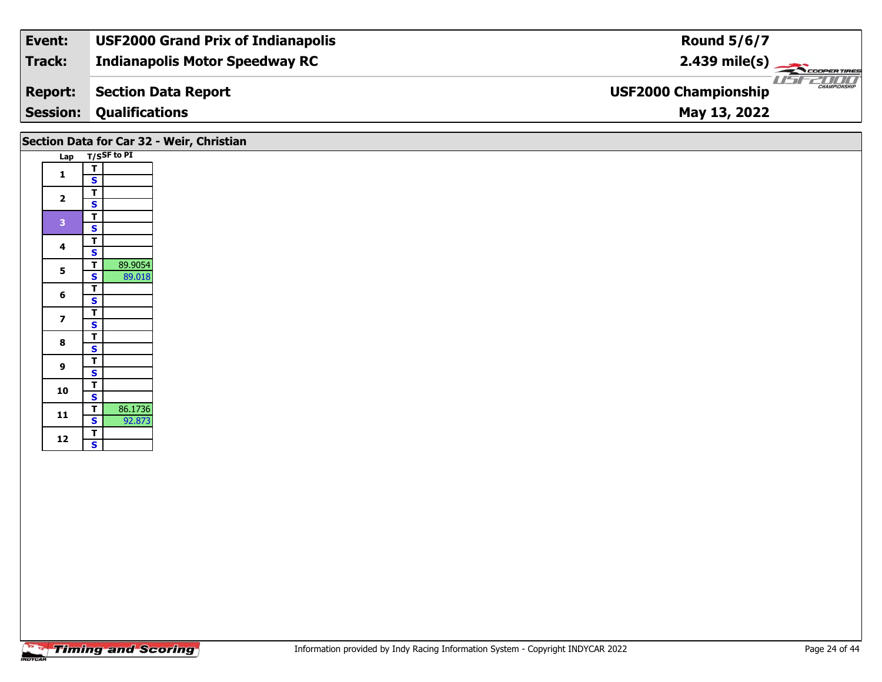| Track:<br><b>Indianapolis Motor Speedway RC</b>                             | $2.439 \text{ mile(s)}$ |
|-----------------------------------------------------------------------------|-------------------------|
| <b>USF2000 Championship</b><br><b>Section Data Report</b><br><b>Report:</b> | <b>CHAMPIONSHIP</b>     |
| <b>Session:</b><br><b>Qualifications</b><br>May 13, 2022                    |                         |

# **Section Data for Car 32 - Weir, Christian**

| Lap |                             | T/SSF to PI |
|-----|-----------------------------|-------------|
| 1   | т                           |             |
|     | S                           |             |
|     | T                           |             |
| 2   | <u>s</u>                    |             |
| 3   | Ţ                           |             |
|     | S                           |             |
| 4   | $\bar{\mathbf{r}}$          |             |
|     | <u>S</u>                    |             |
| 5   |                             | 89.9054     |
|     |                             | 89.018      |
| 6   | $\frac{1}{s}$ $\frac{1}{s}$ |             |
|     |                             |             |
| 7   |                             |             |
|     |                             |             |
| 8   |                             |             |
|     |                             |             |
| 9   |                             |             |
|     |                             |             |
| 10  | <u>TSTSTSTST</u>            |             |
|     |                             |             |
| 11  | T                           | 86.1736     |
|     | S                           | 92.873      |
| 12  | T                           |             |
|     | Š                           |             |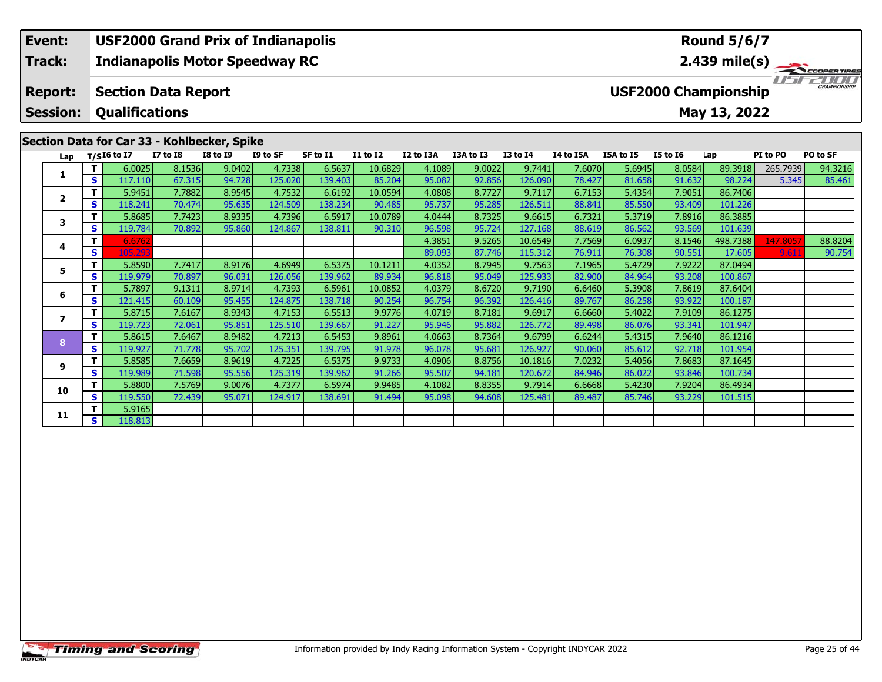### **Event: USF2000 Grand Prix of Indianapolis Round 5/6/7Track:Indianapolis Motor Speedway RC 2.439 mile(s)** I FEZICIO **Report: Section Data Report USF2000 Championship Session: Qualifications May 13, 2022 Section Data for Car 33 - Kohlbecker, Spike**<br>Lap  $\frac{T}{516}$  to  $\frac{17}{17}$  to  $\frac{18}{18}$  to  $\frac{19}{19}$ **Lap T/SI6 to I7 I7 to I8 I8 to I9 I9 to SF SF to I1 I1 to I2 I2 to I3A I3A to I3 I3 to I4 I4 to I5A I5A to I5 I5 to I6 Lap PI to PO PO to SF**

**<sup>T</sup>** 5.9451 7.7882 8.9545 4.7532 6.6192 10.0594 4.0808 8.7727 9.7117 6.7153 5.4354 7.9051 86.7406 **<sup>S</sup>** 118.241 70.474 95.635 124.509 138.234 90.485 95.737 95.285 126.511 88.841 85.550 93.409 101.226

**<sup>T</sup>** 5.8685 7.7423 8.9335 4.7396 6.5917 10.0789 4.0444 8.7325 9.6615 6.7321 5.3719 7.8916 86.3885 **<sup>S</sup>** 119.784 70.892 95.860 124.867 138.811 90.310 96.598 95.724 127.168 88.619 86.562 93.569 101.639

**<sup>T</sup>** 5.8590 7.7417 8.9176 4.6949 6.5375 10.1211 4.0352 8.7945 9.7563 7.1965 5.4729 7.9222 87.0494 **<sup>S</sup>** 119.979 70.897 96.031 126.056 139.962 89.934 96.818 95.049 125.933 82.900 84.964 93.208 100.867

**<sup>T</sup>** 5.7897 9.1311 8.9714 4.7393 6.5961 10.0852 4.0379 8.6720 9.7190 6.6460 5.3908 7.8619 87.6404 **<sup>S</sup>** 121.415 60.109 95.455 124.875 138.718 90.254 96.754 96.392 126.416 89.767 86.258 93.922 100.187

**<sup>T</sup>** 5.8715 7.6167 8.9343 4.7153 6.5513 9.9776 4.0719 8.7181 9.6917 6.6660 5.4022 7.9109 86.1275 **<sup>S</sup>** 119.723 72.061 95.851 125.510 139.667 91.227 95.946 95.882 126.772 89.498 86.076 93.341 101.947

**<sup>T</sup>** 5.8615 7.6467 8.9482 4.7213 6.5453 9.8961 4.0663 8.7364 9.6799 6.6244 5.4315 7.9640 86.1216 **<sup>S</sup>** 119.927 71.778 95.702 125.351 139.795 91.978 96.078 95.681 126.927 90.060 85.612 92.718 101.954

**<sup>T</sup>** 5.8585 7.6659 8.9619 4.7225 6.5375 9.9733 4.0906 8.8756 10.1816 7.0232 5.4056 7.8683 87.1645 **<sup>S</sup>** 119.989 71.598 95.556 125.319 139.962 91.266 95.507 94.181 120.672 84.946 86.022 93.846 100.734

**<sup>T</sup>** 5.8800 7.5769 9.0076 4.7377 6.5974 9.9485 4.1082 8.8355 9.7914 6.6668 5.4230 7.9204 86.4934 **<sup>S</sup>** 119.550 72.439 95.071 124.917 138.691 91.494 95.098 94.608 125.481 89.487 85.746 93.229 101.515

1 | T | 6.0025| 8.1536| 9.0402| 4.7338| 6.5637| 10.6829| 4.1089| 9.0022| 9.7441| 7.6070| 5.6945| 8.0584| 89.3918| 265.7939| 94.3216<br>1 | S | 117.110 | 67.315 | 94.728 | 125.020 | 139.403 | 85.204 | 95.082 | 92.856 | 126.090

**<sup>T</sup>** 6.6762 4.3851 9.5265 10.6549 7.7569 6.0937 8.1546 498.7388 147.8057 88.8204 **<sup>S</sup>** 105.293 89.093 87.746 115.312 76.911 76.308 90.551 17.605 9.611 90.754

**<sup>T</sup>** 5.9165 **<sup>S</sup>** 118.813

**1**

**2**

**3**

**4**

**5**

**6**

**7**

**8**

**9**

**10**

**11**

90.754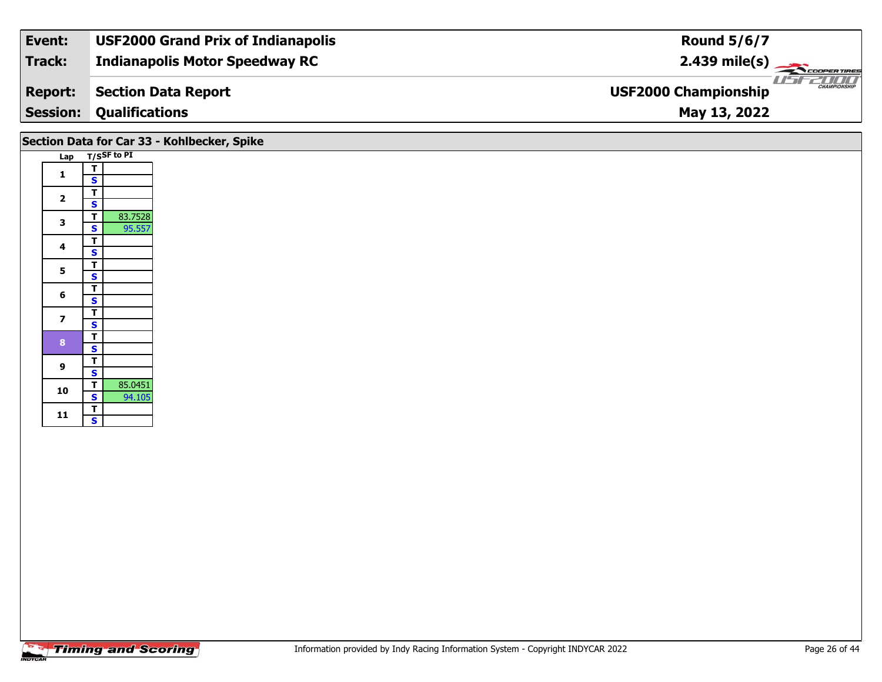| Event:          | <b>USF2000 Grand Prix of Indianapolis</b> | Round $5/6/7$                                      |
|-----------------|-------------------------------------------|----------------------------------------------------|
| Track:          | <b>Indianapolis Motor Speedway RC</b>     | $2.439 \text{ mile(s)}$                            |
| <b>Report:</b>  | <b>Section Data Report</b>                | <b>CHAMPIONSHIP</b><br><b>USF2000 Championship</b> |
| <b>Session:</b> | <b>Qualifications</b>                     | May 13, 2022                                       |

|                         | Section Data for Car 33 - Kohlbecker, Spike                  |
|-------------------------|--------------------------------------------------------------|
|                         | Lap T/SSF to PI                                              |
| $\mathbf{1}$            | T.<br>S                                                      |
| $\overline{2}$          | T.<br>$\overline{\mathbf{s}}$                                |
| 3                       | 83.7528<br>T<br>95.557<br>S                                  |
| 4                       | $\mathbf{T}$<br>$\mathbf{s}$                                 |
| 5                       | $\mathbf T$<br>$\overline{\mathbf{s}}$                       |
| 6                       | $\mathbf{T}$<br>S                                            |
| $\overline{\mathbf{z}}$ | T<br>$\overline{\mathbf{s}}$                                 |
| $\mathbf{8}$            | $\overline{\mathbf{T}}$<br>$\overline{\mathbf{s}}$           |
| 9                       | T.<br>$\overline{\mathbf{s}}$                                |
| 10                      | 85.0451<br>$\mathbf{T}$<br>$\overline{\mathbf{s}}$<br>94.105 |
| $11$                    | $rac{1}{s}$                                                  |
|                         |                                                              |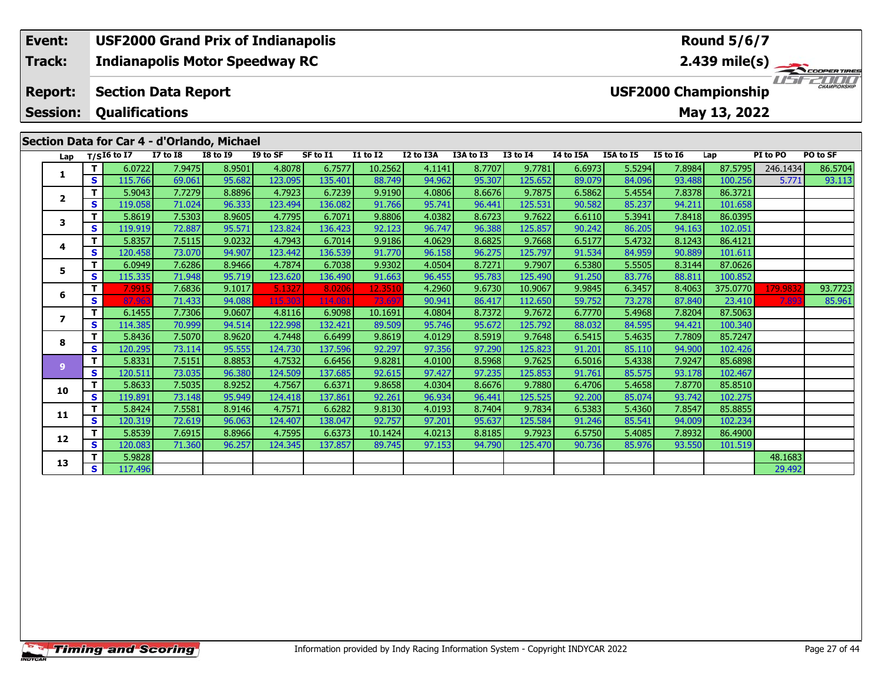#### **Event: USF2000 Grand Prix of Indianapolis Round 5/6/7Indianapolis Motor Speedway RC 2.439 mile(s) Track:** TELECOPERTIRES **Report: Section Data Report USF2000 Championship Qualifications Session:May 13, 2022 Section Data for Car 4 - d'Orlando, Michael**

| $T/SI6$ to I7<br><b>I7 to I8</b><br><b>I8 to I9</b><br>I9 to SF<br>SF to I1<br><b>I1 to I2</b><br>I2 to I3A<br>I3A to I3<br><b>I3 to I4</b><br>Lap<br>4.8078<br>8.7707<br>$\mathbf{T}$<br>6.0722<br>7.9475<br>8.9501<br>6.7577<br>10.2562<br>4.1141<br>1<br>S<br>115.766<br>95.682<br>123.095<br>94.962<br>69.061<br>135.401<br>95.307<br>88.749<br>8.8896<br>4.7923<br>4.0806<br>8.6676<br>$\mathbf{T}$<br>5.9043<br>7.7279<br>6.7239<br>9.9190<br>$\overline{2}$<br>S.<br>96.333<br>119.058<br>123.494<br>95.741<br>96.441<br>71.024<br>136.082<br>91.766<br>4.7795<br>8.6723<br>T.<br>5.8619<br>7.5303<br>8.9605<br>6.7071<br>9.8806<br>4.0382<br>3<br>S<br>95.571<br>123.824<br>96.747<br>96.388<br>72.887<br>92.123<br>119.919<br>136.423<br>T.<br>9.0232<br>4.7943<br>4.0629<br>8.6825<br>5.8357<br>7.5115<br>6.7014<br>9.9186<br>4 | PO to SF<br>I4 to I5A<br>I5A to I5<br><b>I5 to 16</b><br>PI to PO<br>Lap<br>5.5294<br>86.5704<br>9.7781<br>6.6973<br>7.8984<br>87.5795<br>246.1434<br>84.096<br>93.488<br>100.256<br>5.771<br>93.113<br>125.652<br>89.079<br>5.4554<br>7.8378<br>86.3721<br>9.7875<br>6.5862<br>90.582<br>85.237<br>94.211<br>101.658<br>125.531<br>5.3941<br>7.8418<br>86.0395<br>9.7622<br>6.6110<br>86.205<br>94.163<br>102.051<br>125.857<br>90.242<br>5.4732<br>9.7668<br>6.5177<br>8.1243<br>86.4121<br>91.534<br>84.959<br>90.889<br>101.611<br>125.797 |
|-------------------------------------------------------------------------------------------------------------------------------------------------------------------------------------------------------------------------------------------------------------------------------------------------------------------------------------------------------------------------------------------------------------------------------------------------------------------------------------------------------------------------------------------------------------------------------------------------------------------------------------------------------------------------------------------------------------------------------------------------------------------------------------------------------------------------------------------|------------------------------------------------------------------------------------------------------------------------------------------------------------------------------------------------------------------------------------------------------------------------------------------------------------------------------------------------------------------------------------------------------------------------------------------------------------------------------------------------------------------------------------------------|
|                                                                                                                                                                                                                                                                                                                                                                                                                                                                                                                                                                                                                                                                                                                                                                                                                                           |                                                                                                                                                                                                                                                                                                                                                                                                                                                                                                                                                |
|                                                                                                                                                                                                                                                                                                                                                                                                                                                                                                                                                                                                                                                                                                                                                                                                                                           |                                                                                                                                                                                                                                                                                                                                                                                                                                                                                                                                                |
|                                                                                                                                                                                                                                                                                                                                                                                                                                                                                                                                                                                                                                                                                                                                                                                                                                           |                                                                                                                                                                                                                                                                                                                                                                                                                                                                                                                                                |
|                                                                                                                                                                                                                                                                                                                                                                                                                                                                                                                                                                                                                                                                                                                                                                                                                                           |                                                                                                                                                                                                                                                                                                                                                                                                                                                                                                                                                |
|                                                                                                                                                                                                                                                                                                                                                                                                                                                                                                                                                                                                                                                                                                                                                                                                                                           |                                                                                                                                                                                                                                                                                                                                                                                                                                                                                                                                                |
|                                                                                                                                                                                                                                                                                                                                                                                                                                                                                                                                                                                                                                                                                                                                                                                                                                           |                                                                                                                                                                                                                                                                                                                                                                                                                                                                                                                                                |
|                                                                                                                                                                                                                                                                                                                                                                                                                                                                                                                                                                                                                                                                                                                                                                                                                                           |                                                                                                                                                                                                                                                                                                                                                                                                                                                                                                                                                |
|                                                                                                                                                                                                                                                                                                                                                                                                                                                                                                                                                                                                                                                                                                                                                                                                                                           |                                                                                                                                                                                                                                                                                                                                                                                                                                                                                                                                                |
| S<br>120.458<br>73.070<br>94.907<br>123.442<br>136.539<br>96.158<br>96.275<br>91.770                                                                                                                                                                                                                                                                                                                                                                                                                                                                                                                                                                                                                                                                                                                                                      |                                                                                                                                                                                                                                                                                                                                                                                                                                                                                                                                                |
| 8.9466<br>4.7874<br>8.7271<br>$\mathbf{T}$<br>6.0949<br>7.6286<br>9.9302<br>4.0504<br>6.7038<br>5                                                                                                                                                                                                                                                                                                                                                                                                                                                                                                                                                                                                                                                                                                                                         | 5.5505<br>87.0626<br>9.7907<br>6.5380<br>8.3144                                                                                                                                                                                                                                                                                                                                                                                                                                                                                                |
| S<br>115.335<br>95.719<br>123.620<br>96.455<br>71.948<br>136.490<br>91.663<br>95.783                                                                                                                                                                                                                                                                                                                                                                                                                                                                                                                                                                                                                                                                                                                                                      | 83.776<br>125.490<br>91.250<br>88.811<br>100.852                                                                                                                                                                                                                                                                                                                                                                                                                                                                                               |
| Τ.<br>5.1327<br>9.6730<br>7.991<br>7.6836<br>9.1017<br>8.0206<br>4.2960<br>12.3510<br>6                                                                                                                                                                                                                                                                                                                                                                                                                                                                                                                                                                                                                                                                                                                                                   | 6.3457<br>8.4063<br>10.9067<br>9.9845<br>375.0770<br>93.7723<br>179.9832                                                                                                                                                                                                                                                                                                                                                                                                                                                                       |
| S<br>115.303<br>86.417<br>87.963<br>94.088<br>90.941<br>71.433<br>114.081<br>73.697                                                                                                                                                                                                                                                                                                                                                                                                                                                                                                                                                                                                                                                                                                                                                       | 73.278<br>87.840<br>85.961<br>112.650<br>59.752<br>23.410<br>7.893                                                                                                                                                                                                                                                                                                                                                                                                                                                                             |
| T<br>9.0607<br>4.8116<br>4.0804<br>8.7372<br>6.1455<br>7.7306<br>6.9098<br>10.1691<br>$\overline{\mathbf{z}}$                                                                                                                                                                                                                                                                                                                                                                                                                                                                                                                                                                                                                                                                                                                             | 9.7672<br>5.4968<br>7.8204<br>87.5063<br>6.7770                                                                                                                                                                                                                                                                                                                                                                                                                                                                                                |
| S<br>114.385<br>94.514<br>122.998<br>132.421<br>95.672<br>70.999<br>89.509<br>95.746                                                                                                                                                                                                                                                                                                                                                                                                                                                                                                                                                                                                                                                                                                                                                      | 84.595<br>94.421<br>100.340<br>125.792<br>88.032                                                                                                                                                                                                                                                                                                                                                                                                                                                                                               |
| $\mathbf{T}$<br>5.8436<br>7.5070<br>8.9620<br>4.7448<br>8.5919<br>6.6499<br>9.8619<br>4.0129<br>8                                                                                                                                                                                                                                                                                                                                                                                                                                                                                                                                                                                                                                                                                                                                         | 7.7809<br>5.4635<br>85.7247<br>9.7648<br>6.5415                                                                                                                                                                                                                                                                                                                                                                                                                                                                                                |
| S.<br>120.295<br>95.555<br>124.730<br>137.596<br>92.297<br>97.356<br>97.290<br>73.114                                                                                                                                                                                                                                                                                                                                                                                                                                                                                                                                                                                                                                                                                                                                                     | 85.110<br>94.900<br>125.823<br>91.201<br>102.426                                                                                                                                                                                                                                                                                                                                                                                                                                                                                               |
| 4.7532<br>T.<br>5.8331<br>7.5151<br>8.8853<br>9.8281<br>8.5968<br>6.6456<br>4.0100<br>$\overline{9}$                                                                                                                                                                                                                                                                                                                                                                                                                                                                                                                                                                                                                                                                                                                                      | 7.9247<br>5.4338<br>85.6898<br>9.7625<br>6.5016                                                                                                                                                                                                                                                                                                                                                                                                                                                                                                |
| S<br>120.511<br>96.380<br>124.509<br>137.685<br>97.427<br>97.235<br>73.035<br>92.615                                                                                                                                                                                                                                                                                                                                                                                                                                                                                                                                                                                                                                                                                                                                                      | 85.575<br>93.178<br>102.467<br>125.853<br>91.761                                                                                                                                                                                                                                                                                                                                                                                                                                                                                               |
| T<br>8.9252<br>4.7567<br>5.8633<br>7.5035<br>6.6371<br>9.8658<br>4.0304<br>8.6676<br>10                                                                                                                                                                                                                                                                                                                                                                                                                                                                                                                                                                                                                                                                                                                                                   | 5.4658<br>9.7880<br>6.4706<br>7.8770<br>85.8510                                                                                                                                                                                                                                                                                                                                                                                                                                                                                                |
| S.<br>96.441<br>119.891<br>95.949<br>137.861<br>96.934<br>73.148<br>124.418<br>92.261                                                                                                                                                                                                                                                                                                                                                                                                                                                                                                                                                                                                                                                                                                                                                     | 85.074<br>93.742<br>102.275<br>92.200<br>125.525                                                                                                                                                                                                                                                                                                                                                                                                                                                                                               |
| T<br>4.7571<br>8.7404<br>5.8424<br>7.5581<br>8.9146<br>6.6282<br>9.8130<br>4.0193<br>11                                                                                                                                                                                                                                                                                                                                                                                                                                                                                                                                                                                                                                                                                                                                                   | 5.4360<br>7.8547<br>85.8855<br>9.7834<br>6.5383                                                                                                                                                                                                                                                                                                                                                                                                                                                                                                |
| <b>S</b><br>120.319<br>96.063<br>97.201<br>72.619<br>124.407<br>138.047<br>92.757<br>95.637                                                                                                                                                                                                                                                                                                                                                                                                                                                                                                                                                                                                                                                                                                                                               | 91.246<br>85.541<br>94.009<br>102.234<br>125.584                                                                                                                                                                                                                                                                                                                                                                                                                                                                                               |
| 4.7595<br>8.8185<br>5.8539<br>7.6915<br>8.8966<br>4.0213<br>T.<br>6.6373<br>10.1424                                                                                                                                                                                                                                                                                                                                                                                                                                                                                                                                                                                                                                                                                                                                                       | 7.8932<br>86.4900<br>5.4085<br>9.7923<br>6.5750                                                                                                                                                                                                                                                                                                                                                                                                                                                                                                |
| 12<br>$\mathbf{s}$<br>120.083<br>96.257<br>124.345<br>137.857<br>89.745<br>97.153<br>94.790<br>71.360                                                                                                                                                                                                                                                                                                                                                                                                                                                                                                                                                                                                                                                                                                                                     | 85.976<br>93.550<br>101.519<br>125.470<br>90.736                                                                                                                                                                                                                                                                                                                                                                                                                                                                                               |
| T.<br>5.9828                                                                                                                                                                                                                                                                                                                                                                                                                                                                                                                                                                                                                                                                                                                                                                                                                              | 48.1683                                                                                                                                                                                                                                                                                                                                                                                                                                                                                                                                        |
| 13<br>S.<br>117.496                                                                                                                                                                                                                                                                                                                                                                                                                                                                                                                                                                                                                                                                                                                                                                                                                       | 29.492                                                                                                                                                                                                                                                                                                                                                                                                                                                                                                                                         |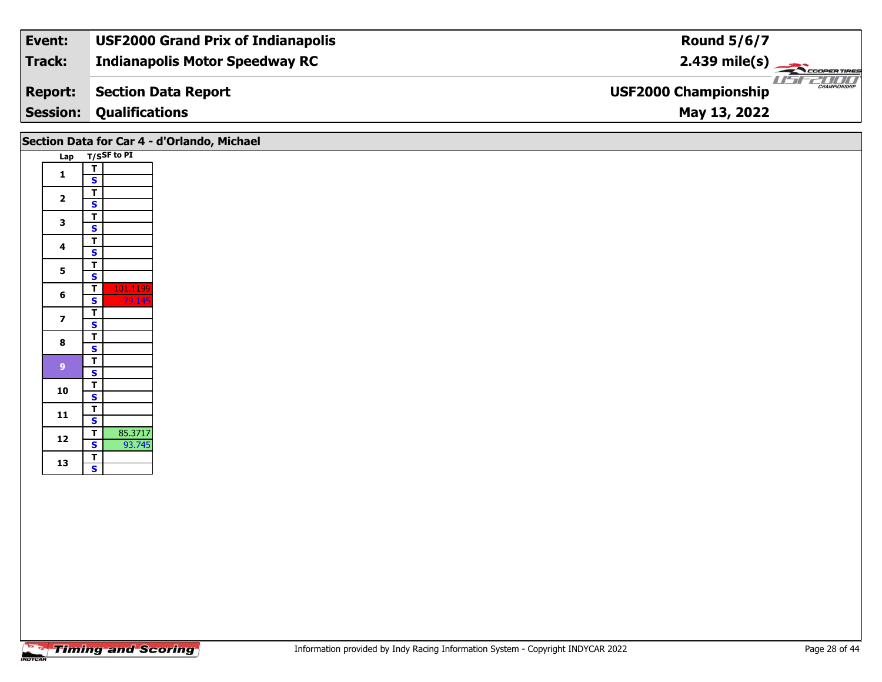| Event:          | <b>USF2000 Grand Prix of Indianapolis</b> | <b>Round 5/6/7</b>                                 |
|-----------------|-------------------------------------------|----------------------------------------------------|
| Track:          | <b>Indianapolis Motor Speedway RC</b>     | $2.439 \text{ mile(s)}$                            |
| <b>Report:</b>  | Section Data Report                       | <b>CHAMPIONSHIP</b><br><b>USF2000 Championship</b> |
| <b>Session:</b> | <b>Qualifications</b>                     | May 13, 2022                                       |

# **Section Data for Car 4 - d'Orlando, Michael**

| Lap |               | T/SSF to PI |
|-----|---------------|-------------|
|     | T             |             |
| 1   | S             |             |
|     | T             |             |
| 2   | S             |             |
|     |               |             |
| 3   |               |             |
| 4   |               |             |
|     |               |             |
|     | T S T S T S T |             |
| 5   |               |             |
|     |               | 101.1199    |
| 6   | S             | 79.145      |
| 7   | T             |             |
|     | S             |             |
| 8   | <u>T</u>      |             |
|     |               |             |
| 9   | $rac{S}{T}$   |             |
|     |               |             |
| 10  | T             |             |
|     | S             |             |
| 11  |               |             |
|     | T<br>S<br>T   |             |
| 12  |               | 85.3717     |
|     |               | 93.745      |
| 13  | $rac{S}{T}$   |             |
|     |               |             |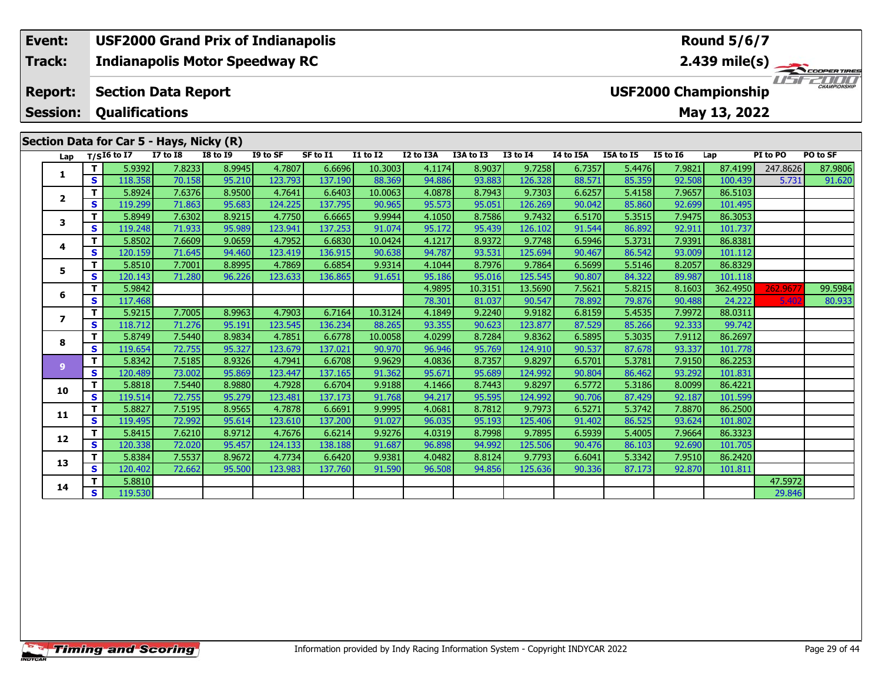# **Event: USF2000 Grand Prix of Indianapolis Round 5/6/7Indianapolis Motor Speedway RC 2.439 mile(s) Track:**11515211111 **Report: Section Data Report USF2000 Championship Session: Qualifications May 13, 2022 Section Data for Car 5 - Hays, Nicky (R) Lap T/SI6 to I7 I7 to I8 I8 to I9 I9 to SF SF to I1 I1 to I2 I2 to I3A I3A to I3 I3 to I4 I4 to I5A I5A to I5 I5 to I6 Lap PI to PO PO to SF**  1 | T | 5.9392 | 7.8233 | 8.9945 | 4.7807 | 6.6696 | 10.3003 | 4.1174 | 8.9037 | 9.7258 | 6.7357 | 5.4476 | 7.9821 | 87.4199 |247.8626 | 87.9806<br>1 | S | 118.358 | 70.158 | 95.210 | 123.793 | 137.190 | 88.369 | 94.886 | 93. **1**

**<sup>T</sup>** 5.8924 7.6376 8.9500 4.7641 6.6403 10.0063 4.0878 8.7943 9.7303 6.6257 5.4158 7.9657 86.5103 **<sup>S</sup>** 119.299 71.863 95.683 124.225 137.795 90.965 95.573 95.051 126.269 90.042 85.860 92.699 101.495

**<sup>T</sup>** 5.8949 7.6302 8.9215 4.7750 6.6665 9.9944 4.1050 8.7586 9.7432 6.5170 5.3515 7.9475 86.3053 **<sup>S</sup>** 119.248 71.933 95.989 123.941 137.253 91.074 95.172 95.439 126.102 91.544 86.892 92.911 101.737

**<sup>T</sup>** 5.8502 7.6609 9.0659 4.7952 6.6830 10.0424 4.1217 8.9372 9.7748 6.5946 5.3731 7.9391 86.8381 **<sup>S</sup>** 120.159 71.645 94.460 123.419 136.915 90.638 94.787 93.531 125.694 90.467 86.542 93.009 101.112

**<sup>T</sup>** 5.8510 7.7001 8.8995 4.7869 6.6854 9.9314 4.1044 8.7976 9.7864 6.5699 5.5146 8.2057 86.8329 **<sup>S</sup>** 120.143 71.280 96.226 123.633 136.865 91.651 95.186 95.016 125.545 90.807 84.322 89.987 101.118

**<sup>T</sup>** 5.9215 7.7005 8.9963 4.7903 6.7164 10.3124 4.1849 9.2240 9.9182 6.8159 5.4535 7.9972 88.0311 **<sup>S</sup>** 118.712 71.276 95.191 123.545 136.234 88.265 93.355 90.623 123.877 87.529 85.266 92.333 99.742

**<sup>T</sup>** 5.8749 7.5440 8.9834 4.7851 6.6778 10.0058 4.0299 8.7284 9.8362 6.5895 5.3035 7.9112 86.2697 **<sup>S</sup>** 119.654 72.755 95.327 123.679 137.021 90.970 96.946 95.769 124.910 90.537 87.678 93.337 101.778

**<sup>T</sup>** 5.8342 7.5185 8.9326 4.7941 6.6708 9.9629 4.0836 8.7357 9.8297 6.5701 5.3781 7.9150 86.2253 **<sup>S</sup>** 120.489 73.002 95.869 123.447 137.165 91.362 95.671 95.689 124.992 90.804 86.462 93.292 101.831

**<sup>T</sup>** 5.8818 7.5440 8.9880 4.7928 6.6704 9.9188 4.1466 8.7443 9.8297 6.5772 5.3186 8.0099 86.4221 **<sup>S</sup>** 119.514 72.755 95.279 123.481 137.173 91.768 94.217 95.595 124.992 90.706 87.429 92.187 101.599

**<sup>T</sup>** 5.8827 7.5195 8.9565 4.7878 6.6691 9.9995 4.0681 8.7812 9.7973 6.5271 5.3742 7.8870 86.2500 **<sup>S</sup>** 119.495 72.992 95.614 123.610 137.200 91.027 96.035 95.193 125.406 91.402 86.525 93.624 101.802

**<sup>T</sup>** 5.8415 7.6210 8.9712 4.7676 6.6214 9.9276 4.0319 8.7998 9.7895 6.5939 5.4005 7.9664 86.3323 **<sup>S</sup>** 120.338 72.020 95.457 124.133 138.188 91.687 96.898 94.992 125.506 90.476 86.103 92.690 101.705

**<sup>T</sup>** 5.8384 7.5537 8.9672 4.7734 6.6420 9.9381 4.0482 8.8124 9.7793 6.6041 5.3342 7.9510 86.2420 **<sup>S</sup>** 120.402 72.662 95.500 123.983 137.760 91.590 96.508 94.856 125.636 90.336 87.173 92.870 101.811

**A T** 5.8810 4 47.5972<br>**S** 119.530 29.846

**<sup>T</sup>** 5.9842 4.9895 10.3151 13.5690 7.5621 5.8215 8.1603 362.4950 262.9677 99.5984 **<sup>S</sup>** 117.468 78.301 81.037 90.547 78.892 79.876 90.488 24.222 5.402 80.933

**2**

**3**

**4**

**5**

**6**

**7**

**8**

**9**

**10**

**11**

**12**

**13**

**14**

101.495

101.811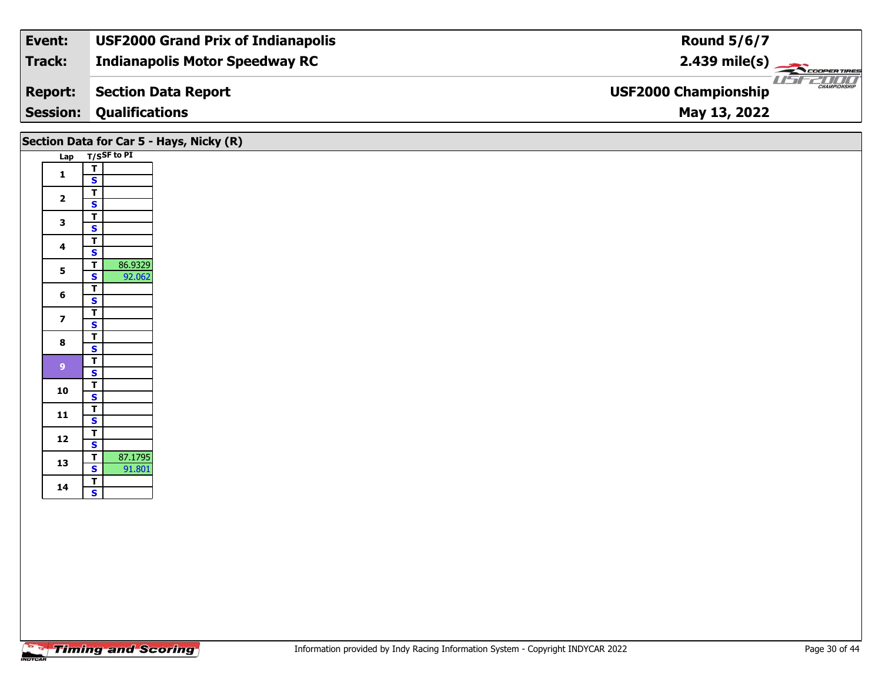| Event:          | <b>USF2000 Grand Prix of Indianapolis</b> | <b>Round 5/6/7</b>                                 |
|-----------------|-------------------------------------------|----------------------------------------------------|
| Track:          | <b>Indianapolis Motor Speedway RC</b>     | $2.439 \text{ mile(s)}$                            |
| <b>Report:</b>  | Section Data Report                       | <b>CHAMPIONSHIP</b><br><b>USF2000 Championship</b> |
| <b>Session:</b> | <b>Qualifications</b>                     | May 13, 2022                                       |
|                 |                                           |                                                    |

# **Section Data for Car 5 - Hays, Nicky (R)**

| Lap            |                                           | $T/S$ SF to PI |
|----------------|-------------------------------------------|----------------|
| 1              | T                                         |                |
|                | S                                         |                |
| $\overline{2}$ |                                           |                |
|                |                                           |                |
| 3              |                                           |                |
|                |                                           |                |
| 4              |                                           |                |
|                |                                           |                |
| 5              | T_S_T_S_T_S_T_S                           | 86.9329        |
|                |                                           | 92.062         |
| 6              | $\frac{1}{s}$ $\frac{1}{s}$ $\frac{1}{s}$ |                |
|                |                                           |                |
| 7              |                                           |                |
|                |                                           |                |
| 8              |                                           |                |
|                |                                           |                |
| 9              | $\frac{1}{s}$ $\frac{1}{s}$               |                |
|                |                                           |                |
| 10             | T                                         |                |
|                | S                                         |                |
| 11             | T                                         |                |
|                | S                                         |                |
| 12             | $rac{1}{s}$                               |                |
|                |                                           |                |
| 13             | $rac{1}{s}$                               | 87.1795        |
|                |                                           | 91.801         |
| 14             | T                                         |                |
|                | $\overline{\mathbf{s}}$                   |                |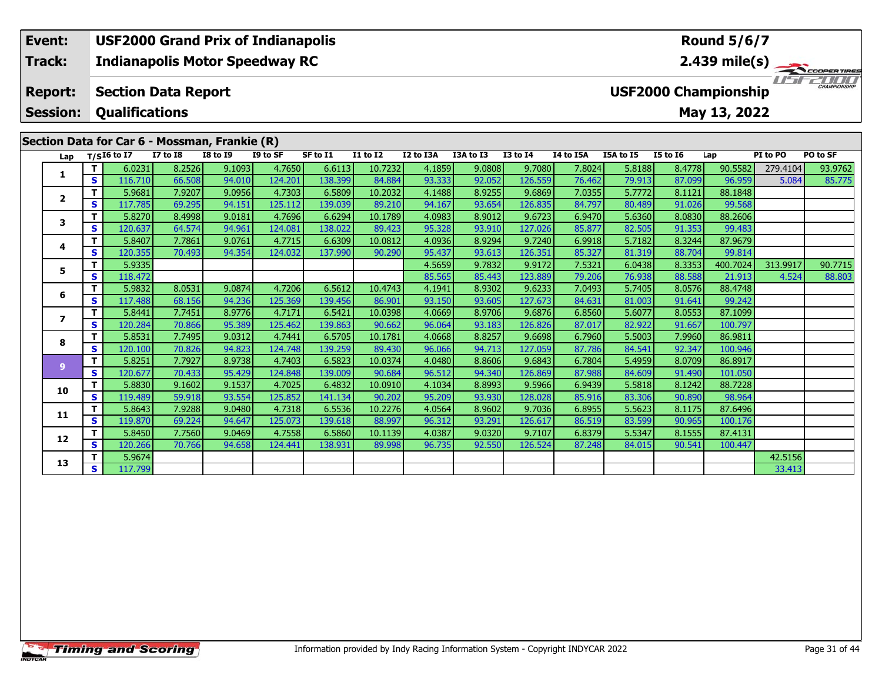#### **Indianapolis Motor Speedway RC Section Data Report May 13, 2022 Event: USF2000 Grand Prix of Indianapolis Track: Report: Session: Qualifications USF2000 Championship 2.439 mile(s) Round 5/6/7**

|  |                         |              |               |                 | Section Data for Car 6 - Mossman, Frankie (R) |          |          |                 |           |           |                 |           |           |                 |          |          |          |
|--|-------------------------|--------------|---------------|-----------------|-----------------------------------------------|----------|----------|-----------------|-----------|-----------|-----------------|-----------|-----------|-----------------|----------|----------|----------|
|  | Lap                     |              | $T/SI6$ to I7 | <b>I7 to I8</b> | <b>I8 to I9</b>                               | I9 to SF | SF to I1 | <b>I1 to I2</b> | I2 to I3A | I3A to I3 | <b>I3 to I4</b> | I4 to I5A | I5A to I5 | <b>I5 to 16</b> | Lap      | PI to PO | PO to SF |
|  | 1                       | $\mathbf{T}$ | 6.0231        | 8.2526          | 9.1093                                        | 4.7650   | 6.6113   | 10.7232         | 4.1859    | 9.0808    | 9.7080          | 7.8024    | 5.8188    | 8.4778          | 90.5582  | 279.4104 | 93.9762  |
|  |                         | S            | 116.710       | 66.508          | 94.010                                        | 124.201  | 138.399  | 84.884          | 93.333    | 92.052    | 126.559         | 76.462    | 79.913    | 87.099          | 96.959   | 5.084    | 85.775   |
|  | $\overline{\mathbf{2}}$ | $\mathbf{T}$ | 5.9681        | 7.9207          | 9.0956                                        | 4.7303   | 6.5809   | 10.2032         | 4.1488    | 8.9255    | 9.6869          | 7.0355    | 5.7772    | 8.1121          | 88.1848  |          |          |
|  |                         | S            | 117.785       | 69.295          | 94.151                                        | 125.112  | 139.039  | 89.210          | 94.167    | 93.654    | 126.835         | 84.797    | 80.489    | 91.026          | 99.568   |          |          |
|  | 3                       | т            | 5.8270        | 8.4998          | 9.0181                                        | 4.7696   | 6.6294   | 10.1789         | 4.0983    | 8.9012    | 9.6723          | 6.9470    | 5.6360    | 8.0830          | 88.2606  |          |          |
|  |                         | S            | 120.637       | 64.574          | 94.961                                        | 124.081  | 138.022  | 89.423          | 95.328    | 93.910    | 127.026         | 85.877    | 82.505    | 91.353          | 99.483   |          |          |
|  | 4                       | $\mathbf{T}$ | 5.8407        | 7.7861          | 9.0761                                        | 4.7715   | 6.6309   | 10.0812         | 4.0936    | 8.9294    | 9.7240          | 6.9918    | 5.7182    | 8.3244          | 87.9679  |          |          |
|  |                         | S            | 120.355       | 70.493          | 94.354                                        | 124.032  | 137.990  | 90.290          | 95.437    | 93.613    | 126.351         | 85.327    | 81.319    | 88.704          | 99.814   |          |          |
|  | 5                       | т            | 5.9335        |                 |                                               |          |          |                 | 4.5659    | 9.7832    | 9.9172          | 7.5321    | 6.0438    | 8.3353          | 400.7024 | 313.9917 | 90.7715  |
|  |                         | S            | 118.472       |                 |                                               |          |          |                 | 85.565    | 85.443    | 123.889         | 79.206    | 76.938    | 88.588          | 21.913   | 4.524    | 88.803   |
|  |                         | $\mathbf{T}$ | 5.9832        | 8.0531          | 9.0874                                        | 4.7206   | 6.5612   | 10.4743         | 4.1941    | 8.9302    | 9.6233          | 7.0493    | 5.7405    | 8.0576          | 88.4748  |          |          |
|  | 6                       | S            | 117.488       | 68.156          | 94.236                                        | 125.369  | 139.456  | 86.901          | 93.150    | 93.605    | 127.673         | 84.631    | 81.003    | 91.641          | 99.242   |          |          |
|  | $\overline{\mathbf{z}}$ | $\mathbf T$  | 5.8441        | 7.7451          | 8.9776                                        | 4.7171   | 6.5421   | 10.0398         | 4.0669    | 8.9706    | 9.6876          | 6.8560    | 5.6077    | 8.0553          | 87.1099  |          |          |
|  |                         | S            | 120.284       | 70.866          | 95.389                                        | 125.462  | 139.863  | 90.662          | 96.064    | 93.183    | 126.826         | 87.017    | 82.922    | 91.667          | 100.797  |          |          |
|  | 8                       | T            | 5.8531        | 7.7495          | 9.0312                                        | 4.7441   | 6.5705   | 10.1781         | 4.0668    | 8.8257    | 9.6698          | 6.7960    | 5.5003    | 7.9960          | 86.9811  |          |          |
|  |                         | S            | 120.100       | 70.826          | 94.823                                        | 124.748  | 139.259  | 89.430          | 96.066    | 94.713    | 127.059         | 87.786    | 84.541    | 92.347          | 100.946  |          |          |
|  | $\mathbf{9}$            | $\mathbf{T}$ | 5.8251        | 7.7927          | 8.9738                                        | 4.7403   | 6.5823   | 10.0374         | 4.0480    | 8.8606    | 9.6843          | 6.7804    | 5.4959    | 8.0709          | 86.8917  |          |          |
|  |                         | S            | 120.677       | 70.433          | 95.429                                        | 124.848  | 139.009  | 90.684          | 96.512    | 94.340    | 126.869         | 87.988    | 84.609    | 91.490          | 101.050  |          |          |
|  | 10                      | т            | 5.8830        | 9.1602          | 9.1537                                        | 4.7025   | 6.4832   | 10.0910         | 4.1034    | 8.8993    | 9.5966          | 6.9439    | 5.5818    | 8.1242          | 88.7228  |          |          |
|  |                         | S            | 119.489       | 59.918          | 93.554                                        | 125.852  | 141.134  | 90.202          | 95.209    | 93.930    | 128.028         | 85.916    | 83.306    | 90.890          | 98.964   |          |          |
|  |                         | т            | 5.8643        | 7.9288          | 9.0480                                        | 4.7318   | 6.5536   | 10.2276         | 4.0564    | 8.9602    | 9.7036          | 6.8955    | 5.5623    | 8.1175          | 87.6496  |          |          |
|  | 11<br>12                | $\mathbf{s}$ | 119.870       | 69.224          | 94.647                                        | 125.073  | 139.618  | 88.997          | 96.312    | 93.291    | 126.617         | 86.519    | 83.599    | 90.965          | 100.176  |          |          |
|  |                         | т            | 5.8450        | 7.7560          | 9.0469                                        | 4.7558   | 6.5860   | 10.1139         | 4.0387    | 9.0320    | 9.7107          | 6.8379    | 5.5347    | 8.1555          | 87.4131  |          |          |
|  |                         | S            | 120.266       | 70.766          | 94.658                                        | 124.441  | 138.931  | 89.998          | 96.735    | 92.550    | 126.524         | 87.248    | 84.015    | 90.541          | 100.447  |          |          |
|  | 13                      | Т            | 5.9674        |                 |                                               |          |          |                 |           |           |                 |           |           |                 |          | 42.5156  |          |
|  |                         | S.           | 117.799       |                 |                                               |          |          |                 |           |           |                 |           |           |                 |          | 33.413   |          |

ER TIRES

 $T = -T$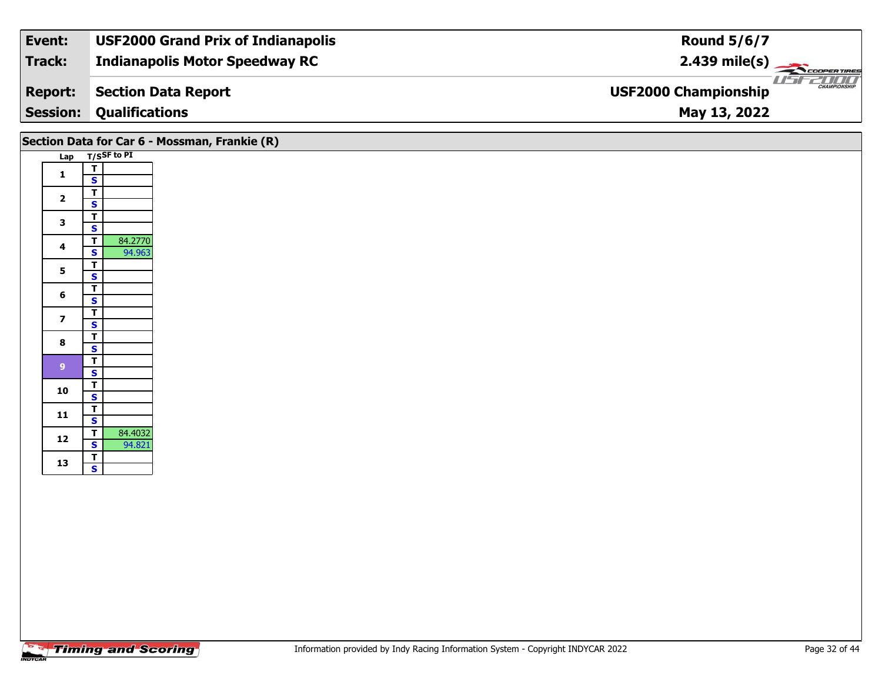| Event:          | <b>USF2000 Grand Prix of Indianapolis</b> | <b>Round 5/6/7</b>                                 |
|-----------------|-------------------------------------------|----------------------------------------------------|
| Track:          | <b>Indianapolis Motor Speedway RC</b>     | $2.439 \text{ mile(s)}$                            |
| <b>Report:</b>  | Section Data Report                       | <b>CHAMPIONSHIP</b><br><b>USF2000 Championship</b> |
| <b>Session:</b> | <b>Qualifications</b>                     | May 13, 2022                                       |

|                         |                                                                         | Section Data for Car 6 - Mossman, Frankie (R) |
|-------------------------|-------------------------------------------------------------------------|-----------------------------------------------|
|                         | Lap T/SSF to PI                                                         |                                               |
| $\mathbf{1}$            | $\overline{\mathsf{T}}$<br>$\mathbf{s}$                                 |                                               |
| $\overline{\mathbf{2}}$ | $\mathbf T$<br>$\overline{\mathbf{s}}$                                  |                                               |
| $\mathbf{3}$            | $\overline{T}$<br>$\overline{\mathbf{s}}$                               |                                               |
| $\overline{\mathbf{4}}$ | 84.2770<br>$\overline{\mathsf{T}}$<br>94.963<br>$\overline{\mathbf{s}}$ |                                               |
| 5                       | $\overline{\mathbf{r}}$<br>$\overline{\mathbf{s}}$                      |                                               |
| $6\phantom{1}6$         | $\overline{\mathbf{T}}$                                                 |                                               |
| $\overline{\mathbf{z}}$ | $\mathbf{s}$<br>$\mathbf T$                                             |                                               |
| 8                       | $\mathbf{s}$<br>$\overline{\mathsf{r}}$                                 |                                               |
|                         | $\mathbf{s}$<br>$\overline{\mathsf{r}}$                                 |                                               |
| $\boldsymbol{9}$        | $\overline{\mathbf{s}}$<br>$\overline{\mathsf{T}}$                      |                                               |
| 10                      | $\overline{\mathbf{s}}$                                                 |                                               |
| 11                      | $\frac{1}{s}$                                                           |                                               |
| 12                      | 84.4032<br>$\overline{t}$<br>$\mathbf{s}$<br>94.821                     |                                               |
| 13                      | $rac{1}{s}$                                                             |                                               |
|                         |                                                                         |                                               |
|                         |                                                                         |                                               |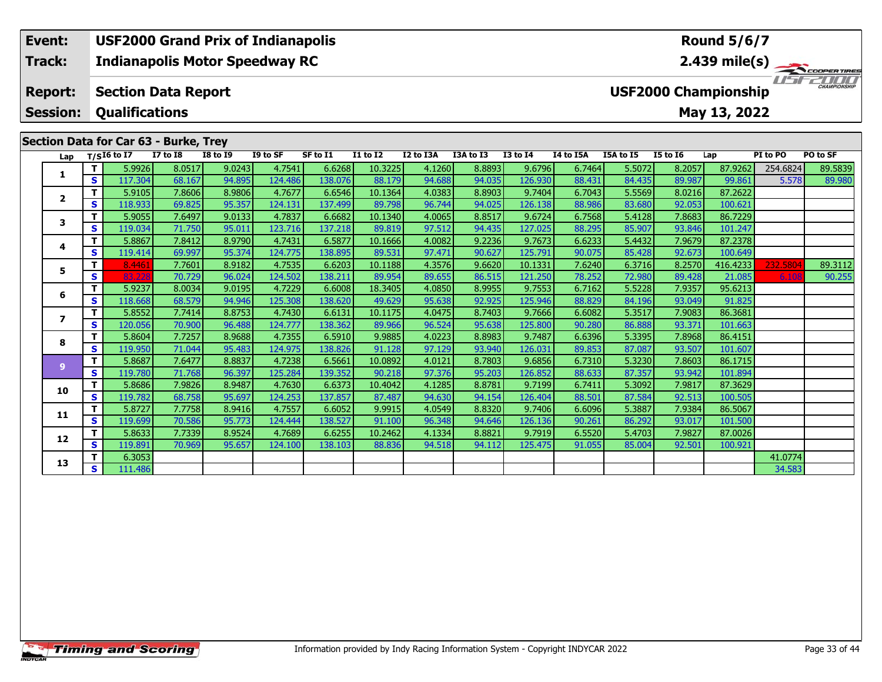### **Event: USF2000 Grand Prix of Indianapolis Round 5/6/7Indianapolis Motor Speedway RC 2.439 mile(s) Track:**11515211111 **Report: Section Data Report USF2000 Championship Session: Qualifications May 13, 2022 Section Data for Car 63 - Burke, Trey Lap T/SI6 to I7 I7 to I8 I8 to I9 I9 to SF SF to I1 I1 to I2 I2 to I3A I3A to I3 I3 to I4 I4 to I5A I5A to I5 I5 to I6 Lap PI to PO PO to SF**  1 | T | 5.9926 8.0517 9.0243 4.7541 6.6268 10.3225 4.1260 8.8893 9.6796 6.7464 5.5072 8.2057 87.9262 254.6824 89.5839<br>1 | S | 117.304 68.167 94.895 124.486 138.076 88.179 94.688 94.035 126.930 88.431 84.435 89.987 99.861 5 **1**

**<sup>T</sup>** 5.9105 7.8606 8.9806 4.7677 6.6546 10.1364 4.0383 8.8903 9.7404 6.7043 5.5569 8.0216 87.2622 **<sup>S</sup>** 118.933 69.825 95.357 124.131 137.499 89.798 96.744 94.025 126.138 88.986 83.680 92.053 100.621

**<sup>T</sup>** 5.9055 7.6497 9.0133 4.7837 6.6682 10.1340 4.0065 8.8517 9.6724 6.7568 5.4128 7.8683 86.7229 **<sup>S</sup>** 119.034 71.750 95.011 123.716 137.218 89.819 97.512 94.435 127.025 88.295 85.907 93.846 101.247

**<sup>T</sup>** 5.8867 7.8412 8.9790 4.7431 6.5877 10.1666 4.0082 9.2236 9.7673 6.6233 5.4432 7.9679 87.2378 **<sup>S</sup>** 119.414 69.997 95.374 124.775 138.895 89.531 97.471 90.627 125.791 90.075 85.428 92.673 100.649

**<sup>T</sup>** 5.9237 8.0034 9.0195 4.7229 6.6008 18.3405 4.0850 8.9955 9.7553 6.7162 5.5228 7.9357 95.6213 **<sup>S</sup>** 118.668 68.579 94.946 125.308 138.620 49.629 95.638 92.925 125.946 88.829 84.196 93.049 91.825

**<sup>T</sup>** 5.8552 7.7414 8.8753 4.7430 6.6131 10.1175 4.0475 8.7403 9.7666 6.6082 5.3517 7.9083 86.3681 **<sup>S</sup>** 120.056 70.900 96.488 124.777 138.362 89.966 96.524 95.638 125.800 90.280 86.888 93.371 101.663

**<sup>T</sup>** 5.8604 7.7257 8.9688 4.7355 6.5910 9.9885 4.0223 8.8983 9.7487 6.6396 5.3395 7.8968 86.4151 **<sup>S</sup>** 119.950 71.044 95.483 124.975 138.826 91.128 97.129 93.940 126.031 89.853 87.087 93.507 101.607

**<sup>T</sup>** 5.8687 7.6477 8.8837 4.7238 6.5661 10.0892 4.0121 8.7803 9.6856 6.7310 5.3230 7.8603 86.1715 **<sup>S</sup>** 119.780 71.768 96.397 125.284 139.352 90.218 97.376 95.203 126.852 88.633 87.357 93.942 101.894

**<sup>T</sup>** 5.8686 7.9826 8.9487 4.7630 6.6373 10.4042 4.1285 8.8781 9.7199 6.7411 5.3092 7.9817 87.3629 **<sup>S</sup>** 119.782 68.758 95.697 124.253 137.857 87.487 94.630 94.154 126.404 88.501 87.584 92.513 100.505

**<sup>T</sup>** 5.8727 7.7758 8.9416 4.7557 6.6052 9.9915 4.0549 8.8320 9.7406 6.6096 5.3887 7.9384 86.5067 **<sup>S</sup>** 119.699 70.586 95.773 124.444 138.527 91.100 96.348 94.646 126.136 90.261 86.292 93.017 101.500

**<sup>T</sup>** 5.8633 7.7339 8.9524 4.7689 6.6255 10.2462 4.1334 8.8821 9.7919 6.5520 5.4703 7.9827 87.0026 **<sup>S</sup>** 119.891 70.969 95.657 124.100 138.103 88.836 94.518 94.112 125.475 91.055 85.004 92.501 100.921

**T** 6.3053 41.0774 41.0774<br>**S** 111.486 34.583

5 11 8.4461 7.7601 8.9182 4.7535 6.6203 10.1188 4.3576 9.6620 10.1331 7.6240 6.3716 8.2570 416.4233 232.5804 89.3112<br>5 5 83.228 70.729 96.024 124.502 138.211 89.954 89.655 86.515 121.250 78.252 72.980 89.428 21.085 6.108 9

**2**

**3**

**4**

**5**

**6**

**7**

**8**

**9**

**10**

**11**

**12**

**13**

100.649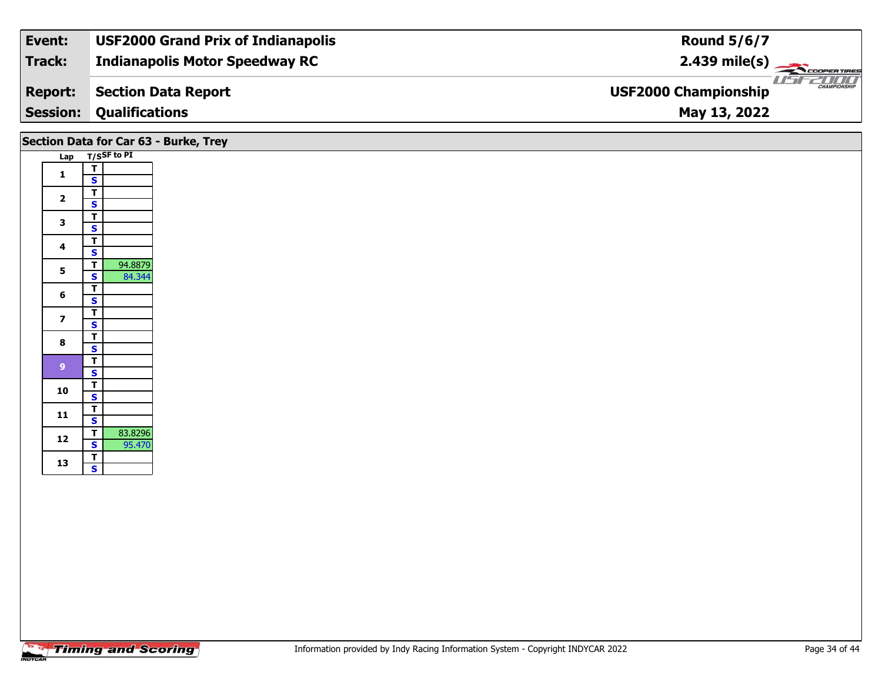| Event:          | <b>USF2000 Grand Prix of Indianapolis</b> | <b>Round 5/6/7</b>                                 |
|-----------------|-------------------------------------------|----------------------------------------------------|
| Track:          | <b>Indianapolis Motor Speedway RC</b>     | $2.439$ mile(s)                                    |
| <b>Report:</b>  | <b>Section Data Report</b>                | <b>CHAMPIONSHIP</b><br><b>USF2000 Championship</b> |
| <b>Session:</b> | <b>Qualifications</b>                     | May 13, 2022                                       |
|                 |                                           |                                                    |

|                         |                                                    | Section Data for Car 63 - Burke, Trey |
|-------------------------|----------------------------------------------------|---------------------------------------|
|                         | Lap T/SSF to PI                                    |                                       |
| $\mathbf{1}$            | $\overline{1}$                                     |                                       |
|                         | $\overline{\mathbf{s}}$                            |                                       |
| $\overline{\mathbf{2}}$ | $\overline{t}$                                     |                                       |
|                         | $\overline{\mathbf{s}}$                            |                                       |
| $\mathbf{3}$            | $\overline{\mathsf{T}}$                            |                                       |
|                         | $\mathbf{s}$<br>$\overline{\mathsf{T}}$            |                                       |
| $\overline{\mathbf{4}}$ | S                                                  |                                       |
|                         | 94.8879<br>$\overline{t}$                          |                                       |
| $5\phantom{a}$          | 84.344<br>$\overline{\mathbf{s}}$                  |                                       |
|                         | $\overline{\mathbf{T}}$                            |                                       |
| $6\phantom{1}$          | $\mathbf{s}$                                       |                                       |
| $\overline{z}$          | $\overline{\mathsf{T}}$                            |                                       |
|                         | $\mathbf{s}$                                       |                                       |
| $\bf8$                  | T                                                  |                                       |
|                         | $\overline{\mathbf{s}}$<br>$\overline{\mathsf{T}}$ |                                       |
| 9 <sup>°</sup>          | $\mathbf{s}$                                       |                                       |
|                         | $\overline{r}$                                     |                                       |
| 10                      | $\overline{\mathbf{s}}$                            |                                       |
|                         | $\overline{\mathsf{T}}$                            |                                       |
| 11                      | $\mathbf{s}$                                       |                                       |
| $12$                    | 83.8296<br>$\overline{t}$                          |                                       |
|                         | <b>S</b><br>95.470                                 |                                       |
| 13                      | T                                                  |                                       |
|                         | $\overline{\mathbf{s}}$                            |                                       |
|                         |                                                    |                                       |
|                         |                                                    |                                       |
|                         |                                                    |                                       |
|                         |                                                    |                                       |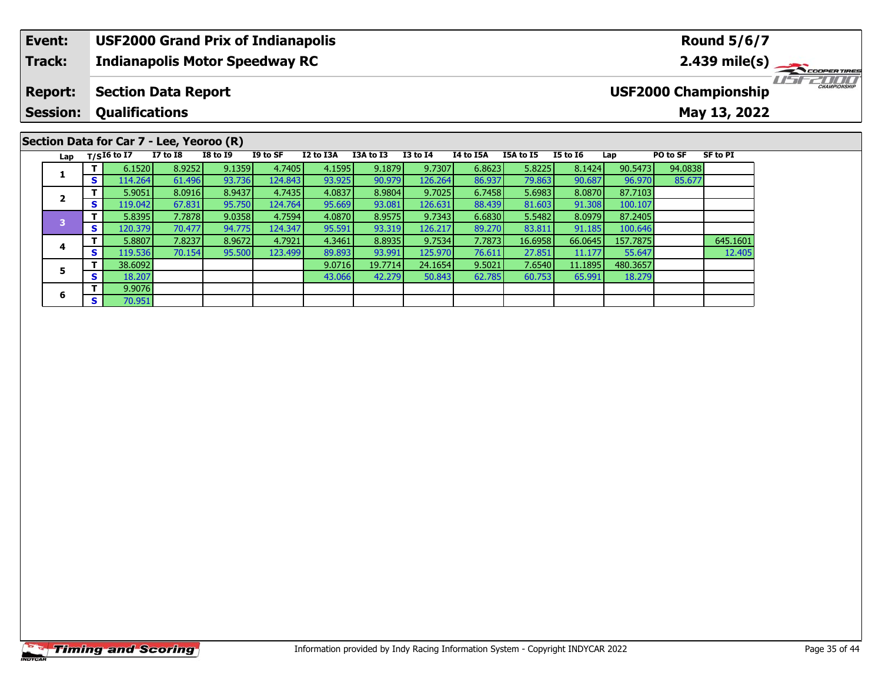### **Event: USF2000 Grand Prix of Indianapolis Round 5/6/7Indianapolis Motor Speedway RC 2.439 mile(s) Track:** TELECOPERTIRES **Report: Section Data Report USF2000 Championship Qualifications Session:May 13, 2022 Section Data for Car 7 - Lee, Yeoroo (R)**

| Lap |    | $T/SI6$ to $I7$ | $I7$ to $I8$ | <b>I8 to I9</b> | I9 to SF  | I2 to I3A | I3A to I3 | <b>I3 to I4</b> | I4 to I5A | <b>I5A to I5</b> | <b>I5 to 16</b> | Lap      | PO to SF | SF to PI |
|-----|----|-----------------|--------------|-----------------|-----------|-----------|-----------|-----------------|-----------|------------------|-----------------|----------|----------|----------|
|     |    | 6.1520          | 8.9252       | 9.1359          | 4.7405    | 4.1595    | 9.1879    | 9.7307          | 6.8623    | 5.8225           | 8.1424          | 90.5473  | 94.0838  |          |
|     | S  | 114.264         | 61.496       | 93.736          | 124.843   | 93.925    | 90.979    | 126.264         | 86.937    | 79.863           | 90.687          | 96.970   | 85.677   |          |
|     |    | 5.9051          | 8.0916       | 8.9437          | 4.7435    | 4.0837    | 8.9804    | 9.7025          | 6.7458    | 5.6983           | 8.0870          | 87.7103  |          |          |
|     | S  | 119.042         | 67.831       | 95.750          | 124.764   | 95.669    | 93.081    | 126.631         | 88.439    | 81.603           | 91.308          | 100.107  |          |          |
|     | т  | 5.8395          | 7.7878       | 9.0358          | 4.7594    | 4.0870    | 8.9575    | 9.7343          | 6.6830    | 5.5482           | 8.0979          | 87.2405  |          |          |
|     | S. | 120.379         | 70.477       | 94.775          | 124.347   | 95.591    | 93.319    | 126.217         | 89.270    | 83.811           | 91.185          | 100.646  |          |          |
|     | т  | 5.8807          | 7.8237       | 8.9672          | 4.7921    | 4.3461    | 8.8935    | 9.7534          | 7.7873    | 16.6958          | 66.0645         | 157.7875 |          | 645.1601 |
|     | S  | 119.536         | 70.154       | 95.500          | 123.499 l | 89.893    | 93.991    | 125.970         | 76.611    | 27.851           | 11.177          | 55.647   |          | 12.405   |
|     | т  | 38.6092         |              |                 |           | 9.0716    | 19.7714   | 24.1654         | 9.5021    | 7.6540           | 11.1895         | 480.3657 |          |          |
|     | S. | 18.207          |              |                 |           | 43.066    | 42.279    | 50.843          | 62.785    | 60.753           | 65.991          | 18.279   |          |          |
|     | T. | 9.9076          |              |                 |           |           |           |                 |           |                  |                 |          |          |          |
|     | S. | 70.951          |              |                 |           |           |           |                 |           |                  |                 |          |          |          |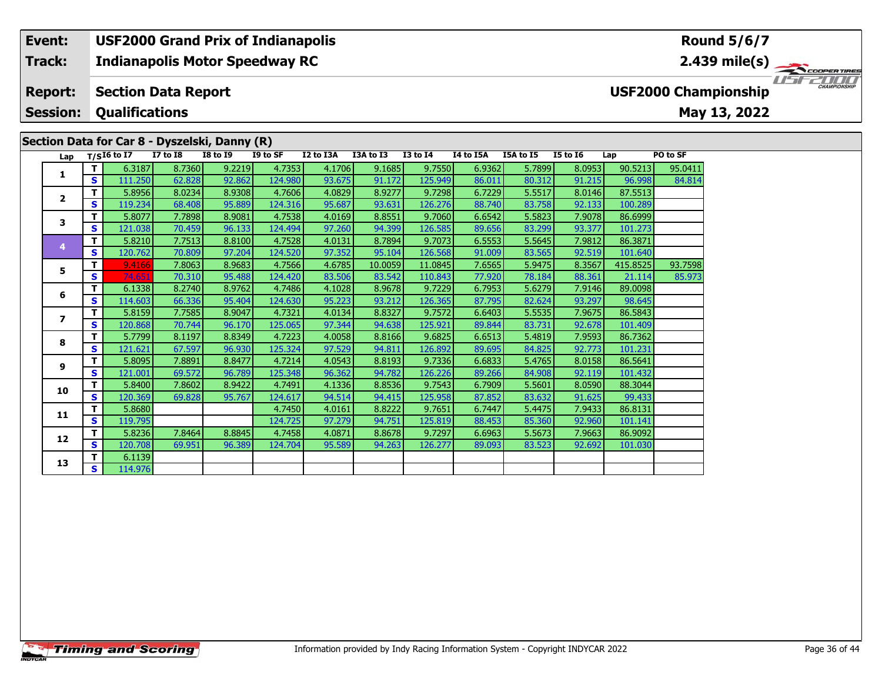### **Event:USF2000 Grand Prix of Indianapolis**

#### **Indianapolis Motor Speedway RC Track:**

#### **Section Data Report Report:**

**Session:Qualifications**

# **Section Data for Car 8 - Dyszelski, Danny (R)**

TELECOPERTING **USF2000 Championship**

| Lap                      | $T/SI6$ to I7 |         | <b>I7 to I8</b> | <b>I8 to I9</b> | I9 to SF | I2 to I3A | I3A to I3 | $I3$ to $I4$ | I4 to I5A | <b>I5A to I5</b> | <b>I5 to 16</b> | Lap      | PO to SF |
|--------------------------|---------------|---------|-----------------|-----------------|----------|-----------|-----------|--------------|-----------|------------------|-----------------|----------|----------|
|                          | Τ.            | 6.3187  | 8.7360          | 9.2219          | 4.7353   | 4.1706    | 9.1685    | 9.7550       | 6.9362    | 5.7899           | 8.0953          | 90.5213  | 95.0411  |
| 1                        | S             | 111.250 | 62.828          | 92.862          | 124.980  | 93.675    | 91.172    | 125.949      | 86.011    | 80.312           | 91.215          | 96.998   | 84.814   |
|                          | т             | 5.8956  | 8.0234          | 8.9308          | 4.7606   | 4.0829    | 8.9277    | 9.7298       | 6.7229    | 5.5517           | 8.0146          | 87.5513  |          |
| $\overline{\mathbf{2}}$  | S             | 119.234 | 68.408          | 95.889          | 124.316  | 95.687    | 93.631    | 126.276      | 88.740    | 83.758           | 92.133          | 100.289  |          |
| 3                        | т             | 5.8077  | 7.7898          | 8.9081          | 4.7538   | 4.0169    | 8.8551    | 9.7060       | 6.6542    | 5.5823           | 7.9078          | 86.6999  |          |
|                          | S             | 121.038 | 70.459          | 96.133          | 124.494  | 97.260    | 94.399    | 126.585      | 89.656    | 83.299           | 93.377          | 101.273  |          |
| 4                        | т             | 5.8210  | 7.7513          | 8.8100          | 4.7528   | 4.0131    | 8.7894    | 9.7073       | 6.5553    | 5.5645           | 7.9812          | 86.3871  |          |
|                          | S             | 120.762 | 70.809          | 97.204          | 124.520  | 97.352    | 95.104    | 126.568      | 91.009    | 83.565           | 92.519          | 101.640  |          |
| 5                        | т             | 9.4166  | 7.8063          | 8.9683          | 4.7566   | 4.6785    | 10.0059   | 11.0845      | 7.6565    | 5.9475           | 8.3567          | 415.8525 | 93.7598  |
|                          | S             | 74.651  | 70.310          | 95.488          | 124.420  | 83.506    | 83.542    | 110.843      | 77.920    | 78.184           | 88.361          | 21.114   | 85.973   |
| 6                        | т             | 6.1338  | 8.2740          | 8.9762          | 4.7486   | 4.1028    | 8.9678    | 9.7229       | 6.7953    | 5.6279           | 7.9146          | 89.0098  |          |
|                          | S             | 114.603 | 66.336          | 95.404          | 124.630  | 95.223    | 93.212    | 126.365      | 87.795    | 82.624           | 93.297          | 98.645   |          |
| $\overline{\phantom{a}}$ | т             | 5.8159  | 7.7585          | 8.9047          | 4.7321   | 4.0134    | 8.8327    | 9.7572       | 6.6403    | 5.5535           | 7.9675          | 86.5843  |          |
|                          | S             | 120.868 | 70.744          | 96.170          | 125.065  | 97.344    | 94.638    | 125.921      | 89.844    | 83.731           | 92.678          | 101.409  |          |
| 8                        | т             | 5.7799  | 8.1197          | 8.8349          | 4.7223   | 4.0058    | 8.8166    | 9.6825       | 6.6513    | 5.4819           | 7.9593          | 86.7362  |          |
|                          | S             | 121.621 | 67.597          | 96.930          | 125.324  | 97.529    | 94.811    | 126.892      | 89.695    | 84.825           | 92.773          | 101.231  |          |
| 9                        | т             | 5.8095  | 7.8891          | 8.8477          | 4.7214   | 4.0543    | 8.8193    | 9.7336       | 6.6833    | 5.4765           | 8.0158          | 86.5641  |          |
|                          | S             | 121.001 | 69.572          | 96.789          | 125.348  | 96.362    | 94.782    | 126.226      | 89.266    | 84.908           | 92.119          | 101.432  |          |
| 10                       | т             | 5.8400  | 7.8602          | 8.9422          | 4.7491   | 4.1336    | 8.8536    | 9.7543       | 6.7909    | 5.5601           | 8.0590          | 88.3044  |          |
|                          | S             | 120.369 | 69.828          | 95.767          | 124.617  | 94.514    | 94.415    | 125.958      | 87.852    | 83.632           | 91.625          | 99.433   |          |
| 11                       | т             | 5.8680  |                 |                 | 4.7450   | 4.0161    | 8.8222    | 9.7651       | 6.7447    | 5.4475           | 7.9433          | 86.8131  |          |
|                          | S             | 119.795 |                 |                 | 124.725  | 97.279    | 94.751    | 125.819      | 88.453    | 85.360           | 92.960          | 101.141  |          |
| 12                       | т             | 5.8236  | 7.8464          | 8.8845          | 4.7458   | 4.0871    | 8.8678    | 9.7297       | 6.6963    | 5.5673           | 7.9663          | 86.9092  |          |
|                          | S             | 120.708 | 69.951          | 96.389          | 124.704  | 95.589    | 94.263    | 126.277      | 89.093    | 83.523           | 92.692          | 101.030  |          |
| 13                       | Τ             | 6.1139  |                 |                 |          |           |           |              |           |                  |                 |          |          |
|                          | S.            | 114.976 |                 |                 |          |           |           |              |           |                  |                 |          |          |

# **Round 5/6/7**

**2.439 mile(s)**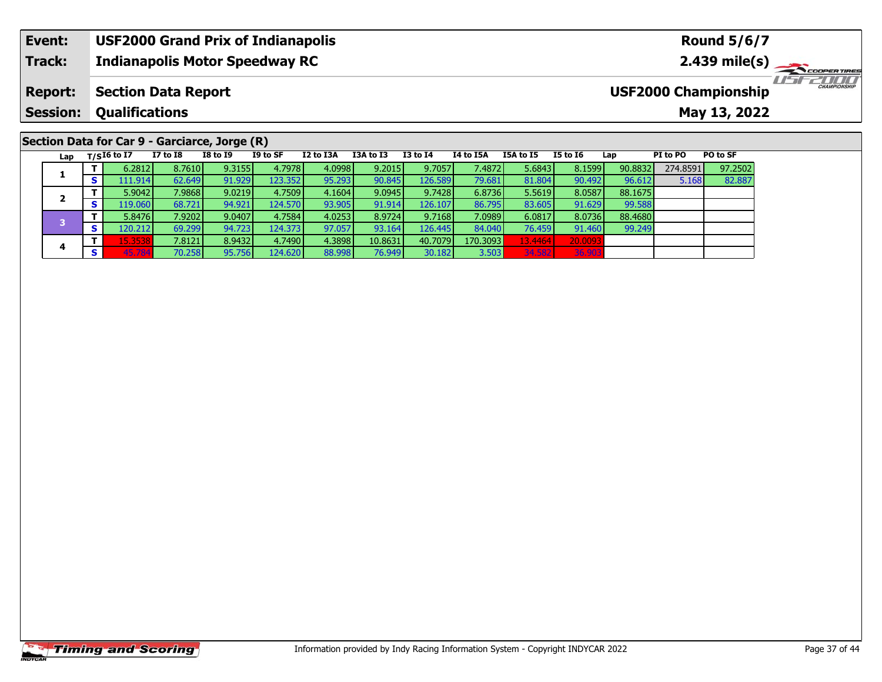#### **Event: USF2000 Grand Prix of Indianapolis Round 5/6/7Indianapolis Motor Speedway RC 2.439 mile(s) Track:** TELECOPERTIRES **Report: Section Data Report USF2000 Championship Qualifications Session:May 13, 2022**

# **Section Data for Car 9 - Garciarce, Jorge (R)**

| Lap |   | $T/SI6$ to I7 | <b>I7 to I8</b> | <b>I8 to I9</b> | I9 to SF | I2 to I3A | I3A to I3 | <b>I3 to I4</b> | I4 to I5A | <b>I5A to I5</b> | <b>I5 to 16</b> | Lap     | PI to PO | PO to SF |
|-----|---|---------------|-----------------|-----------------|----------|-----------|-----------|-----------------|-----------|------------------|-----------------|---------|----------|----------|
|     |   | 6.2812        | 8.7610          | 9.3155          | 4.7978   | 4.0998    | 9.2015    | 9.7057          | 7.4872    | 5.6843           | 8.1599          | 90.8832 | 274.8591 | 97.2502  |
|     | Э | 111.914       | 62.649          | 91.929          | 123.3521 | 95.293    | 90.845    | 126.589         | 79.681    | 81.804           | 90.492          | 96.612  | 5.168    | 82.887   |
|     |   | 5.9042        | 7.9868          | 9.0219          | 4.7509   | 4.1604    | 9.0945    | 9.7428          | 6.8736    | 5.5619           | 8.0587          | 88.1675 |          |          |
|     | Э | 119.060       | 68.721          | 94.921          | 124.570  | 93.905    | 91.914    | 126.1071        | 86.795    | 83.605           | 91.629          | 99.588  |          |          |
|     |   | 5.8476        | 7.9202          | 9.0407          | 4.7584   | 4.0253    | 8.9724    | 9.7168          | 7.0989    | 6.0817           | 8.0736          | 88.4680 |          |          |
|     | э | 120.212       | 69.299          | 94.723          | 124.373  | 97.057    | 93.164    | 126.445         | 84.040    | 76.459           | 91.460          | 99.249  |          |          |
|     |   | 15.3538       | 7.8121 l        | 8.9432          | 4.7490   | 4.3898    | 10.8631   | 40.7079         | 170.3093  | 13.4464          | 20.0093         |         |          |          |
| 4   | э | 45.784        | 70.258          | 95.756          | 124.620  | 88.998    | 76.949    | 30.182          | 3.503     | 34.582           | 36.903          |         |          |          |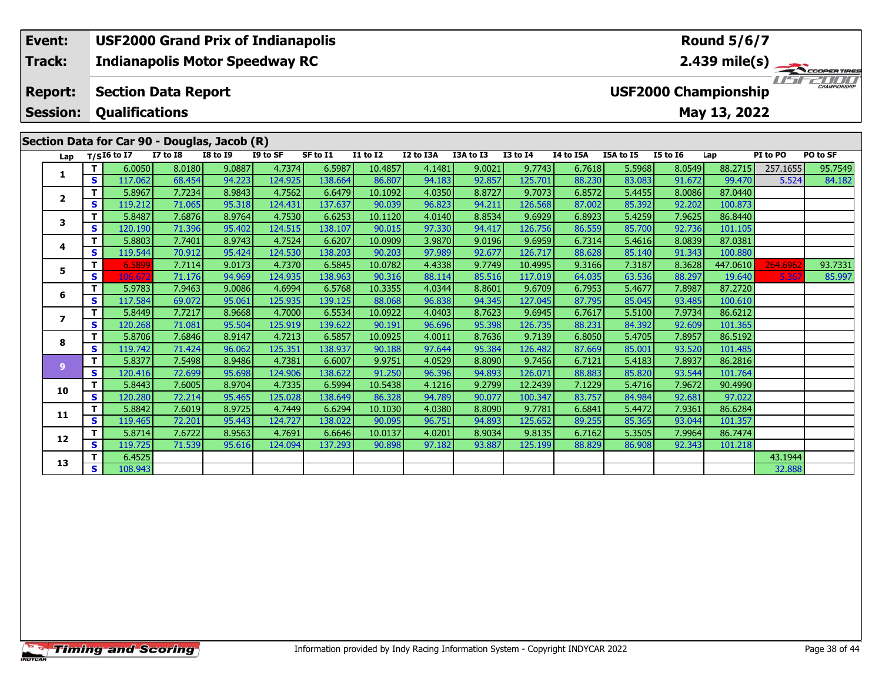#### **Event: USF2000 Grand Prix of Indianapolis Round 5/6/7Indianapolis Motor Speedway RC 2.439 mile(s) Track:**  $200f$ USFZUUD **Report: Section Data Report USF2000 Championship Qualifications Session:May 13, 2022 Section Data for Car 90 - Douglas, Jacob (R)**

| Lap          |             | $T/SI6$ to I7 | <b>I7 to I8</b> | <b>I8 to I9</b> | I9 to SF | SF to I1 | <b>I1 to I2</b> | I2 to I3A | I3A to I3 | <b>I3 to I4</b> | I4 to I5A | I5A to I5 | <b>I5 to 16</b> | Lap      | PI to PO | PO to SF |
|--------------|-------------|---------------|-----------------|-----------------|----------|----------|-----------------|-----------|-----------|-----------------|-----------|-----------|-----------------|----------|----------|----------|
| 1            | T           | 6.0050        | 8.0180          | 9.0887          | 4.7374   | 6.5987   | 10.4857         | 4.1481    | 9.0021    | 9.7743          | 6.7618    | 5.5968    | 8.0549          | 88.2715  | 257.1655 | 95.7549  |
|              | S           | 117.062       | 68.454          | 94.223          | 124.925  | 138.664  | 86.807          | 94.183    | 92.857    | 125.701         | 88.230    | 83.083    | 91.672          | 99.470   | 5.524    | 84.182   |
| $\mathbf{2}$ | Т           | 5.8967        | 7.7234          | 8.9843          | 4.7562   | 6.6479   | 10.1092         | 4.0350    | 8.8727    | 9.7073          | 6.8572    | 5.4455    | 8.0086          | 87.0440  |          |          |
|              | S           | 119.212       | 71.065          | 95.318          | 124.431  | 137.637  | 90.039          | 96.823    | 94.211    | 126.568         | 87.002    | 85.392    | 92.202          | 100.873  |          |          |
| 3            | T           | 5.8487        | 7.6876          | 8.9764          | 4.7530   | 6.6253   | 10.1120         | 4.0140    | 8.8534    | 9.6929          | 6.8923    | 5.4259    | 7.9625          | 86.8440  |          |          |
|              | S           | 120.190       | 71.396          | 95.402          | 124.515  | 138.107  | 90.015          | 97.330    | 94.417    | 126.756         | 86.559    | 85.700    | 92.736          | 101.105  |          |          |
| 4            | Т           | 5.8803        | 7.7401          | 8.9743          | 4.7524   | 6.6207   | 10.0909         | 3.9870    | 9.0196    | 9.6959          | 6.7314    | 5.4616    | 8.0839          | 87.0381  |          |          |
|              | S           | 119.544       | 70.912          | 95.424          | 124.530  | 138.203  | 90.203          | 97.989    | 92.677    | 126.717         | 88.628    | 85.140    | 91.343          | 100.880  |          |          |
| 5            | Т           | 6.5899        | 7.7114          | 9.0173          | 4.7370   | 6.5845   | 10.0782         | 4.4338    | 9.7749    | 10.4995         | 9.3166    | 7.3187    | 8.3628          | 447.0610 | 264.6962 | 93.7331  |
|              | s           | 106.67        | 71.176          | 94.969          | 124.935  | 138.963  | 90.316          | 88.114    | 85.516    | 117.019         | 64.035    | 63.536    | 88.297          | 19.640   | 5.36     | 85.997   |
| 6            | T           | 5.9783        | 7.9463          | 9.0086          | 4.6994   | 6.5768   | 10.3355         | 4.0344    | 8.8601    | 9.6709          | 6.7953    | 5.4677    | 7.8987          | 87.2720  |          |          |
|              | s           | 117.584       | 69.072          | 95.061          | 125.935  | 139.125  | 88.068          | 96.838    | 94.345    | 127.045         | 87.795    | 85.045    | 93.485          | 100.610  |          |          |
| 7            | т           | 5.8449        | 7.7217          | 8.9668          | 4.7000   | 6.5534   | 10.0922         | 4.0403    | 8.7623    | 9.6945          | 6.7617    | 5.5100    | 7.9734          | 86.6212  |          |          |
|              | S           | 120.268       | 71.081          | 95.504          | 125.919  | 139.622  | 90.191          | 96.696    | 95.398    | 126.735         | 88.231    | 84.392    | 92.609          | 101.365  |          |          |
| 8            | Т           | 5.8706        | 7.6846          | 8.9147          | 4.7213   | 6.5857   | 10.0925         | 4.0011    | 8.7636    | 9.7139          | 6.8050    | 5.4705    | 7.8957          | 86.5192  |          |          |
|              | S           | 119.742       | 71.424          | 96.062          | 125.351  | 138.937  | 90.188          | 97.644    | 95.384    | 126.482         | 87.669    | 85.001    | 93.520          | 101.485  |          |          |
| 9            | $\mathbf T$ | 5.8377        | 7.5498          | 8.9486          | 4.7381   | 6.6007   | 9.9751          | 4.0529    | 8.8090    | 9.7456          | 6.7121    | 5.4183    | 7.8937          | 86.2816  |          |          |
|              | S           | 120.416       | 72.699          | 95.698          | 124.906  | 138.622  | 91.250          | 96.396    | 94.893    | 126.071         | 88.883    | 85.820    | 93.544          | 101.764  |          |          |
| 10           | т           | 5.8443        | 7.6005          | 8.9704          | 4.7335   | 6.5994   | 10.5438         | 4.1216    | 9.2799    | 12.2439         | 7.1229    | 5.4716    | 7.9672          | 90.4990  |          |          |
|              | S           | 120.280       | 72.214          | 95.465          | 125.028  | 138.649  | 86.328          | 94.789    | 90.077    | 100.347         | 83.757    | 84.984    | 92.681          | 97.022   |          |          |
| 11           | Т           | 5.8842        | 7.6019          | 8.9725          | 4.7449   | 6.6294   | 10.1030         | 4.0380    | 8.8090    | 9.7781          | 6.6841    | 5.4472    | 7.9361          | 86.6284  |          |          |
|              | S           | 119.465       | 72.201          | 95.443          | 124.727  | 138.022  | 90.095          | 96.751    | 94.893    | 125.652         | 89.255    | 85.365    | 93.044          | 101.357  |          |          |
| 12           | т           | 5.8714        | 7.6722          | 8.9563          | 4.7691   | 6.6646   | 10.0137         | 4.0201    | 8.9034    | 9.8135          | 6.7162    | 5.3505    | 7.9964          | 86.7474  |          |          |
|              | S           | 119.725       | 71.539          | 95.616          | 124.094  | 137.293  | 90.898          | 97.182    | 93.887    | 125.199         | 88.829    | 86.908    | 92.343          | 101.218  |          |          |
| 13           | Т           | 6.4525        |                 |                 |          |          |                 |           |           |                 |           |           |                 |          | 43.1944  |          |
|              | S           | 108.943       |                 |                 |          |          |                 |           |           |                 |           |           |                 |          | 32.888   |          |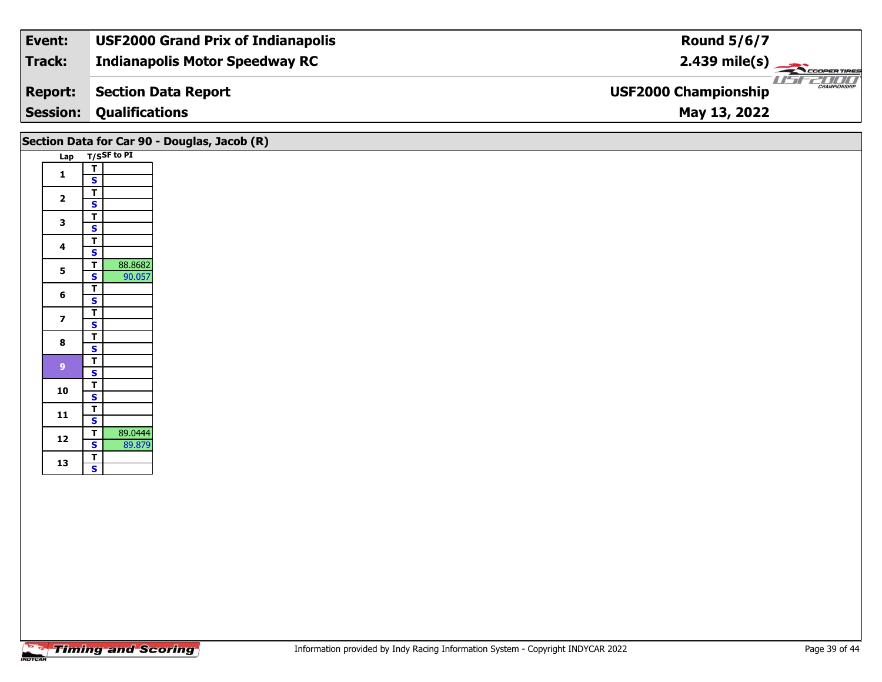| Event:          | <b>USF2000 Grand Prix of Indianapolis</b> | <b>Round 5/6/7</b>                                 |
|-----------------|-------------------------------------------|----------------------------------------------------|
| Track:          | <b>Indianapolis Motor Speedway RC</b>     | $2.439 \text{ mile(s)}$                            |
| <b>Report:</b>  | Section Data Report                       | <b>CHAMPIONSHIP</b><br><b>USF2000 Championship</b> |
| <b>Session:</b> | <b>Qualifications</b>                     | May 13, 2022                                       |

|                         |                                           | Section Data for Car 90 - Douglas, Jacob (R) |
|-------------------------|-------------------------------------------|----------------------------------------------|
|                         | Lap T/SSF to PI                           |                                              |
| $\mathbf{1}$            | $rac{1}{s}$                               |                                              |
|                         | $\overline{\mathsf{T}}$                   |                                              |
| $\overline{2}$          | $\overline{\mathbf{s}}$                   |                                              |
| $\mathbf{3}$            | $\overline{\mathsf{T}}$                   |                                              |
|                         | $\overline{\mathbf{s}}$                   |                                              |
| $\overline{\mathbf{4}}$ | $\overline{\mathsf{T}}$<br>$\mathbf{s}$   |                                              |
| $5\phantom{a}$          | 88.8682<br>$\overline{\mathsf{T}}$        |                                              |
|                         | 90.057<br>$\overline{\mathbf{s}}$         |                                              |
| 6                       | $\overline{\mathsf{r}}$<br>$\mathbf{s}$   |                                              |
|                         | $\overline{\mathsf{T}}$                   |                                              |
| $\overline{\mathbf{z}}$ | $\overline{\mathbf{s}}$                   |                                              |
| $\bf{8}$                | $\overline{1}$<br>$\overline{\mathbf{s}}$ |                                              |
|                         | $\overline{\mathsf{T}}$                   |                                              |
| 9 <sup>°</sup>          | $\mathbf{s}$                              |                                              |
| 10                      | $rac{1}{s}$                               |                                              |
|                         |                                           |                                              |
| 11                      | $\frac{1}{s}$                             |                                              |
| $12$                    | $\overline{\mathbf{r}}$<br>89.0444        |                                              |
|                         | 89.879<br>$\mathbf{s}$                    |                                              |
| 13                      | $\overline{1}$<br>$\overline{\mathbf{s}}$ |                                              |
|                         |                                           |                                              |
|                         |                                           |                                              |
|                         |                                           |                                              |
|                         |                                           |                                              |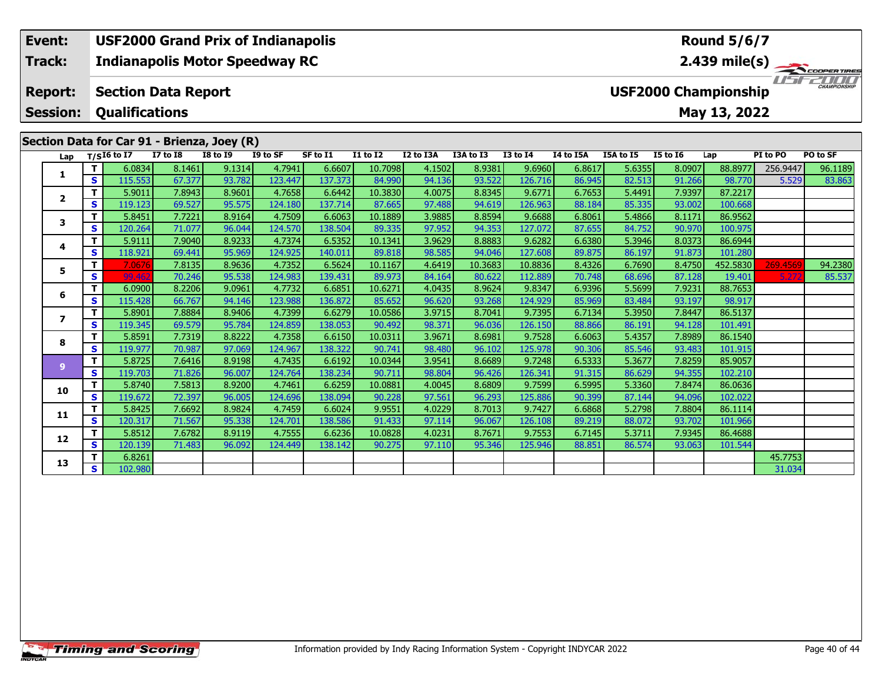### **Event: USF2000 Grand Prix of Indianapolis Round 5/6/7Track:Indianapolis Motor Speedway RC 2.439 mile(s)** USEZOOO **Report: Section Data Report USF2000 Championship Session: Qualifications May 13, 2022 Section Data for Car 91 - Brienza, Joey (R) Lap T/SI6 to I7 I7 to I8 I8 to I9 I9 to SF SF to I1 I1 to I2 I2 to I3A I3A to I3 I3 to I4 I4 to I5A I5A to I5 I5 to I6 Lap PI to PO PO to SF**

**<sup>T</sup>** 5.9011 7.8943 8.9601 4.7658 6.6442 10.3830 4.0075 8.8345 9.6771 6.7653 5.4491 7.9397 87.2217 **<sup>S</sup>** 119.123 69.527 95.575 124.180 137.714 87.665 97.488 94.619 126.963 88.184 85.335 93.002 100.668

**<sup>T</sup>** 5.8451 7.7221 8.9164 4.7509 6.6063 10.1889 3.9885 8.8594 9.6688 6.8061 5.4866 8.1171 86.9562 **<sup>S</sup>** 120.264 71.077 96.044 124.570 138.504 89.335 97.952 94.353 127.072 87.655 84.752 90.970 100.975

**<sup>T</sup>** 5.9111 7.9040 8.9233 4.7374 6.5352 10.1341 3.9629 8.8883 9.6282 6.6380 5.3946 8.0373 86.6944 **<sup>S</sup>** 118.921 69.441 95.969 124.925 140.011 89.818 98.585 94.046 127.608 89.875 86.197 91.873 101.280

**<sup>T</sup>** 6.0900 8.2206 9.0961 4.7732 6.6851 10.6271 4.0435 8.9624 9.8347 6.9396 5.5699 7.9231 88.7653 **<sup>S</sup>** 115.428 66.767 94.146 123.988 136.872 85.652 96.620 93.268 124.929 85.969 83.484 93.197 98.917

1 | T | 6.0834 | 8.1461 | 9.1314 | 4.7941 | 6.6607 | 10.7098 | 4.1502 | 8.9381 | 9.6960 | 6.8617 | 5.6355 | 8.0907 | 88.8977 |256.9447 | 96.1189<br>1 | S | 115.553 | 67.377 | 93.782 | 123.447 | 137.373 | 84.990 | 94.136 | 93.

5 | T | 7.0676| 7.8135| 8.9636| 4.7352| 6.5624| 10.1167| 4.6419| 10.3683| 10.8836| 8.4326| 6.7690| 8.4750| 452.5830 269.4569| 94.2380<br>| S | 99.462 | 70.246| 95.538| 124.983| 139.431| 89.973| 84.164| 80.622| 112.889| 70.748

| $\overline{\mathbf{z}}$ |    | 5.8901  | 7.88841 | 8.94061 | 4.73991 | 6.6279  | 10.05861 | 3.9715 | 8.70411 | 9.7395  | 6.7134 | 5.3950 | 7.84471 | 86.5137 |         |
|-------------------------|----|---------|---------|---------|---------|---------|----------|--------|---------|---------|--------|--------|---------|---------|---------|
|                         | S  | 119.345 | 69.579  | 95.784  | 124.859 | 138.053 | 90.492   | 98.371 | 96.036  | 126.150 | 88.866 | 86.191 | 94.128  | 101.491 |         |
| 8                       | т  | 5.8591  | 7.7319  | 8.8222  | 4.7358  | 6.6150  | 10.0311  | 3.9671 | 8.6981  | 9.7528  | 6.6063 | 5.4357 | 7.8989  | 86.1540 |         |
|                         | S  | 119.977 | 70.987  | 97.069  | 124.967 | 138.322 | 90.741   | 98.480 | 96.102  | 125.978 | 90.306 | 85.546 | 93.483  | 101.915 |         |
| $\overline{9}$          | т  | 5.8725  | 7.6416  | 8.9198  | 4.7435  | 6.6192  | 10.0344  | 3.9541 | 8.6689  | 9.7248  | 6.5333 | 5.3677 | 7.8259  | 85.9057 |         |
|                         | S  | 119.703 | 71.826  | 96.007  | 124.764 | 138.234 | 90.711   | 98.804 | 96.426  | 126.341 | 91.315 | 86.629 | 94.355  | 102.210 |         |
| 10                      | т  | 5.8740  | 7.5813  | 8.9200  | 4.7461  | 6.6259  | 10.0881  | 4.0045 | 8.6809  | 9.7599  | 6.5995 | 5.3360 | 7.8474  | 86.0636 |         |
|                         | S. | 119.672 | 72.397  | 96.005  | 124.696 | 138.094 | 90.228   | 97.561 | 96.293  | 125.886 | 90.399 | 87.144 | 94.096  | 102.022 |         |
| 11                      | т  | 5.8425  | 7.6692  | 8.9824  | 4.7459  | 6.6024  | 9.9551   | 4.0229 | 8.7013  | 9.7427  | 6.6868 | 5.2798 | 7.8804  | 86.1114 |         |
|                         | S  | 120.317 | 71.567  | 95.338  | 124.701 | 138.586 | 91.433   | 97.114 | 96.067  | 126.108 | 89.219 | 88.072 | 93.702  | 101.966 |         |
| 12                      | т  | 5.8512  | 7.6782  | 8.9119  | 4.7555  | 6.6236  | 10.0828  | 4.0231 | 8.7671  | 9.7553  | 6.7145 | 5.3711 | 7.9345  | 86.4688 |         |
|                         | S  | 120.139 | 71.483  | 96.092  | 124.449 | 138.142 | 90.275   | 97.110 | 95.346  | 125.946 | 88.851 | 86.574 | 93.063  | 101.544 |         |
| 13                      | т  | 6.8261  |         |         |         |         |          |        |         |         |        |        |         |         | 45.7753 |
|                         | S  | 102.980 |         |         |         |         |          |        |         |         |        |        |         |         | 31.034  |
|                         |    |         |         |         |         |         |          |        |         |         |        |        |         |         |         |
|                         |    |         |         |         |         |         |          |        |         |         |        |        |         |         |         |
|                         |    |         |         |         |         |         |          |        |         |         |        |        |         |         |         |
|                         |    |         |         |         |         |         |          |        |         |         |        |        |         |         |         |
|                         |    |         |         |         |         |         |          |        |         |         |        |        |         |         |         |
|                         |    |         |         |         |         |         |          |        |         |         |        |        |         |         |         |
|                         |    |         |         |         |         |         |          |        |         |         |        |        |         |         |         |
|                         |    |         |         |         |         |         |          |        |         |         |        |        |         |         |         |
|                         |    |         |         |         |         |         |          |        |         |         |        |        |         |         |         |

**1**

**2**

**3**

**4**

**5**

**6**

101.280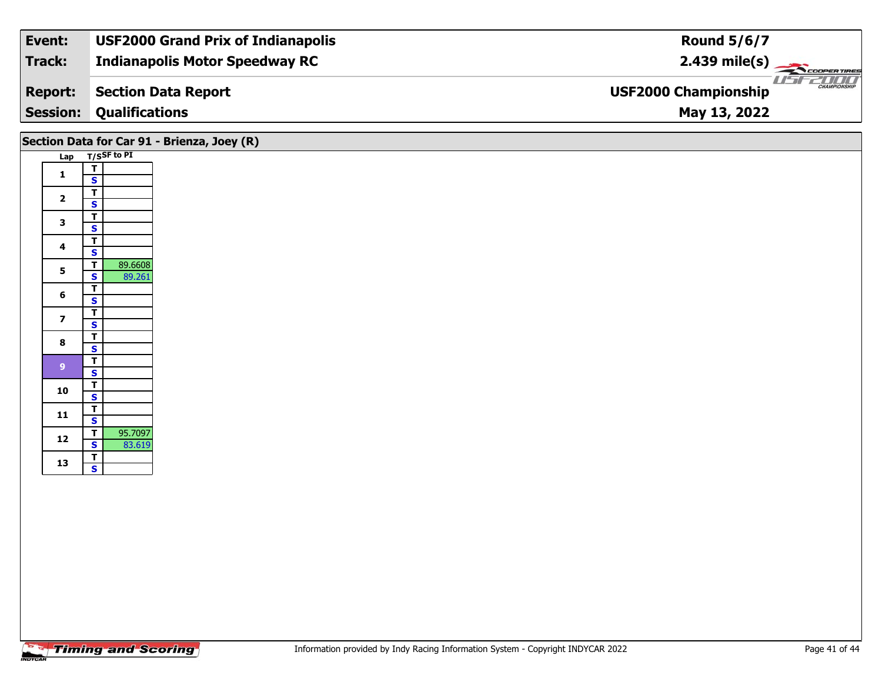| Track:<br><b>Indianapolis Motor Speedway RC</b>                      |                         |
|----------------------------------------------------------------------|-------------------------|
|                                                                      | $2.439 \text{ mile(s)}$ |
| <b>USF2000 Championship</b><br>Section Data Report<br><b>Report:</b> | <b>CHAMPIONSHIP</b>     |
| <b>Session:</b><br><b>Qualifications</b><br>May 13, 2022             |                         |

|                         |                                                                         | Section Data for Car 91 - Brienza, Joey (R) |
|-------------------------|-------------------------------------------------------------------------|---------------------------------------------|
|                         | Lap T/SSF to PI                                                         |                                             |
| $\mathbf{1}$            | $\mathbf T$<br>$\mathbf{s}$                                             |                                             |
| $\mathbf{2}$            | $rac{1}{s}$                                                             |                                             |
| $\mathbf{3}$            | $rac{1}{s}$                                                             |                                             |
| $\overline{\mathbf{4}}$ | $\overline{\mathsf{T}}$                                                 |                                             |
| 5                       | $\mathbf{s}$<br>89.6608<br>$\overline{t}$                               |                                             |
|                         | $\overline{\mathbf{s}}$<br>89.261<br>$\mathbf T$                        |                                             |
| 6                       | $\mathbf{s}$                                                            |                                             |
| $\overline{\mathbf{z}}$ | $\overline{\mathbf{T}}$<br>$\overline{\mathbf{s}}$                      |                                             |
| 8                       | $\frac{1}{s}$                                                           |                                             |
| $9$                     | $\overline{\mathsf{T}}$                                                 |                                             |
| 10                      | $\mathbf{s}$<br>$rac{1}{s}$                                             |                                             |
|                         |                                                                         |                                             |
| 11                      | $rac{1}{s}$                                                             |                                             |
| $12$                    | 95.7097<br>$\overline{\mathsf{r}}$<br>$\overline{\mathbf{s}}$<br>83.619 |                                             |
| 13                      | $rac{1}{s}$                                                             |                                             |
|                         |                                                                         |                                             |
|                         |                                                                         |                                             |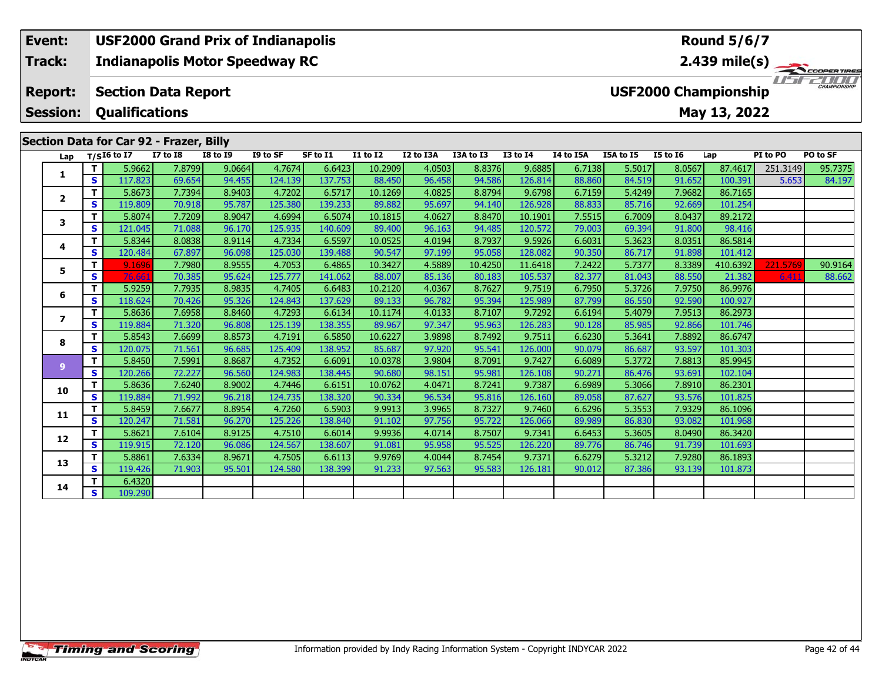# **Event: USF2000 Grand Prix of Indianapolis Round 5/6/7Indianapolis Motor Speedway RC 2.439 mile(s) Track:**11515211111 **Report: Section Data Report USF2000 Championship Session: Qualifications May 13, 2022 Section Data for Car 92 - Frazer, Billy Lap T/SI6 to I7 I7 to I8 I8 to I9 I9 to SF SF to I1 I1 to I2 I2 to I3A I3A to I3 I3 to I4 I4 to I5A I5A to I5 I5 to I6 Lap PI to PO PO to SF**  1 | T | 5.9662 | 7.8799 | 9.0664 | 4.7674 | 6.6423 | 10.2909 | 4.0503 | 8.8376 | 9.6885 | 6.7138 | 5.5017 | 8.0567 | 87.4617 |251.3149 | 95.7375<br>1 | S | 117.823 | 69.654 | 94.455 | 124.139 | 137.753 | 88.450 | 96.458 | 94.

**<sup>T</sup>** 5.8673 7.7394 8.9403 4.7202 6.5717 10.1269 4.0825 8.8794 9.6798 6.7159 5.4249 7.9682 86.7165 **<sup>S</sup>** 119.809 70.918 95.787 125.380 139.233 89.882 95.697 94.140 126.928 88.833 85.716 92.669 101.254

**<sup>T</sup>** 5.8074 7.7209 8.9047 4.6994 6.5074 10.1815 4.0627 8.8470 10.1901 7.5515 6.7009 8.0437 89.2172 **<sup>S</sup>** 121.045 71.088 96.170 125.935 140.609 89.400 96.163 94.485 120.572 79.003 69.394 91.800 98.416

**<sup>T</sup>** 5.8344 8.0838 8.9114 4.7334 6.5597 10.0525 4.0194 8.7937 9.5926 6.6031 5.3623 8.0351 86.5814 **<sup>S</sup>** 120.484 67.897 96.098 125.030 139.488 90.547 97.199 95.058 128.082 90.350 86.717 91.898 101.412

**<sup>T</sup>** 5.9259 7.7935 8.9835 4.7405 6.6483 10.2120 4.0367 8.7627 9.7519 6.7950 5.3726 7.9750 86.9976 **<sup>S</sup>** 118.624 70.426 95.326 124.843 137.629 89.133 96.782 95.394 125.989 87.799 86.550 92.590 100.927

**<sup>T</sup>** 5.8636 7.6958 8.8460 4.7293 6.6134 10.1174 4.0133 8.7107 9.7292 6.6194 5.4079 7.9513 86.2973 **<sup>S</sup>** 119.884 71.320 96.808 125.139 138.355 89.967 97.347 95.963 126.283 90.128 85.985 92.866 101.746

**<sup>T</sup>** 5.8543 7.6699 8.8573 4.7191 6.5850 10.6227 3.9898 8.7492 9.7511 6.6230 5.3641 7.8892 86.6747 **<sup>S</sup>** 120.075 71.561 96.685 125.409 138.952 85.687 97.920 95.541 126.000 90.079 86.687 93.597 101.303

**<sup>T</sup>** 5.8450 7.5991 8.8687 4.7352 6.6091 10.0378 3.9804 8.7091 9.7427 6.6089 5.3772 7.8813 85.9945 **<sup>S</sup>** 120.266 72.227 96.560 124.983 138.445 90.680 98.151 95.981 126.108 90.271 86.476 93.691 102.104

**<sup>T</sup>** 5.8636 7.6240 8.9002 4.7446 6.6151 10.0762 4.0471 8.7241 9.7387 6.6989 5.3066 7.8910 86.2301 **<sup>S</sup>** 119.884 71.992 96.218 124.735 138.320 90.334 96.534 95.816 126.160 89.058 87.627 93.576 101.825

**<sup>T</sup>** 5.8459 7.6677 8.8954 4.7260 6.5903 9.9913 3.9965 8.7327 9.7460 6.6296 5.3553 7.9329 86.1096 **<sup>S</sup>** 120.247 71.581 96.270 125.226 138.840 91.102 97.756 95.722 126.066 89.989 86.830 93.082 101.968

**<sup>T</sup>** 5.8621 7.6104 8.9125 4.7510 6.6014 9.9936 4.0714 8.7507 9.7341 6.6453 5.3605 8.0490 86.3420 **<sup>S</sup>** 119.915 72.120 96.086 124.567 138.607 91.081 95.958 95.525 126.220 89.776 86.746 91.739 101.693

**<sup>T</sup>** 5.8861 7.6334 8.9671 4.7505 6.6113 9.9769 4.0044 8.7454 9.7371 6.6279 5.3212 7.9280 86.1893 **<sup>S</sup>** 119.426 71.903 95.501 124.580 138.399 91.233 97.563 95.583 126.181 90.012 87.386 93.139 101.873

**<sup>T</sup>** 9.1696 7.7980 8.9555 4.7053 6.4865 10.3427 4.5889 10.4250 11.6418 7.2422 5.7377 8.3389 410.6392 221.5769 90.9164 **<sup>S</sup>** 76.661 70.385 95.624 125.777 141.062 88.007 85.136 80.183 105.537 82.377 81.043 88.550 21.382 6.411 88.662

**<sup>T</sup>** 6.4320 **<sup>S</sup>** 109.290

**1**

**2**

**3**

**4**

**5**

**6**

**7**

**8**

**9**

**10**

**11**

**12**

**13**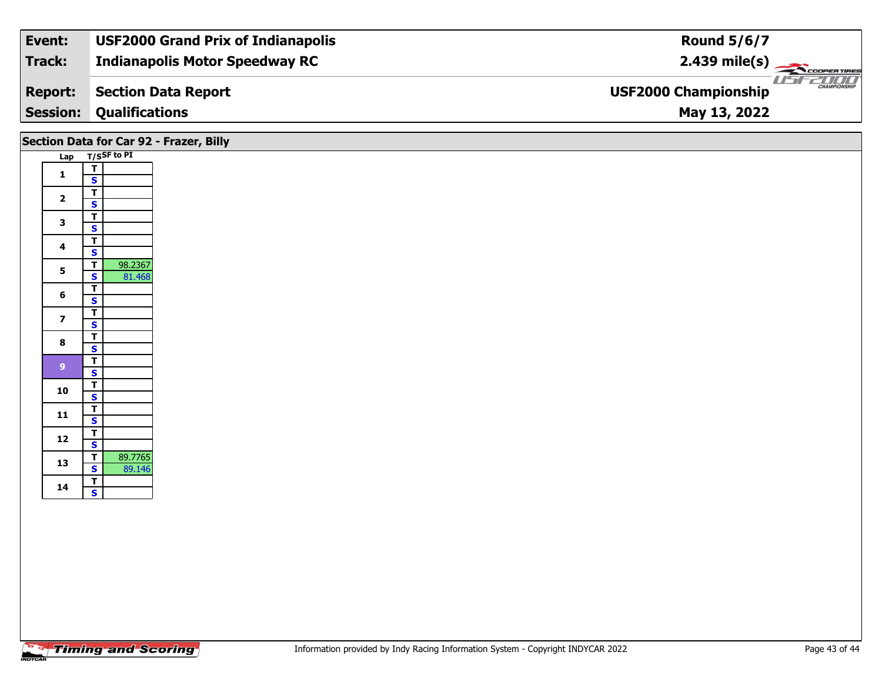| Event:          | <b>USF2000 Grand Prix of Indianapolis</b> | <b>Round 5/6/7</b>                          |
|-----------------|-------------------------------------------|---------------------------------------------|
| Track:          | <b>Indianapolis Motor Speedway RC</b>     | $2.439 \text{ mile(s)}$                     |
| <b>Report:</b>  | <b>Section Data Report</b>                | CHAMPIONSHIP<br><b>USF2000 Championship</b> |
| <b>Session:</b> | <b>Qualifications</b>                     | May 13, 2022                                |
|                 |                                           |                                             |

|                         |                                                                         | Section Data for Car 92 - Frazer, Billy |
|-------------------------|-------------------------------------------------------------------------|-----------------------------------------|
|                         | Lap T/SSF to PI                                                         |                                         |
| $\mathbf{1}$            | $rac{1}{s}$                                                             |                                         |
| $\overline{\mathbf{2}}$ | $\overline{I}$<br>$\overline{\mathbf{s}}$                               |                                         |
| $\mathbf{3}$            | $\overline{T}$<br>$\mathbf{s}$                                          |                                         |
| $\overline{\mathbf{4}}$ | $\overline{T}$<br>$\mathsf{s}$                                          |                                         |
| $5\phantom{a}$          | $\overline{\mathsf{r}}$<br>98.2367<br>81.468<br>$\overline{\mathbf{s}}$ |                                         |
| $6\phantom{a}$          | $\overline{\mathbf{r}}$<br>$\mathbf{s}$                                 |                                         |
| $\overline{z}$          | $\overline{\mathsf{r}}$<br>$\mathbf{s}$                                 |                                         |
| $\bf{8}$                | $\overline{\mathsf{r}}$                                                 |                                         |
| $\overline{9}$          | s<br>$\overline{1}$                                                     |                                         |
| 10                      | $\mathbf{s}$<br>$\overline{I}$                                          |                                         |
| 11                      | $\overline{\mathbf{s}}$<br>$\overline{\mathsf{r}}$                      |                                         |
| $12$                    | $\mathbf{s}$<br>$\overline{L}$                                          |                                         |
| 13                      | $\overline{\mathbf{s}}$<br>89.7765<br>$\overline{\mathsf{r}}$           |                                         |
|                         | $\mathbf{s}$<br>89.146                                                  |                                         |
| 14                      | $rac{1}{s}$                                                             |                                         |
|                         |                                                                         |                                         |
|                         |                                                                         |                                         |